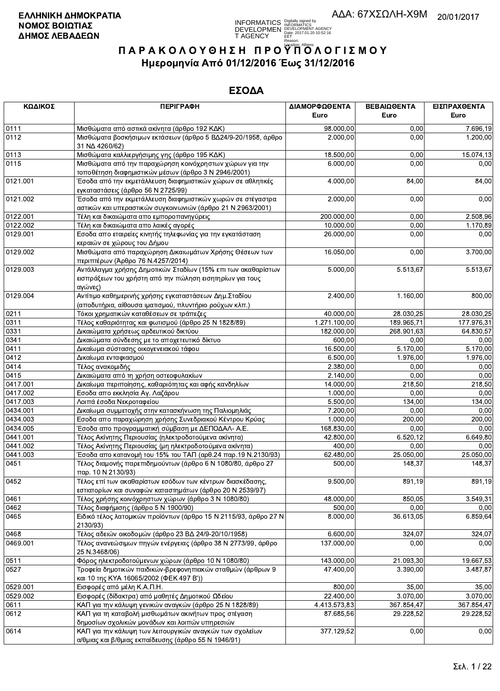**INFORMATICS** Digitally signed by<br>DEVELOPMEN DEVELOPMENT AGENCY<br>T AGENCY Early 2017/01.20 10:52:16<br>T AGENCY Early 2017/01.20 10:52:16

# ΠΑΡΑΚΟΛΟΥΘΗΣΗ ΠΡΟΥΠΌΛΟΓΙΣΜΟΥ Ημερομηνία Από 01/12/2016 Έως 31/12/2016

| ΚΩΔΙΚΟΣ      | <b>ПЕРІГРАФН</b>                                                                                                       | ΔΙΑΜΟΡΦΩΘΕΝΤΑ<br>Euro   | ΒΕΒΑΙΩΘΕΝΤΑ<br>Euro   | ΕΙΣΠΡΑΧΘΕΝΤΑ<br>Euro  |
|--------------|------------------------------------------------------------------------------------------------------------------------|-------------------------|-----------------------|-----------------------|
|              |                                                                                                                        |                         |                       |                       |
| 0111         | Μισθώματα από αστικά ακίνητα (άρθρο 192 ΚΔΚ)                                                                           | 98.000,00               | 0.00                  | 7.696,19              |
| 0112         | Μισθώματα βοσκήσιμων εκτάσεων (άρθρο 5 ΒΔ24/9-20/1958, άρθρο<br>31 NA 4260/62)                                         | 2.000,00                | 0,00                  | 1.200,00              |
| 0113         | Μισθώματα καλλιεργήσιμης γης (άρθρο 195 ΚΔΚ)                                                                           | 18.500,00               | 0,00                  | 15.074,13             |
| 0115         | Μισθώματα από την παραχώρηση κοινόχρηστων χώρων για την<br>τοποθέτηση διαφημιστικών μέσων (άρθρο 3 Ν 2946/2001)        | 6.000,00                | 0,00                  | 0,00                  |
| 0121.001     | Έσοδα από την εκμετάλλευση διαφημιστικών χώρων σε αθλητικές                                                            | 4.000,00                | 84,00                 | 84,00                 |
| 0121.002     | εγκαταστάσεις (άρθρο 56 Ν 2725/99)<br>Έσοδα από την εκμετάλλευση διαφημιστικών χωρών σε στέγαστρα                      | 2.000,00                | 0,00                  | 0,00                  |
|              | αστικών και υπεραστικών συγκοινωνιών (άρθρο 21 Ν 2963/2001)                                                            |                         |                       |                       |
| 0122.001     | Τέλη και δικαιώματα απο εμποροπανηγύρεις                                                                               | 200.000,00              | 0,00                  | 2.508,96              |
| 0122.002     | Τέλη και δικαιώματα απο λαικές αγορές                                                                                  | 10.000,00               | 0,00                  | 1.170,89              |
| 0129.001     | Εσοδα απο εταιρείες κινητής τηλεφωνίας για την εγκατάσταση                                                             | 26.000,00               | 0,00                  | 0,00                  |
|              | κεραιών σε χώρους του Δήμου                                                                                            |                         |                       |                       |
| 0129.002     | Μισθώματα από παραχώρηση Δικαιωμάτων Χρήσης Θέσεων των<br>περιπτέρων (Άρθρο 76 Ν.4257/2014)                            | 16.050,00               | 0,00                  | 3.700,00              |
| 0129.003     | Αντάλλαγμα χρήσης Δημοτικών Σταδίων (15% επι των ακαθαρίστων                                                           | 5.000,00                | 5.513,67              | $\overline{5.513,67}$ |
|              | εισπράξεων του χρήστη από την πώληση εισητηρίων για τους<br>αγώνες)                                                    |                         |                       |                       |
| 0129.004     | Αντίτιμο καθημερινής χρήσης εγκαταστάσεων Δημ. Σταδίου                                                                 | 2.400,00                | 1.160,00              | 800,00                |
|              | (αποδυτήρια, αίθουσα ιματισμού, πλυντήριο ρούχων κλπ.)                                                                 |                         |                       |                       |
| 0211         | Τόκοι χρηματικών καταθέσεων σε τράπεζες                                                                                | 40.000,00               | 28.030,25             | 28.030,25             |
| 0311         | Τέλος καθαριότητας και φωτισμού (άρθρο 25 Ν 1828/89)                                                                   | 1.271.100,00            | 189.965,71            | 177.976,31            |
| 0331         | Δικαιώματα χρήσεως αρδευτικού δικτύου                                                                                  | 182.000.00              | 268.901,63            | 64.830,57             |
| 0341         | Δικαιώματα σύνδεσης με το αποχετευτικό δίκτυο                                                                          | 600,00                  | 0,00                  | 0,00                  |
| 0411         | Δικαίωμα σύστασης οικογενειακού τάφου                                                                                  | 16.500,00               | 5.170,00              | 5.170,00              |
| 0412         | Δικαίωμα ενταφιασμού                                                                                                   | 6.500,00                | 1.976,00              | 1.976,00              |
| 0414         | Τέλος ανακομιδής                                                                                                       | 2.380,00                | 0,00                  | 0,00                  |
| 0415         |                                                                                                                        | 2.140,00                | 0,00                  | 0,00                  |
|              | Δικαιώματα από τη χρήση οστεοφυλακίων                                                                                  |                         |                       |                       |
| 0417.001     | Δικαίωμα περιποίησης, καθαριότητας και αφής κανδηλίων                                                                  | 14.000,00               | 218,50                | 218,50                |
| 0417.002     | Εσοδα απο εκκλησία Αγ. Λαζάρου                                                                                         | 1.000,00                | 0,00                  | 0,00                  |
| 0417.003     | Λοιπά έσοδα Νεκροταφείου                                                                                               | 5.500,00                | 134,00                | 134,00                |
| 0434.001     | Δικαίωμα συμμετοχής στην κατασκήνωση της Παλιομηλιάς                                                                   | 7.200,00                | 0,00                  | 0,00                  |
| 0434.003     | Εσοδα απο παραχώρηση χρήσης Συνεδριακού Κέντρου Κρύας                                                                  | 1.000,00                | 200,00                | 200,00                |
| 0434.005     | Έσοδα απο προγραμματική σύμβαση με ΔΕΠΟΔΑΛ- Α.Ε.                                                                       | 168.830,00              | 0,00                  | 0,00                  |
| 0441.001     | Τέλος Ακίνητης Περιουσίας (ηλεκτροδοτούμενα ακίνητα)                                                                   | 42.800,00               | 6.520, 12             | 6.649,80              |
| 0441.002     | Τέλος Ακίνητης Περιουσίας (μη ηλεκτροδοτούμενα ακίνητα)                                                                | 400,00                  | 0,00                  | 0,00                  |
| 0441.003     | Έσοδα απο κατανομή του 15% του ΤΑΠ (αρθ.24 παρ.19 Ν.2130/93)                                                           | 62.480,00               | 25.050,00             | 25.050,00             |
| 0451         | Τέλος διαμονής παρεπιδημούντων (άρθρο 6 Ν 1080/80, άρθρο 27<br>παρ. 10 N 2130/93)                                      | 500,00                  | 148,37                | 148,37                |
| 0452         | Τέλος επί των ακαθαρίστων εσόδων των κέντρων διασκέδασης,<br>εστιατορίων και συναφών καταστημάτων (άρθρο 20 Ν 2539/97) | 9.500,00                | 891,19                | 891,19                |
| 0461         | Τέλος χρήσης κοινόχρηστων χώρων (άρθρο 3 Ν 1080/80)                                                                    | 48.000,00               | 850,05                | 3.549,31              |
| 0462         | Τέλος διαφήμισης (άρθρο 5 Ν 1900/90)                                                                                   | 500,00                  | 0,00                  | 0,00                  |
| 0465         | Ειδικό τέλος λατομικών προϊόντων (άρθρο 15 Ν 2115/93, άρθρο 27 Ν<br>2130/93)                                           | 8.000,00                | 36.613,05             | 6.859,64              |
| 0468         | Τέλος αδειών οικοδομών (άρθρο 23 ΒΔ 24/9-20/10/1958)                                                                   | 6.600,00                | 324,07                | 324,07                |
| 0469.001     | Τέλος ανανεώσιμων πηγών ενέργειας (άρθρο 38 Ν 2773/99, άρθρο<br>25 N.3468/06)                                          | 137.000,00              | 0.00                  | 0,00                  |
|              | Φόρος ηλεκτροδοτούμενων χώρων (άρθρο 10 Ν 1080/80)                                                                     |                         |                       | 19.667,53             |
| 0511<br>0527 | Τροφεία δημοτικών παιδικών-βρεφονηπιακών σταθμών (άρθρων 9                                                             | 143.000,00<br>47.400.00 | 21.093,30<br>3.390,00 | 3.487,87              |
|              | και 10 της ΚΥΑ 16065/2002 (ΦΕΚ 497 Β'))                                                                                |                         |                       |                       |
| 0529.001     | Εισφορές από μέλη Κ.Α.Π.Η.                                                                                             | 800,00                  | 35,00                 | 35,00                 |
| 0529.002     | Εισφορές (δίδακτρα) από μαθητές Δημοτικού Ωδείου                                                                       | 22.400,00               | 3.070,00              | 3.070,00              |
| 0611         | ΚΑΠ για την κάλυψη γενικών αναγκών (άρθρο 25 Ν 1828/89)                                                                | 4.413.573,83            | 367.854,47            | 367.854,47            |
| 0612         | ΚΑΠ για τη καταβολή μισθωμάτων ακινήτων προς στέγαση<br>δημοσίων σχολικών μονάδων και λοιπών υπηρεσιών                 | 87.685,56               | 29.228,52             | 29.228,52             |
| 0614         | ΚΑΠ για την κάλυψη των λειτουργικών αναγκών των σχολείων<br>α/θμιας και β/θμιας εκπαίδευσης (άρθρο 55 Ν 1946/91)       | 377.129,52              | 0,00                  | 0,00                  |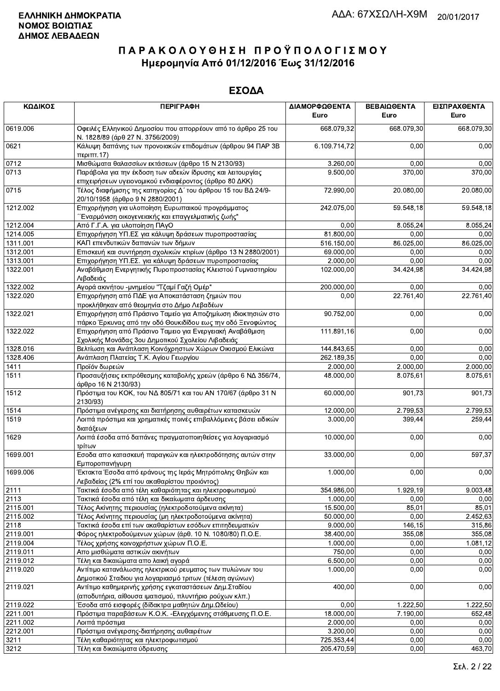| ΚΩΔΙΚΟΣ  | <b>ПЕРІГРАФН</b>                                                                                                             | ΔΙΑΜΟΡΦΩΘΕΝΤΑ<br>Euro | ΒΕΒΑΙΩΘΕΝΤΑ<br>Euro    | ΕΙΣΠΡΑΧΘΕΝΤΑ<br>Euro |
|----------|------------------------------------------------------------------------------------------------------------------------------|-----------------------|------------------------|----------------------|
| 0619.006 | Οφειλές Ελληνικού Δημοσίου που απορρέουν από το άρθρο 25 του<br>Ν. 1828/89 (άρθ 27 Ν. 3756/2009)                             | 668.079,32            | 668.079,30             | 668.079,30           |
| 0621     | Κάλυψη δαπάνης των προνοιακών επιδομάτων (άρθρου 94 ΠΑΡ 3Β<br>περιπτ.17)                                                     | 6.109.714,72          | 0,00                   | 0,00                 |
| 0712     | Μισθώματα θαλασσίων εκτάσεων (άρθρο 15 Ν 2130/93)                                                                            | 3.260,00              | 0,00                   | 0,00                 |
| 0713     | Παράβολα για την έκδοση των αδειών ίδρυσης και λειτουργίας<br>επιχειρήσεων υγειονομικού ενδιαφέροντος (άρθρο 80 ΔΚΚ)         | 9.500,00              | 370,00                 | 370,00               |
| 0715     | Τέλος διαφήμισης της κατηγορίας Δ΄ του άρθρου 15 του ΒΔ 24/9-<br>20/10/1958 (άρθρο 9 Ν 2880/2001)                            | 72.990,00             | 20.080,00              | 20.080,00            |
| 1212.002 | Επιχορήγηση για υλοποίηση Ευρωπαικού προγράμματος<br>΄΄Εναρμόνιση οικογενειακής και επαγγελματικής ζωής"                     | 242.075,00            | 59.548,18              | 59.548,18            |
| 1212.004 | Από Γ.Γ.Α. για υλοποίηση ΠΑγΟ                                                                                                | 0,00                  | 8.055,24               | 8.055,24             |
| 1214.005 | Επιχορήγηση ΥΠ.ΕΣ για κάλυψη δράσεων πυροπροστασίας                                                                          | 81.800,00             | 0,00                   | 0,00                 |
| 1311.001 | ΚΑΠ επενδυτικών δαπανών των δήμων                                                                                            | 516.150,00            | 86.025,00              | 86.025,00            |
| 1312.001 | Επισκευή και συντήρηση σχολικών κτιρίων (άρθρο 13 Ν 2880/2001)                                                               | 69.000,00             | 0,00                   | 0,00                 |
| 1313.001 | Επιχορήγηση ΥΠ.ΕΣ. για κάλυψη δράσεων πυροπροστασίας                                                                         | 2.000,00              | 0,00                   | 0,00                 |
| 1322.001 | Αναβάθμιση Ενεργητικής Πυροπροστασίας Κλειστού Γυμναστηρίου<br>Λιβαδειάς                                                     | 102.000,00            | 34.424,98              | 34.424,98            |
| 1322.002 | Αγορά ακινήτου -μνημείου "Τζαμί Γαζή Ομέρ"                                                                                   | 200.000,00            | 0,00                   | 0,00                 |
| 1322.020 | Επιχορήγηση από ΠΔΕ για Αποκατάσταση ζημιών που<br>προκλήθηκαν από θεομηνία στο Δήμο Λεβαδέων                                | 0,00                  | $\overline{22.761,40}$ | 22.761,40            |
| 1322.021 | Επιχορήγηση από Πράσινο Ταμείο για Αποζημίωση ιδιοκτησιών στο<br>πάρκο Έρκυνας από την οδό Θουκιδίδου εως την οδό Ξενοφώντος | 90.752,00             | 0,00                   | 0,00                 |
| 1322.022 | Επιχορήγηση από Πράσινο Ταμειο για Ενεργειακή Αναβάθμιση<br>Σχολικής Μονάδας 3ου Δημοτικού Σχολείου Λιβαδειάς                | 111.891,16            | 0,00                   | 0,00                 |
| 1328.016 | Βελτίωση και Ανάπλαση Κοινόχρηστων Χώρων Οικισμού Ελικώνα                                                                    | 144.843,65            | 0,00                   | 0,00                 |
| 1328.406 | Ανάπλαση Πλατείας Τ.Κ. Αγίου Γεωργίου                                                                                        | 262.189,35            | 0,00                   | 0,00                 |
| 1411     | Προϊόν δωρεών                                                                                                                | 2.000,00              | 2.000,00               | 2.000,00             |
| 1511     | Προσαυξήσεις εκπρόθεσμης καταβολής χρεών (άρθρο 6 ΝΔ 356/74,<br>άρθρο 16 Ν 2130/93)                                          | 48.000,00             | 8.075,61               | 8.075,61             |
| 1512     | Πρόστιμα του ΚΟΚ, του ΝΔ 805/71 και του ΑΝ 170/67 (άρθρο 31 Ν<br>2130/93)                                                    | 60.000,00             | 901,73                 | 901,73               |
| 1514     | Πρόστιμα ανέγερσης και διατήρησης αυθαιρέτων κατασκευών                                                                      | 12.000,00             | 2.799,53               | 2.799,53             |
| 1519     | Λοιπά πρόστιμα και χρηματικές ποινές επιβαλλόμενες βάσει ειδικών<br>διατάξεων                                                | 3.000,00              | 399,44                 | 259,44               |
| 1629     | Λοιπά έσοδα από δαπάνες πραγματοποιηθείσες για λογαριασμό<br>τρίτων                                                          | 10.000,00             | 0,00                   | 0,00                 |
| 1699.001 | Εσοδα απο κατασκευή παραγκών και ηλεκτροδότησης αυτών στην<br>Εμποροπανήγυρη                                                 | 33.000,00             | 0,00                   | 597,37               |
| 1699.006 | Έκτακτα Έσοδα από εράνους της Ιεράς Μητρόπολης Θηβών και<br>Λεβαδείας (2% επί του ακαθαρίστου προιόντος)                     | 1.000,00              | 0,00                   | 0,00                 |
| 2111     | Τακτικά έσοδα από τέλη καθαριότητας και ηλεκτροφωτισμού                                                                      | 354.986,00            | 1.929, 19              | 9.003,48             |
| 2113     | Τακτικά έσοδα από τέλη και δικαίωματα άρδευσης                                                                               | 1.000,00              | 0,00                   | 0,00                 |
| 2115.001 | Τέλος Ακίνητης περιουσίας (ηλεκτροδοτούμενα ακίνητα)                                                                         | 15.500,00             | 85,01                  | 85,01                |
| 2115.002 | Τέλος Ακίνητης περιουσίας (μη ηλεκτροδοτούμενα ακίνητα)                                                                      | 50.000,00             | 0,00                   | 2.452,63             |
| 2118     | Τακτικά έσοδα επί των ακαθαρίστων εσόδων επιτηδευματιών                                                                      | 9.000,00              | 146, 15                | 315,86               |
| 2119.001 | Φόρος ηλεκτροδούμενων χώρων (άρθ. 10 Ν. 1080/80) Π.Ο.Ε.                                                                      | 38.400,00             | 355,08                 | 355,08               |
| 2119.004 | Τέλος χρήσης κοινοχρήστων χώρων Π.Ο.Ε.                                                                                       | 1.000,00              | 0,00                   | 1.081,12             |
| 2119.011 | Απο μισθώματα αστικών ακινήτων                                                                                               | 750,00                | 0,00                   | 0,00                 |
| 2119.012 | Τέλη και δικαιώματα απο λαική αγορά                                                                                          | 6.500,00              | 0,00                   | 0,00                 |
| 2119.020 | Αντίτιμο κατανάλωσης ηλεκτρικού ρευματος των πυλώνων του                                                                     | 1.000,00              | 0,00                   | 0,00                 |
| 2119.021 | Δημοτικού Σταδιου για λογαριασμό τριτων (τέλεση αγώνων)                                                                      | 400,00                | 0,00                   | 0,00                 |
|          | Αντίτιμο καθημερινής χρήσης εγκαταστάσεων Δημ. Σταδίου<br>(αποδυτήρια, αίθουσα ιματισμού, πλυντήριο ρούχων κλπ.)             |                       |                        |                      |
| 2119.022 | Έσοδα από εισφορές (δίδακτρα μαθητών Δημ.Ωδείου)                                                                             | 0,00                  | 1.222,50               | 1.222,50             |
| 2211.001 | Πρόστιμα παραβάσεων Κ.Ο.Κ. - Ελεγχόμενης στάθμευσης Π.Ο.Ε.                                                                   | 18.000,00             | 7.190,00               | 652,48               |
| 2211.002 | Λοιπά πρόστιμα                                                                                                               | 2.000,00              | 0,00                   | 0,00                 |
| 2212.001 | Πρόστιμα ανέγερσης-διατήρησης αυθαιρέτων                                                                                     | 3.200,00              | 0,00                   | 0,00                 |
| 3211     | Τέλη καθαριότητας και ηλεκτροφωτισμού                                                                                        | 725.353,44            | 0,00                   | 0,00                 |
| 3212     | Τέλη και δικαιώματα ύδρευσης                                                                                                 | 205.470,59            | 0,00                   | 463,70               |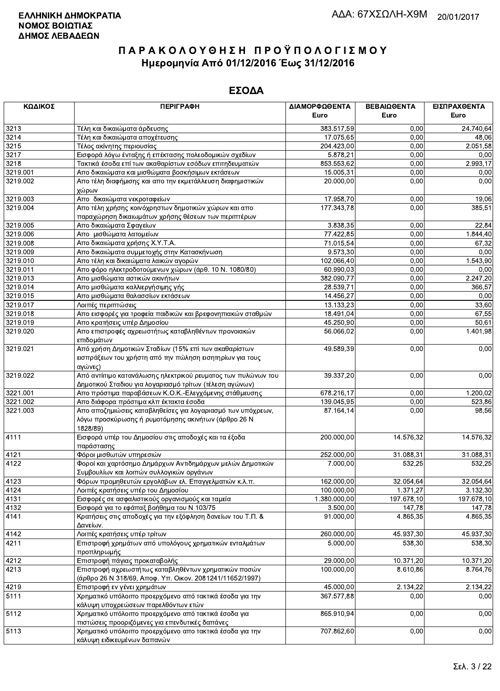| ΚΩΔΙΚΟΣ  | <b>ПЕРІГРАФН</b>                                              | ΔΙΑΜΟΡΦΩΘΕΝΤΑ | ΒΕΒΑΙΩΘΕΝΤΑ | ΕΙΣΠΡΑΧΘΕΝΤΑ |
|----------|---------------------------------------------------------------|---------------|-------------|--------------|
|          |                                                               | Euro          | Euro        | Euro         |
| 3213     | Τέλη και δικαιώματα άρδευσης                                  | 383.517,59    | 0,00        | 24.740,64    |
| 3214     | Τέλη και δικαιώματα αποχέτευσης                               | 17.075,65     | 0,00        | 48,06        |
| 3215     | Τέλος ακίνητης περιουσίας                                     | 204.423,00    | 0,00        | 2.051,58     |
| 3217     | Εισφορά λόγω ένταξης ή επέκτασης πολεοδομικών σχεδίων         | 5.878,21      | 0,00        | 0,00         |
| 3218     | Τακτικά έσοδα επί των ακαθαρίστων εσόδων επιτηδευματιών       | 853.553,62    | 0,00        | 2.993,17     |
| 3219.001 | Απο δικαιώματα και μισθώματα βοσκήσιμων εκτάσεων              | 15.005,31     | 0,00        | 0,00         |
| 3219.002 | Απο τέλη διαφήμισης και απο την εκμετάλλευση διαφημιστικών    | 20.000,00     | 0,00        | 0,00         |
|          | χώρων                                                         |               |             |              |
| 3219.003 | Απο δικαιώματα νεκροταφείων                                   | 17.958,70     | 0,00        | 19,06        |
| 3219.004 | Απο τέλη χρήσης κοινόχρηστων δημοτικών χώρων και απο          | 177.343,78    | 0,00        | 385,51       |
|          | παραχώρηση δικαιωμάτων χρήσης θέσεων των περιπτέρων           |               |             |              |
| 3219.005 | Απο δικαιώματα Σφαγείων                                       | 3.838,35      | 0,00        | 22,84        |
| 3219.006 | Απο μισθώματα λατομείων                                       | 77.422,85     | 0,00        | 1.844,40     |
| 3219.008 | Απο δικαιώματα χρήσης Χ.Υ.Τ.Α.                                | 71.015,54     | 0,00        | 67,32        |
| 3219.009 | Απο δικαιώματα συμμετοχής στην Κατασκήνωση                    | 9.573,30      | 0,00        | 0,00         |
| 3219.010 | Απο τέλη και δικαιώματα λαικών αγορών                         | 102.066,40    | 0,00        | 1.543,90     |
| 3219.011 | Απο φόρο ηλεκτροδοτούμενων χώρων (άρθ. 10 Ν. 1080/80)         | 60.990,03     | 0,00        | 0,00         |
| 3219.013 | Απο μισθώματα αστικών ακινήτων                                | 382.090,77    | 0,00        | 2.247,20     |
| 3219.014 | Απο μισθώματα καλλιεργήσιμης γής                              | 28.539,71     | 0,00        | 366,57       |
| 3219.015 | Απο μισθώματα θαλασσίων εκτάσεων                              | 14.456,27     | 0,00        | 0,00         |
| 3219.017 | Λοιπές περιπτώσεις                                            | 13.133,23     | 0,00        | 33,60        |
| 3219.018 | Απο εισφορές για τροφεία παιδικών και βρεφονηπιακών σταθμών   | 18.491,04     | 0,00        | 67,55        |
| 3219.019 | Απο κρατήσεις υπέρ Δημοσίου                                   | 45.250,90     | 0,00        | 50,61        |
| 3219.020 | Απο επιστροφές αχρεωστήτως καταβληθέντων προνοιακών           | 56.066,02     | 0,00        | 1.401,98     |
|          | επιδομάτων                                                    |               |             |              |
| 3219.021 | Από χρήση Δημοτικών Σταδίων (15% επί των ακαθαρίστων          | 49.589,39     | 0,00        | 0,00         |
|          | εισπράξεων του χρήστη από την πώληση εισητηρίων για τους      |               |             |              |
|          | αγώνες)                                                       |               |             |              |
| 3219.022 | Από αντίιτιμο κατανάλωσης ηλεκτρικού ρευματος των πυλώνων του | 39.337,20     | 0,00        | 0,00         |
|          | Δημοτικού Σταδιου για λογαριασμό τρίτων (τέλεση αγώνων)       |               |             |              |
| 3221.001 | Απο πρόστιμα παραβάσεων Κ.Ο.Κ.-Ελεγχόμενης στάθμευσης         | 678.216,17    | 0,00        | 1.200,02     |
| 3221.002 | Απο διάφορα πρόστιμα κλπ έκτακτα έσοδα                        | 139.045,95    | 0,00        | 523,86       |
| 3221.003 | Απο αποζημιώσεις καταβληθείσες για λογαριασμό των υπόχρεων,   | 87.164,14     | 0,00        | 98,56        |
|          | λόγω προσκύρωσης ή ρυμοτόμησης ακινήτων (άρθρο 26 Ν           |               |             |              |
|          | 1828/89)                                                      |               |             |              |
| 4111     | Εισφορά υπέρ του Δημοσίου στις αποδοχές και τα έξοδα          | 200.000,00    | 14.576,32   | 14.576,32    |
|          | παράστασης                                                    |               |             |              |
| 4121     | Φόροι μισθωτών υπηρεσιών                                      | 252.000,00    | 31.088,31   | 31.088,31    |
| 4122     | Φοροί και χαρτόσημο Δημάρχων Αντιδημάρχων μελών Δημοτικών     | 7.000,00      | 532,25      | 532,25       |
|          | Συμβουλίων και λοιπών συλλογικών οργάνων                      |               |             |              |
| 4123     | Φόρων προμηθευτών εργολάβων ελ. Επαγγελματιών κ.λ.π.          | 162.000,00    | 32.054,64   | 32.054,64    |
| 4124     | Λοιπές κρατήσεις υπέρ του Δημοσίου                            | 100.000,00    | 1.371,27    | 3.132,30     |
| 4131     | Εισφορές σε ασφαλιστικούς οργανισμούς και ταμεία              | 1.380.000,00  | 197.678,10  | 197.678,10   |
| 4132     | Εισφορά για το εφάπαξ βοήθημα του Ν 103/75                    | 3.500,00      | 147,78      | 147,78       |
| 4141     | Κρατήσεις στις αποδοχές για την εξόφληση δανείων του Τ.Π. &   | 91.000,00     | 4.865,35    | 4.865,35     |
|          | Δανείων.                                                      |               |             |              |
| 4142     | Λοιπές κρατήσεις υπέρ τρίτων                                  | 260.000,00    | 45.937,30   | 45.937,30    |
| 4211     | Επιστροφή χρημάτων από υπολόγους χρηματικών ενταλμάτων        | 5.000,00      | 538,30      | 538,30       |
|          | προπληρωμής                                                   |               |             |              |
| 4212     | Επιστροφή πάγιας προκαταβολής                                 | 29.000,00     | 10.371,20   | 10.371,20    |
| 4213     | Επιστροφή αχρεωστήτως καταβληθέντων χρηματικών ποσών          | 100.000,00    | 8.610,86    | 8.764,76     |
|          | (άρθρο 26 Ν 318/69, Αποφ. Υπ. Οικον. 2081241/11652/1997)      |               |             |              |
| 4219     | Επιστροφή εν γένει χρημάτων                                   | 45.000,00     | 2.134,22    | 2.134,22     |
| 5111     | Χρηματικό υπόλοιπο προερχόμενο από τακτικά έσοδα για την      | 367.577,88    | 0,00        | 0,00         |
|          | κάλυψη υποχρεώσεων παρελθόντων ετών                           |               |             |              |
| 5112     | Χρηματικό υπόλοιπο προερχόμενο από τακτικά έσοδα για          | 865.910,94    | 0,00        | 0,00         |
|          | πιστώσεις προοριζόμενες για επενδυτικές δαπάνες               |               |             |              |
| 5113     | Χρηματικό υπόλοιπο προερχόμενο απο τακτικά έσοδα για την      | 707.862,60    | 0,00        | 0,00         |
|          | κάλυψη ειδικευμένων δαπανών                                   |               |             |              |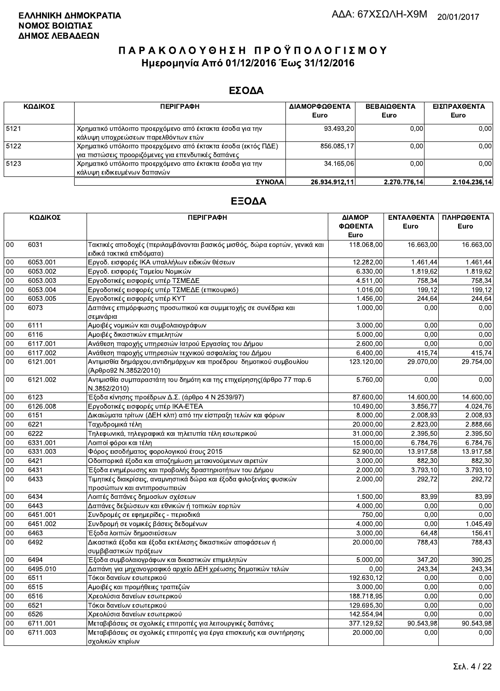### ΕΣΟΔΑ

| ΚΩΔΙΚΟΣ | <b>ПЕРІГРАФН</b>                                                                                                    | ΔΙΑΜΟΡΦΩΘΕΝΤΑ<br>Euro | <b>ΒΕΒΑΙΩΘΕΝΤΑ</b><br>Euro | ΕΙΣΠΡΑΧΘΕΝΤΑ<br>Euro |
|---------|---------------------------------------------------------------------------------------------------------------------|-----------------------|----------------------------|----------------------|
| 5121    | Χρηματικό υπόλοιπο προερχόμενο από έκτακτα έσοδα για την<br>κάλυψη υποχρεώσεων παρελθόντων ετών                     | 93.493.20             | 0.00                       | 0,00                 |
| 5122    | Χρηματικό υπόλοιπο προερχόμενο από έκτακτα έσοδα (εκτός ΠΔΕ)<br>για πιστώσεις προοριζόμενες για επενδυτικές δαπάνες | 856.085,17            | 0.00                       | 0,00                 |
| 5123    | Χρηματικό υπόλοιπο προερχόμενο απο έκτακτα έσοδα για την<br>κάλυψη ειδικευμένων δαπανών                             | 34.165.06             | 0.00                       | 0,00                 |
|         | ΣΥΝΟΛΔΙ                                                                                                             | 26 934 912 11         | 227077614                  | 2.104.236.14         |

|        | ΚΩΔΙΚΟΣ  | <b>ПЕРІГРАФН</b>                                                                                        | ΔΙΑΜΟΡ<br>ΦΩΘΕΝΤΑ<br>Euro | ΕΝΤΑΛΘΕΝΤΑ<br>Euro | ΠΛΗΡΩΘΕΝΤΑ<br>Euro |
|--------|----------|---------------------------------------------------------------------------------------------------------|---------------------------|--------------------|--------------------|
| 00     | 6031     | Τακτικές αποδοχές (περιλαμβάνονται βασικός μισθός, δώρα εορτών, γενικά και<br>ειδικά τακτικά επιδόματα) | 118.068,00                | 16.663.00          | 16.663,00          |
| 00     | 6053.001 | Εργοδ. εισφορές ΙΚΑ υπαλλήλων ειδικών θέσεων                                                            | 12.282,00                 | 1.461,44           | 1.461,44           |
| 00     | 6053.002 | Εργοδ. εισφορές Ταμείου Νομικών                                                                         | 6.330,00                  | 1.819,62           | 1.819.62           |
| 00     | 6053.003 | Εργοδοτικές εισφορές υπέρ ΤΣΜΕΔΕ                                                                        | 4.511,00                  | 758,34             | 758,34             |
| 00     | 6053.004 | Εργοδοτικές εισφορές υπέρ ΤΣΜΕΔΕ (επικουρικό)                                                           | 1.016,00                  | 199.12             | 199.12             |
| $00\,$ | 6053.005 | Εργοδοτικές εισφορές υπέρ ΚΥΤ                                                                           | 1.456,00                  | 244,64             | 244,64             |
| 00     | 6073     | Δαπάνες επιμόρφωσης προσωπικού και συμμετοχής σε συνέδρια και<br>σεμινάρια                              | 1.000,00                  | 0.00               | 0.00               |
| 00     | 6111     | Αμοιβές νομικών και συμβολαιογράφων                                                                     | 3.000,00                  | 0.00               | 0.00               |
| 00     | 6116     | Αμοιβές δικαστικών επιμελητών                                                                           | 5.000,00                  | 0.00               | 0,00               |
| 00     | 6117.001 | Ανάθεση παροχής υπηρεσιών Ιατρού Εργασίας του Δήμου                                                     | 2.600,00                  | 0.00               | 0,00               |
| 00     | 6117.002 | Ανάθεση παροχής υπηρεσιών τεχνικού ασφαλείας του Δήμου                                                  | 6.400,00                  | 415,74             | 415,74             |
| 00     | 6121.001 | Αντιμισθία δημάρχου, αντιδημάρχων και προέδρου δημοτικού συμβουλίου<br>(Άρθρο92 Ν.3852/2010)            | 123.120,00                | 29.070,00          | 29.754,00          |
| 00     | 6121.002 | Αντιμισθία συμπαραστάτη του δημότη και της επιχείρησης(άρθρο 77 παρ.6<br>N.3852/2010)                   | 5.760,00                  | 0,00               | 0,00               |
| 00     | 6123     | Έξοδα κίνησης προέδρων Δ.Σ. (άρθρο 4 Ν 2539/97)                                                         | 87.600,00                 | 14.600,00          | 14.600,00          |
| 00     | 6126.008 | Εργοδοτικές εισφορές υπέρ ΙΚΑ-ΕΤΕΑ                                                                      | 10.490,00                 | 3.856.77           | 4.024.76           |
| 00     | 6151     | Δικαιώματα τρίτων (ΔΕΗ κλπ) από την είσπραξη τελών και φόρων                                            | 8.000,00                  | 2.008,93           | 2.008,93           |
| 00     | 6221     | Ταχυδρομικά τέλη                                                                                        | 20.000,00                 | 2.823,00           | 2.888,66           |
| 00     | 6222     | Τηλεφωνικά, τηλεγραφικά και τηλετυπία τέλη εσωτερικού                                                   | 31.000,00                 | 2.395,50           | 2.395,50           |
| 00     | 6331.001 | Λοιποί φόροι και τέλη                                                                                   | 15.000,00                 | 6.784,76           | 6.784,76           |
| 00     | 6331.003 | Φόρος εισοδήματος φορολογικού έτους 2015                                                                | 52.900,00                 | 13.917,58          | 13.917,58          |
| 00     | 6421     | Οδοιπορικά έξοδα και αποζημίωση μετακινούμενων αιρετών                                                  | 3.000,00                  | 882,30             | 882,30             |
| 00     | 6431     | Έξοδα ενημέρωσης και προβολής δραστηριοτήτων του Δήμου                                                  | 2.000,00                  | 3.793.10           | 3.793.10           |
| 00     | 6433     | Τιμητικές διακρίσεις, αναμνηστικά δώρα και έξοδα φιλοξενίας φυσικών                                     | 2.000,00                  | 292.72             | 292,72             |
|        |          | προσώπων και αντιπροσωπειών                                                                             |                           |                    |                    |
| 00     | 6434     | Λοιπές δαπάνες δημοσίων σχέσεων                                                                         | 1.500,00                  | 83,99              | 83,99              |
| 00     | 6443     | Δαπάνες δεξιώσεων και εθνικών ή τοπικών εορτών                                                          | 4.000,00                  | 0.00               | 0,00               |
| 00     | 6451.001 | Συνδρομές σε εφημερίδες - περιοδικά                                                                     | 750,00                    | 0,00               | 0,00               |
| 00     | 6451.002 | Συνδρομή σε νομικές βάσεις δεδομένων                                                                    | 4.000.00                  | 0,00               | 1.045,49           |
| 00     | 6463     | Έξοδα λοιπών δημοσιεύσεων                                                                               | 3.000,00                  | 64,48              | 156,41             |
| 00     | 6492     | Δικαστικά έξοδα και έξοδα εκτέλεσης δικαστικών αποφάσεων ή<br>συμβιβαστικών πράξεων                     | 20.000,00                 | 788,43             | 788,43             |
| 00     | 6494     | Έξοδα συμβολαιογράφων και δικαστικών επιμελητών                                                         | 5.000,00                  | 347,20             | 390,25             |
| 00     | 6495.010 | Δαπάνη για μηχανογραφικό αρχείο ΔΕΗ χρέωσης δημοτικών τελών                                             | 0,00                      | 243,34             | 243,34             |
| $00\,$ | 6511     | Τόκοι δανείων εσωτερικού                                                                                | 192.630,12                | 0.00               | 0,00               |
| 00     | 6515     | Αμοιβές και προμήθειες τραπεζών                                                                         | 3.000,00                  | 0,00               | 0,00               |
| 00     | 6516     | Χρεολύσια δανείων εσωτερικού                                                                            | 188.718,95                | 0.00               | 0,00               |
| 00     | 6521     | Τόκοι δανείων εσωτερικού                                                                                | 129.695,30                | 0.00               | 0,00               |
| 00     | 6526     | Χρεολύσια δανείων εσωτερικού                                                                            | 142.554,94                | 0.00               | 0.00               |
| 00     | 6711.001 | Μεταβιβάσεις σε σχολικές επιτροπές για λειτουργικές δαπάνες                                             | 377.129,52                | 90.543,98          | 90.543,98          |
| 00     | 6711.003 | Μεταβιβάσεις σε σχολικές επιτροπές για έργα επισκευής και συντήρησης<br>σχολικών κτιρίων                | 20.000,00                 | 0,00               | 0,00               |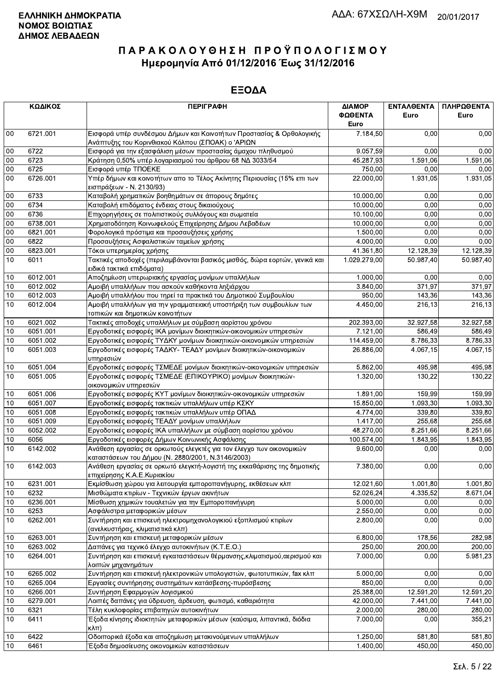|            | ΚΩΔΙΚΟΣ              | <b>ПЕРІГРАФН</b>                                                                                                          | ΔΙΑΜΟΡ<br>ΦΩΘΕΝΤΑ<br>Euro | ΕΝΤΑΛΘΕΝΤΑ<br>Euro | ΠΛΗΡΩΘΕΝΤΑ<br>Euro   |
|------------|----------------------|---------------------------------------------------------------------------------------------------------------------------|---------------------------|--------------------|----------------------|
| $00\,$     | 6721.001             | Εισφορά υπέρ συνδέσμου Δήμων και Κοινοτήτων Προστασίας & Ορθολογικής                                                      | 7.184,50                  | 0.00               | 0,00                 |
|            |                      | Ανάπτυξης του Κορινθιακού Κόλπου (ΣΠΟΑΚ) ο 'ΑΡΙΩΝ                                                                         |                           |                    |                      |
| 00         | 6722                 | Εισφορά για την εξασφάλιση μέσων προστασίας άμαχου πληθυσμού                                                              | 9.057,59                  | 0.00               | 0,00                 |
| $00\,$     | 6723                 | Κράτηση 0,50% υπέρ λογαριασμού του άρθρου 68 ΝΔ 3033/54                                                                   | 45.287,93                 | 1.591,06           | 1.591,06             |
| $00\,$     | 6725                 | Εισφορά υπέρ ΤΠΟΕΚΕ                                                                                                       | 750,00                    | 0,00               | 0,00                 |
| 00         | 6726.001             | Υπέρ δήμων και κοινοτήτων απο το Τέλος Ακίνητης Περιουσίας (15% επι των                                                   | 22.000,00                 | 1.931,05           | 1.931,05             |
|            |                      | εισπράξεων - Ν. 2130/93)                                                                                                  |                           |                    |                      |
| $00\,$     | 6733                 | Καταβολή χρηματικών βοηθημάτων σε άπορους δημότες                                                                         | 10.000,00                 | 0,00               | 0,00                 |
| 00         | 6734                 | Καταβολή επιδόματος ένδειας στους δικαιούχους                                                                             | 10.000,00                 | 0,00               | 0,00                 |
| 00         | 6736                 | Επιχορηγήσεις σε πολιτιστικούς συλλόγους και σωματεία                                                                     | 10.100,00                 | 0.00               | 0,00                 |
| $00\,$     | 6738.001             | Χρηματοδότηση Κοινωφελούς Επιχείρησης Δήμου Λεβαδέων                                                                      | 10.000,00                 | 0,00               | 0,00                 |
| $00\,$     | 6821.001             | Φορολογικά πρόστιμα και προσαυξήσεις χρήσης                                                                               | 1.500,00                  | 0,00               | 0,00                 |
| 00         | 6822                 | Προσαυξήσεις Ασφαλιστικών ταμείων χρήσης                                                                                  | 4.000,00                  | 0,00               | 0,00                 |
| 00         | 6823.001             | Τόκοι υπερημερίας χρήσης                                                                                                  | 41.361,80                 | 12.128,39          | 12.128,39            |
| 10         | 6011                 | Τακτικές αποδοχές (περιλαμβάνονται βασικός μισθός, δώρα εορτών, γενικά και                                                | 1.029.279,00              | 50.987,40          | 50.987,40            |
|            |                      | ειδικά τακτικά επιδόματα)                                                                                                 |                           |                    |                      |
| 10         | 6012.001             | Αποζημίωση υπερωριακής εργασίας μονίμων υπαλλήλων                                                                         | 1.000,00                  | 0,00               | 0,00                 |
| 10         | 6012.002             | Αμοιβή υπαλλήλων που ασκούν καθήκοντα ληξιάρχου                                                                           | 3.840,00                  | 371,97             | 371,97               |
| 10         | 6012.003             | Αμοιβή υπαλλήλου που τηρεί τα πρακτικά του Δημοτικού Συμβουλίου                                                           | 950,00                    | 143,36             | 143,36               |
| 10         | 6012.004             | Αμοιβή υπαλλήλων για την γραμματειακή υποστήριξη των συμβουλίων των                                                       | 4.450,00                  | 216,13             | 216,13               |
|            |                      | τοπικών και δημοτικών κοινοτήτων                                                                                          |                           |                    |                      |
| 10         | 6021.002             | Τακτικές αποδοχές υπαλλήλων με σύμβαση αορίστου χρόνου                                                                    | 202.393,00                | 32.927,58          | 32.927,58            |
| 10         | 6051.001             | Εργοδοτικές εισφορές ΙΚΑ μονίμων διοικητικών-οικονομικών υπηρεσιών                                                        | 7.121,00                  | 586,49             | 586,49               |
| 10         | 6051.002             | Εργοδοτικές εισφορές ΤΥΔΚΥ μονίμων διοικητικών-οικονομικών υπηρεσιών                                                      | 114.459,00                | 8.786,33           | 8.786,33             |
| 10         | 6051.003             | Εργοδοτικές εισφορές ΤΑΔΚΥ- ΤΕΑΔΥ μονίμων διοικητικών-οικονομικών                                                         | 26.886,00                 | 4.067.15           | 4.067,15             |
|            |                      | υπηρεσιών                                                                                                                 |                           |                    |                      |
| 10         | 6051.004             | Εργοδοτικές εισφορές ΤΣΜΕΔΕ μονίμων διοικητικών-οικονομικών υπηρεσιών                                                     | 5.862,00                  | 495,98             | 495,98               |
| 10         | 6051.005             | Εργοδοτικές εισφορές ΤΣΜΕΔΕ (ΕΠΙΚΟΥΡΙΚΟ) μονίμων διοικητικών-                                                             | 1.320,00                  | 130,22             | 130,22               |
|            |                      | οικονομικών υπηρεσιών                                                                                                     |                           |                    |                      |
| 10         | 6051.006             | Εργοδοτικές εισφορές ΚΥΤ μονίμων διοικητικών-οικονομικών υπηρεσιών                                                        | 1.891,00                  | 159,99             | 159,99               |
| 10         | 6051.007             | Εργοδοτικές εισφορές τακτικών υπαλλήλων υπέρ ΚΣΚΥ                                                                         | 15.850,00                 | 1.093,30           | 1.093,30             |
| 10         | 6051.008<br>6051.009 | Εργοδοτικές εισφορές τακτικών υπαλλήλων υπέρ ΟΠΑΔ<br>Εργοδοτικές εισφορές ΤΕΑΔΥ μονίμων υπαλλήλων                         | 4.774,00                  | 339,80             | 339,80               |
| 10<br>$10$ |                      |                                                                                                                           | 1.417,00                  | 255,68             | 255,68               |
| 10         | 6052.002<br>6056     | Εργοδοτικές εισφορές ΙΚΑ υπαλλήλων με σύμβαση αορίστου χρόνου<br>Εργοδοτικές εισφορές Δήμων Κοινωνικής Ασφάλισης          | 48.270,00                 | 8.251,66           | 8.251,66<br>1.843,95 |
| 10         | 6142.002             |                                                                                                                           | 100.574,00                | 1.843,95           |                      |
|            |                      | Ανάθεση εργασίας σε ορκωτούς ελεγκτές για τον έλεγχο των οικονομικών<br>καταστάσεων του Δήμου (Ν. 2880/2001, Ν.3146/2003) | 9.600,00                  | 0,00               | 0,00                 |
| 10         | 6142.003             | Ανάθεση εργασίας σε ορκωτό ελεγκτή-λογιστή της εκκαθάρισης της δημοτικής                                                  | 7.380,00                  | 0,00               | 0,00                 |
|            |                      | επιχείρησης Κ.Α.Ε.Κυριακίου                                                                                               |                           |                    |                      |
| $10$       | 6231.001             | Εκμίσθωση χώρου για λειτουργία εμποροπανήγυρης, εκθέσεων κλπ                                                              | 12.021,60                 | 1.001,80           | 1.001,80             |
| 10         | 6232                 | Μισθώματα κτιρίων - Τεχνικών έργων ακινήτων                                                                               | 52.026,24                 | 4.335,52           | 8.671,04             |
| $10$       | 6236.001             | Μίσθωση χημικών τουαλετών για την Εμποροπανήγυρη                                                                          | 5.000,00                  | 0,00               | 0,00                 |
| $10$       | 6253                 | Ασφάλιστρα μεταφορικών μέσων                                                                                              | 2.550,00                  | 0,00               | 0,00                 |
| 10         | 6262.001             | Συντήρηση και επισκευή ηλεκτρομηχανολογικιού εξοπλισμού κτιρίων                                                           | 2.800,00                  | 0,00               | 0,00                 |
|            |                      | (ανελκυστήρας, κλιματιστικά κλπ)                                                                                          |                           |                    |                      |
| 10         | 6263.001             | Συντήρηση και επισκευή μεταφορικών μέσων                                                                                  | 6.800,00                  | 178,56             | 282,98               |
| $10$       | 6263.002             | Δαπάνες για τεχνικό έλεγχο αυτοκινήτων (Κ.Τ.Ε.Ο.)                                                                         | 250,00                    | 200,00             | 200,00               |
| 10         | 6264.001             | Συντήρηση και επισκευή εγκαταστάσεων θέρμανσης, κλιματισμού, αερισμού και                                                 | 7.000,00                  | 0,00               | 5.981,23             |
|            |                      | λοιπών μηχανημάτων                                                                                                        |                           |                    |                      |
| $10$       | 6265.002             | Συντήρηση και επισκευή ηλεκτρονικών υπολογιστών, φωτοτυπικών, fax κλπ                                                     | 5.000,00                  | 0,00               | 0,00                 |
| 10         | 6265.004             | Εργασίες συντήρησης συστημάτων κατάσβεσης-πυρόσβεσης                                                                      | 850,00                    | 0,00               | 0,00                 |
| $10$       | 6266.001             | Συντήρηση Εφαρμογών λογισμικού                                                                                            | 25.388,00                 | 12.591,20          | 12.591,20            |
| 10         | 6279.001             | Λοιπές δαπάνες για ύδρευση, άρδευση, φωτισμό, καθαριότητα                                                                 | 42.000,00                 | 7.441,00           | 7.441,00             |
| $10$       | 6321                 | Τέλη κυκλοφορίας επιβατηγών αυτοκινήτων                                                                                   | 2.000,00                  | 280,00             | 280,00               |
| 10         | 6411                 | Έξοδα κίνησης ιδιοκτητών μεταφορικών μέσων (καύσιμα, λιπαντικά, διόδια<br>κλπ)                                            | 7.000,00                  | 0,00               | 355,21               |
| $10$       | 6422                 | Οδοιπορικά έξοδα και αποζημίωση μετακινούμενων υπαλλήλων                                                                  | 1.250,00                  | 581,80             | 581,80               |
| 10         | 6461                 | Έξοδα δημοσίευσης οικονομικών καταστάσεων                                                                                 | 1.400,00                  | 450,00             | 450,00               |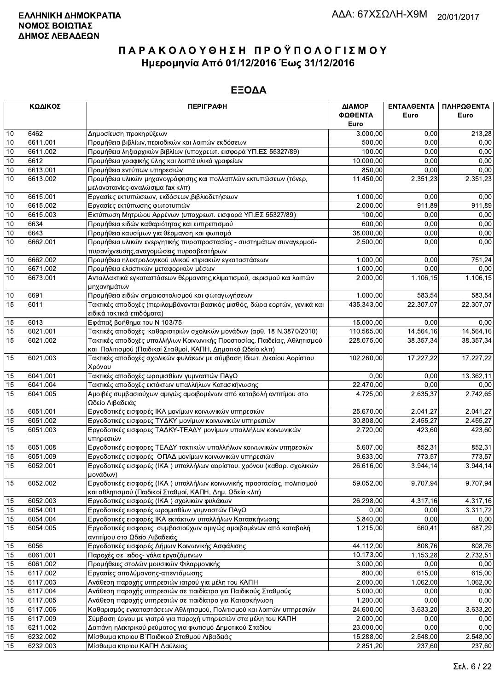|          | ΚΩΔΙΚΟΣ  | <b>ПЕРІГРАФН</b>                                                                      | ΔΙΑΜΟΡ                 | ΕΝΤΑΛΘΕΝΤΑ | ΠΛΗΡΩΘΕΝΤΑ |
|----------|----------|---------------------------------------------------------------------------------------|------------------------|------------|------------|
|          |          |                                                                                       | ΦΩΘΕΝΤΑ                | Euro       | Euro       |
|          |          |                                                                                       | Euro                   |            |            |
| 10       | 6462     | Δημοσίευση προκηρύξεων                                                                | 3.000,00               | 0,00       | 213,28     |
| 10       | 6611.001 | Προμήθεια βιβλίων, περιοδικών και λοιπών εκδόσεων                                     | 500,00                 | 0.00       | 0,00       |
| 10       | 6611.002 | Προμήθεια ληξιαρχικών βιβλίων (υποχρεωτ. εισφορά ΥΠ.ΕΣ 55327/89)                      | 100,00                 | 0,00       | 0,00       |
| 10       | 6612     | Προμήθεια γραφικής ύλης και λοιπά υλικά γραφείων                                      | 10.000,00              | 0,00       | 0,00       |
| 10       | 6613.001 | Προμήθεια εντύπων υπηρεσιών                                                           | 850,00                 | 0.00       | 0,00       |
| 10       | 6613.002 | Προμήθεια υλικών μηχανογράφησης και πολλαπλών εκτυπώσεων (τόνερ,                      | 11.450,00              | 2.351,23   | 2.351,23   |
|          |          | μελανοταινίες-αναλώσιμα fax κλπ)                                                      |                        |            |            |
| 10       | 6615.001 | Εργασίες εκτυπώσεων, εκδόσεων, βιβλιοδετήσεων                                         | 1.000,00               | 0,00       | 0,00       |
| 10       | 6615.002 | Εργασίες εκτύπωσης φωτοτυπιών                                                         | 2.000,00               | 911,89     | 911,89     |
| 10       | 6615.003 | Εκτύπωση Μητρώου Αρρένων (υποχρεωτ. εισφορά ΥΠ.ΕΣ 55327/89)                           | 100,00                 | 0.00       | 0,00       |
| 10       | 6634     | Προμήθεια ειδών καθαριότητας και ευπρεπισμού                                          | 600,00                 | 0.00       | 0,00       |
| 10       | 6643     | Προμήθεια καυσίμων για θέρμανση και φωτισμό                                           | 38.000,00              | 0,00       | 0,00       |
| 10       | 6662.001 | Προμήθεια υλικών ενεργητικής πυροπροστασίας - συστημάτων συναγερμού-                  | 2.500,00               | 0,00       | 0,00       |
|          |          | πυρανίχνευσης, αναγομώσεις πυροσβεστήρων                                              |                        |            |            |
| 10       | 6662.002 | Προμήθεια ηλεκτρολογικού υλικού κτιριακών εγκαταστάσεων                               | 1.000,00               | 0,00       | 751,24     |
| 10       | 6671.002 | Προμήθεια ελαστικών μεταφορικών μέσων                                                 | 1.000,00               | 0,00       | 0,00       |
| 10       | 6673.001 | Ανταλλακτικά εγκαταστάσεων θέρμανσης, κλιματισμού, αερισμού και λοιπών                | 2.000,00               | 1.106, 15  | 1.106,15   |
|          |          | μηχανημάτων                                                                           |                        |            |            |
| 10       | 6691     | Προμήθεια ειδών σημαιοστολισμού και φωταγωγήσεων                                      | 1.000,00               | 583,54     | 583,54     |
| 15       | 6011     | Τακτικές αποδοχές (περιλαμβάνονται βασικός μισθός, δώρα εορτών, γενικά και            | 435.343,00             | 22.307,07  | 22.307.07  |
|          |          | ειδικά τακτικά επιδόματα)                                                             |                        |            |            |
| 15       | 6013     | Εφάπαξ βοήθημα του Ν 103/75                                                           | $\overline{15.000,00}$ | 0,00       | 0,00       |
| 15       | 6021.001 | Τακτικές αποδοχές καθαριστριών σχολικών μονάδων (αρθ. 18 Ν.3870/2010)                 | 110.585,00             | 14.564,16  | 14.564,16  |
| 15       | 6021.002 | Τακτικές αποδοχές υπαλλήλων Κοινωνικής Προστασίας, Παιδείας, Αθλητισμού               | 228.075,00             | 38.357,34  | 38.357,34  |
|          |          | και Πολιτισμού (Παιδικοί Σταθμοί, ΚΑΠΗ, Δημοτικό Ωδείο κλπ)                           |                        |            |            |
| 15       | 6021.003 | Τακτικές αποδοχές σχολικών φυλάκων με σύμβαση Ιδιωτ. Δικαίου Αορίστου                 | 102.260,00             | 17.227,22  | 17.227,22  |
|          | 6041.001 | Χρόνου                                                                                | 0,00                   | 0,00       | 13.362,11  |
| 15<br>15 | 6041.004 | Τακτικές αποδοχές ωρομισθίων γυμναστών ΠΑγΟ                                           |                        | 0,00       | 0,00       |
| 15       | 6041.005 | Τακτικές αποδοχές εκτάκτων υπαλλήλων Κατασκήνωσης                                     | 22.470,00<br>4.725,00  | 2.635,37   |            |
|          |          | Αμοιβές συμβασιούχων αμιγώς αμοιβομένων από καταβολή αντιτίμου στο<br>Ωδείο Λιβαδειάς |                        |            | 2.742,65   |
| 15       | 6051.001 | Εργοδοτικές εισφορές ΙΚΑ μονίμων κοινωνικών υπηρεσιών                                 | 25.670,00              | 2.041,27   | 2.041,27   |
| 15       | 6051.002 | Εργοδοτικές εισφορες ΤΥΔΚΥ μονίμων κοινωνικών υπηρεσιών                               | 30.808,00              | 2.455,27   | 2.455,27   |
| 15       | 6051.003 | Εργοδοτικές εισφορες ΤΑΔΚΥ-ΤΕΑΔΥ μονίμων υπαλλήλων κοινωνικών                         | 2.720,00               | 423,60     | 423,60     |
|          |          | υπηρεσιών                                                                             |                        |            |            |
| 15       | 6051.008 | Εργοδοτικές εισφορες ΤΕΑΔΥ τακτικών υπαλλήλων κοινωνικών υπηρεσιών                    | 5.607,00               | 852,31     | 852,31     |
| 15       | 6051.009 | Εργοδοτικές εισφορές ΟΠΑΔ μονίμων κοινωνικών υπηρεσιών                                | 9.633,00               | 773,57     | 773,57     |
| 15       | 6052.001 | Εργοδοτικές εισφορές (ΙΚΑ) υπαλλήλων αορίστου. χρόνου (καθαρ. σχολικών                | 26.616,00              | 3.944, 14  | 3.944,14   |
|          |          | μονάδων)                                                                              |                        |            |            |
| 15       | 6052.002 | Εργοδοτικές εισφορές (ΙΚΑ) υπαλλήλων κοινωνικής προστασίας, πολιτισμού                | 59.052,00              | 9.707,94   | 9.707,94   |
|          |          | και αθλητισμού (Παιδικοί Σταθμοί, ΚΑΠΗ, Δημ. Ωδείο κλπ)                               |                        |            |            |
| 15       | 6052.003 | Εργοδοτικές εισφορές (ΙΚΑ) σχολικών φυλάκων                                           | 26.298,00              | 4.317,16   | 4.317,16   |
| 15       | 6054.001 | Εργοδοτικές εισφορές ωρομισθίων γυμναστών ΠΑγΟ                                        | 0,00                   | 0,00       | 3.311,72   |
| 15       | 6054.004 | Εργοδοτικές εισφορές ΙΚΑ εκτάκτων υπαλλήλων Κατασκήνωσης                              | 5.840,00               | 0,00       | 0,00       |
| 15       | 6054.005 | Εργοδοτικές εισφορες συμβασιούχων αμιγώς αμοιβομένων από καταβολή                     | 1.215,00               | 660,41     | 687,29     |
|          |          | αντιτίμου στο Ωδείο Λιβαδειάς                                                         |                        |            |            |
| 15       | 6056     | Εργοδοτικές εισφορές Δήμων Κοινωνικής Ασφάλισης                                       | 44.112,00              | 808,76     | 808,76     |
| 15       | 6061.001 | Παροχές σε ειδος- γάλα εργαζόμενων                                                    | 10.173,00              | 1.153,28   | 2.732,51   |
| 15       | 6061.002 | Προμήθειες στολών μουσικών Φιλαρμονικής                                               | 3.000,00               | 0,00       | 0,00       |
| 15       | 6117.002 | Εργασίες απολύμανσης-απεντόμωσης                                                      | 800.00                 | 615,00     | 615,00     |
| 15       | 6117.003 | Ανάθεση παροχής υπηρεσιών ιατρού για μέλη του ΚΑΠΗ                                    | 2.000,00               | 1.062,00   | 1.062,00   |
| 15       | 6117.004 | Ανάθεση παροχής υπηρεσιών σε παιδίατρο για Παιδικούς Σταθμούς                         | 5.000,00               | 0,00       | 0,00       |
| 15       | 6117.005 | Ανάθεση παροχής υπηρεσιών σε παιδίατρο για Κατασκήνωση                                | 1.200,00               | 0,00       | 0,00       |
| 15       | 6117.006 | Καθαρισμός εγκαταστάσεων Αθλητισμού, Πολιτισμού και λοιπών υπηρεσιών                  | 24.600,00              | 3.633,20   | 3.633,20   |
| 15       | 6117.009 | Σύμβαση έργου με γιατρό για παροχή υπηρεσιών στα μέλη του ΚΑΠΗ                        | 2.000,00               | 0,00       | 0,00       |
| 15       | 6211.002 | Δαπάνη ηλεκτρικού ρεύματος για φωτισμό Δημοτικού Σταδίου                              | 23.000,00              | 0,00       | 0,00       |
| 15       | 6232.002 | Μίσθωμα κτιριου Β΄ Παιδικού Σταθμού Λιβαδειάς                                         | 15.288,00              | 2.548,00   | 2.548,00   |
| 15       | 6232.003 | Μίσθωμα κτιριου ΚΑΠΗ Δαύλειας                                                         | 2.851,20               | 237,60     | 237,60     |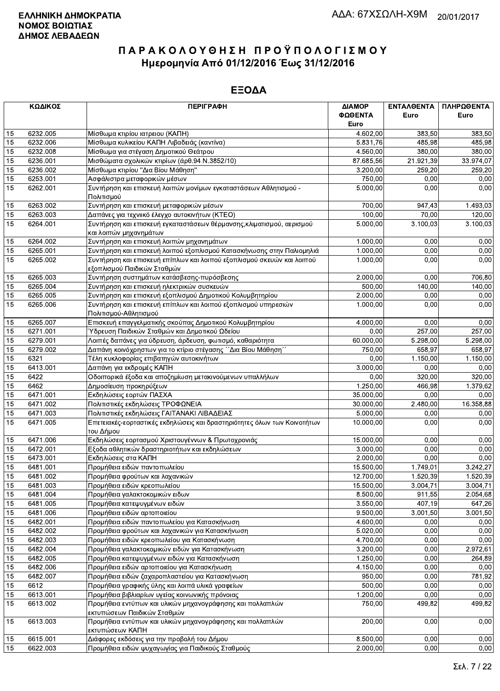|                 | ΚΩΔΙΚΟΣ              | <b>ПЕРІГРАФН</b>                                                                                      | ΔΙΑΜΟΡ<br>ΦΩΘΕΝΤΑ    | ΕΝΤΑΛΘΕΝΤΑ<br>Euro | ΠΛΗΡΩΘΕΝΤΑ<br>Euro |
|-----------------|----------------------|-------------------------------------------------------------------------------------------------------|----------------------|--------------------|--------------------|
|                 |                      |                                                                                                       | Euro                 |                    |                    |
| 15              | 6232.005             | Μίσθωμα κτιρίου ιατρειου (ΚΑΠΗ)                                                                       | 4.602.00             | 383.50             | 383,50             |
| 15<br>15        | 6232.006<br>6232.008 | Μίσθωμα κυλικείου ΚΑΠΗ Λιβαδειάς (καντίνα)                                                            | 5.831,76<br>4.560,00 | 485,98<br>380,00   | 485,98<br>380,00   |
| $\overline{15}$ | 6236.001             | Μίσθωμα για στέγαση Δημοτικού Θεάτρου<br>Μισθώματα σχολικών κτιρίων (άρθ.94 Ν.3852/10)                | 87.685,56            | 21.921,39          | 33.974,07          |
| 15              | 6236.002             | Μίσθωμα κτιρίου "Δια Βίου Μάθηση"                                                                     | 3.200,00             | 259,20             | 259,20             |
| 15              | 6253.001             | Ασφάλιστρα μεταφορικών μέσων                                                                          | 750,00               | 0,00               | 0,00               |
| 15              | 6262.001             | Συντήρηση και επισκευή λοιπών μονίμων εγκαταστάσεων Αθλητισμού -                                      | 5.000,00             | 0,00               | 0,00               |
|                 |                      | Πολιτισμού                                                                                            |                      |                    |                    |
| 15              | 6263.002             | Συντήρηση και επισκευή μεταφορικών μέσων                                                              | 700,00               | 947,43             | 1.493,03           |
| 15              | 6263.003             | Δαπάνες για τεχνιικό έλεγχο αυτοκινήτων (ΚΤΕΟ)                                                        | 100,00               | 70,00              | 120,00             |
| $\overline{15}$ | 6264.001             | Συντήρηση και επισκευή εγκαταστάσεων θέρμανσης, κλιματισμού, αερισμού<br>και λοιπών μηχανημάτων       | 5.000,00             | 3.100,03           | 3.100,03           |
| 15              | 6264.002             | Συντήρηση και επισκευή λοιπών μηχανημάτων                                                             | 1.000,00             | 0,00               | 0,00               |
| 15              | 6265.001             | Συντήρηση και επισκευή λοιπού εξοπλισμού Κατασκήνωσης στην Παλιομηλιά                                 | 1.000,00             | 0,00               | 0,00               |
| 15              | 6265.002             | Συντήρηση και επισκευή επίπλων και λοιπού εξοπλισμού σκευών και λοιπού<br>εξοπλισμού Παιδικών Σταθμών | 1.000,00             | 0,00               | 0,00               |
| 15              | 6265.003             | Συντήρηση συστημάτων κατάσβεσης-πυρόσβεσης                                                            | 2.000.00             | 0,00               | 706,80             |
| 15              | 6265.004             | Συντήρηση και επισκευή ηλεκτρικών συσκευών                                                            | 500,00               | 140,00             | 140,00             |
| 15              | 6265.005             | Συντήρηση και επισκευή εξοπλισμού Δημοτικού Κολυμβητηρίου                                             | 2.000,00             | 0,00               | 0,00               |
| 15              | 6265.006             | Συντήρηση και επισκευή επίπλων και λοιπού εξοπλισμού υπηρεσιών<br>Πολιτισμού-Αθλητισμού               | 1.000,00             | 0,00               | 0,00               |
| 15              | 6265.007             | Επισκευή επαγγελματικής σκούπας Δημοτικού Κολυμβητηρίου                                               | 4.000,00             | 0,00               | 0,00               |
| 15              | 6271.001             | Ύδρευση Παιδικών Σταθμών και Δημοτικού Ωδείου                                                         | 0,00                 | 257,00             | 257,00             |
| 15              | 6279.001             | Λοιπές δαπάνες για ύδρευση, άρδευση, φωτισμό, καθαριότητα                                             | 60.000.00            | 5.298,00           | 5.298.00           |
| 15              | 6279.002             | Δαπάνη κοινόχρηστων για το κτίριο στέγασης ΄ Δια Βίου Μάθηση''                                        | 750,00               | 658,97             | 658,97             |
| 15              | 6321                 | Τέλη κυκλοφορίας επιβατηγών αυτοκινήτων                                                               | 0,00                 | 1.150,00           | 1.150,00           |
| 15              | 6413.001             | Δαπάνη για εκδρομές ΚΑΠΗ                                                                              | 3.000,00             | 0,00               | 0,00               |
| 15              | 6422                 | Οδοιπορικά έξοδα και αποζημίωση μετακινούμενων υπαλλήλων                                              | 0.00                 | 320,00             | 320,00             |
| 15              | 6462                 | Δημοσίευση προκηρύξεων                                                                                | 1.250,00             | 466,98             | 1.379,62           |
| 15              | 6471.001             | Εκδηλώσεις εορτών ΠΑΣΧΑ                                                                               | 35.000,00            | 0,00               | 0,00               |
| 15              | 6471.002             | Πολιτιστικές εκδηλώσεις ΤΡΟΦΩΝΕΙΑ                                                                     | 30.000,00            | 2.480,00           | 16.358,88          |
| 15              | 6471.003             | Πολιτιστικές εκδηλώσεις ΓΑΙΤΑΝΑΚΙ ΛΙΒΑΔΕΙΑΣ                                                           | 5.000,00             | 0,00               | 0,00               |
| 15              | 6471.005             | Επετειακές-εορταστικές εκδηλώσεις και δραστηριότητες όλων των Κοινοτήτων<br>του Δήμου                 | 10.000,00            | 0,00               | 0,00               |
| 15              | 6471.006             | Εκδηλώσεις εορτασμού Χριστουγέννων & Πρωτοχρονιάς                                                     | 15.000,00            | 0,00               | 0,00               |
| 15              | 6472.001             | Εξοδα αθλητικών δραστηριοτήτων και εκδηλώσεων                                                         | 3.000,00             | 0,00               | 0,00               |
| 15              | 6473.001             | Εκδηλώσεις στα ΚΑΠΗ                                                                                   | 2.000,00             | 0,00               | 0,00               |
| 15              | 6481.001             | Προμήθεια ειδών παντοπωλείου                                                                          | 15.500,00            | 1.749,01           | 3.242,27           |
| 15              | 6481.002             | Προμήθεια φρούτων και λαχανικών                                                                       | 12.700,00            | 1.520.39           | 1.520,39           |
| 15              | 6481.003             | Προμήθεια ειδών κρεοπωλείου                                                                           | 15.500,00            | 3.004,71           | 3.004,71           |
| 15              | 6481.004             | Προμήθεια γαλακτοκομικών ειδων                                                                        | 8.500,00             | 911,55             | 2.054,68           |
| 15              | 6481.005             | Προμήθεια κατεψυγμένων ειδών                                                                          | 3.550,00             | 407,19             | 647,26             |
| 15              | 6481.006             | Προμήθεια ειδών αρτοποιείου                                                                           | 9.500,00             | 3.001,50           | 3.001,50           |
| 15              | 6482.001             | Προμήθεια ειδών παντοπωλείου για Κατασκήνωση                                                          | 4.600,00             | 0,00               | 0.00               |
| 15              | 6482.002             | Προμήθεια φρούτων και λαχανικών για Κατασκήνωση                                                       | 5.020,00             | 0,00               | 0,00               |
| 15              | 6482.003             | Προμήθεια ειδών κρεοπωλείου για Κατασκήνωση                                                           | 4.700,00             | 0,00               | 0,00               |
| 15              | 6482.004             | Προμήθεια γαλακτοκομικών ειδών για Κατασκήνωση                                                        | 3.200,00             | 0,00               | 2.972,61           |
| 15              | 6482.005             | Προμήθεια κατεψυγμένων ειδών για Κατασκήνωση                                                          | 1.250,00             | 0,00               | 264,89             |
| 15              | 6482.006             | Προμήθεια ειδών αρτοποιείου για Κατασκήνωση                                                           | 4.150,00             | 0,00               | 0,00               |
| 15              | 6482.007             | Προμήθεια ειδών ζαχαροπλαστείου για Κατασκήνωση                                                       | 950,00               | 0,00               | 781,92             |
| 15              | 6612                 | Προμήθεια γραφικής ύλης και λοιπά υλικά γραφείων                                                      | 500,00               | 0,00               | 0,00               |
| 15              | 6613.001             | Προμήθεια βιβλιαρίων υγείας κοινωνικής πρόνοιας                                                       | 1.200,00             | 0,00               | 0,00               |
| 15              | 6613.002             | Προμήθεια εντύπων και υλικών μηχανογράφησης και πολλαπλών<br>εκτυπώσεων Παιδικών Σταθμών              | 750,00               | 499,82             | 499,82             |
| 15              | 6613.003             | Προμήθεια εντύπων και υλικών μηχανογράφησης και πολλαπλών<br>εκτυπώσεων ΚΑΠΗ                          | 200,00               | 0,00               | 0,00               |
| 15              | 6615.001             | Διάφορες εκδόσεις για την προβολή του Δήμου                                                           | 8.500,00             | 0,00               | 0,00               |
| 15              | 6622.003             | Προμήθεια ειδών ψυγανωνίας νια Παιδικούς Σταθμούς                                                     | 2.000.00             | 0.00 <sub>l</sub>  | 0.00               |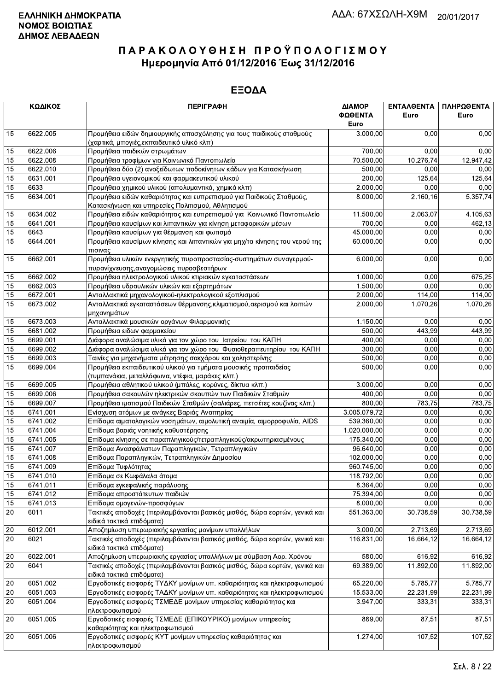|    | ΚΩΔΙΚΟΣ  | <b>ПЕРІГРАФН</b>                                                                                                         | ΔΙΑΜΟΡ          | ΕΝΤΑΛΘΕΝΤΑ | ΠΛΗΡΩΘΕΝΤΑ |
|----|----------|--------------------------------------------------------------------------------------------------------------------------|-----------------|------------|------------|
|    |          |                                                                                                                          | ΦΩΘΕΝΤΑ<br>Euro | Euro       | Euro       |
| 15 | 6622.005 | Προμήθεια ειδών δημιουργικής απασχόλησης για τους παιδικούς σταθμούς                                                     | 3.000,00        | 0,00       | 0,00       |
|    |          | (χαρτικά, μπογιές, εκπαιδευτικό υλικό κλπ)                                                                               |                 |            |            |
| 15 | 6622.006 | Προμήθεια παιδικών στρωμάτων                                                                                             | 700,00          | 0,00       | 0,00       |
| 15 | 6622.008 | Προμήθεια τροφίμων για Κοινωνικό Παντοπωλείο                                                                             | 70.500,00       | 10.276,74  | 12.947,42  |
| 15 | 6622.010 | Προμήθεια δύο (2) ανοξείδωτων ποδοκίνητων κάδων για Κατασκήνωση                                                          | 500,00          | 0.00       | 0,00       |
| 15 | 6631.001 | Προμήθεια υγειονομικού και φαρμακευτικού υλικού                                                                          | 200,00          | 125,64     | 125,64     |
| 15 | 6633     | Προμήθεια χημικού υλικού (απολυμαντικά, χημικά κλπ)                                                                      | 2.000,00        | 0,00       | 0,00       |
| 15 | 6634.001 | Προμήθεια ειδών καθαριότητας και ευπρεπισμού για Παιδικούς Σταθμούς,<br>Κατασκήνωση και υπηρεσίες Πολιτισμού, Αθλητισμού | 8.000,00        | 2.160,16   | 5.357,74   |
| 15 | 6634.002 | Προμήθεια ειδών καθαριότητας και ευπρεπισμού για Κοινωνικό Παντοπωλείο                                                   | 11.500,00       | 2.063,07   | 4.105,63   |
| 15 | 6641.001 | Προμήθεια καυσίμων και λιπαντικών για κίνηση μεταφορικών μέσων                                                           | 700,00          | 0.00       | 462,13     |
| 15 | 6643     | Προμήθεια καυσίμων για θέρμανση και φωτισμό                                                                              | 45.000,00       | 0,00       | 0,00       |
| 15 | 6644.001 | Προμήθεια καυσίμων κίνησης και λιπαντικών για μηχ/τα κίνησης του νερού της                                               | 60.000,00       | 0,00       | 0,00       |
|    |          | πισινας                                                                                                                  |                 |            |            |
| 15 | 6662.001 | Προμήθεια υλικών ενεργητικής πυροπροστασίας-συστημάτων συναγερμού-                                                       | 6.000,00        | 0.00       | 0,00       |
|    |          | πυρανίχνευσης, αναγομώσεις πυροσβεστήρων                                                                                 |                 |            |            |
| 15 | 6662.002 | Προμήθεια ηλεκτρολογικού υλικού κτιριακών εγκαταστάσεων                                                                  | 1.000,00        | 0,00       | 675,25     |
| 15 | 6662.003 | Προμήθεια υδραυλικών υλικών και εξαρτημάτων                                                                              | 1.500,00        | 0,00       | 0,00       |
| 15 | 6672.001 | Ανταλλακτικά μηχανολογικού-ηλεκτρολογικού εξοπλισμού                                                                     | 2.000,00        | 114,00     | 114,00     |
| 15 | 6673.002 | Ανταλλακτικά εγκαταστάσεων θέρμανσης, κλιματισμού, αερισμού και λοιπών<br>μηχανημάτων                                    | 2.000,00        | 1.070.26   | 1.070,26   |
| 15 | 6673.003 | Ανταλλακτικά μουσικών οργάνων Φιλαρμονικής                                                                               | 1.150,00        | 0.00       | 0,00       |
| 15 | 6681.002 | Προμήθεια ειδων φαρμακείου                                                                                               | 500,00          | 443,99     | 443,99     |
| 15 | 6699.001 | Διάφορα αναλώσιμα υλικά για τον χώρο του Ιατρείου του ΚΑΠΗ                                                               | 400,00          | 0,00       | 0,00       |
| 15 | 6699.002 | Διάφορα αναλώσιμα υλικά για τον χώρο του Φυσιοθεραπευτηρίου του ΚΑΠΗ                                                     | 300,00          | 0,00       | 0,00       |
| 15 | 6699.003 | Ταινίες για μηχανήματα μέτρησης σακχάρου και χοληστερίνης                                                                | 500,00          | 0,00       | 0,00       |
| 15 | 6699.004 | Προμήθεια εκπαιδευτικού υλικού για τμήματα μουσικής προπαιδείας                                                          | 500,00          | 0,00       | 0,00       |
|    |          | (τυμπανάκια, μεταλλόφωνα, ντέφια, μαράκες κλπ.)                                                                          |                 |            |            |
| 15 | 6699.005 | Προμήθεια αθλητικού υλικού (μπάλες, κορύνες, δίκτυα κλπ.)                                                                | 3.000,00        | 0.00       | 0,00       |
| 15 | 6699.006 | Προμήθεια σακουλών ηλεκτρικών σκουπών των Παιδικών Σταθμών                                                               | 400,00          | 0,00       | 0,00       |
| 15 | 6699.007 | Προμήθεια ιματισμού Παιδικών Σταθμών (σαλιάρες, πετσέτες κουζίνας κλπ.)                                                  | 800,00          | 783,75     | 783,75     |
| 15 | 6741.001 | Ενίσχυση ατόμων με ανάγκες Βαριάς Αναπηρίας                                                                              | 3.005.079,72    | 0,00       | 0,00       |
| 15 | 6741.002 | Επίδομα αιματολογικών νοσημάτων, αιμολυτική αναιμία, αιμορροφυλία, AIDS                                                  | 539.360,00      | 0.00       | 0,00       |
| 15 | 6741.004 | Επίδομα βαριάς νοητικής καθυστέρησης                                                                                     | 1.020.000,00    | 0,00       | 0,00       |
| 15 | 6741.005 | Επίδομα κίνησης σε παραπληγικούς/τετραπληγικούς/ακρωτηριασμένους                                                         | 175.340,00      | 0,00       | 0,00       |
| 15 | 6741.007 | Επίδομα Ανασφάλιστων Παραπληγικών, Τετραπληγικών                                                                         | 96.640,00       | 0,00       | 0,00       |
| 15 | 6741.008 | Επίδομα Παραπληγικών, Τετραπληγικών Δημοσίου                                                                             | 102.000,00      | 0,00       | 0,00       |
| 15 | 6741.009 | Επίδομα Τυφλότητας                                                                                                       | 960.745,00      | 0,00       | 0,00       |
| 15 | 6741.010 | Επίδομα σε Κωφάλαλα άτομα                                                                                                | 118.792,00      | 0,00       | 0,00       |
| 15 | 6741.011 | Επίδομα εγκεφαλικής παράλυσης                                                                                            | 8.364,00        | 0,00       | 0,00       |
| 15 | 6741.012 | Επίδομα απροστάτευτων παιδιών                                                                                            | 75.394,00       | 0,00       | 0,00       |
| 15 | 6741.013 | Επίδομα ομογενών-προσφύγων                                                                                               | 8.000,00        | 0,00       | 0,00       |
| 20 | 6011     | Τακτικές αποδοχές (περιλαμβάνονται βασικός μισθός, δώρα εορτών, γενικά και<br>ειδικά τακτικά επιδόματα)                  | 551.363.00      | 30.738,59  | 30.738,59  |
| 20 | 6012.001 | Αποζημίωση υπερωριακής εργασίας μονίμων υπαλλήλων                                                                        | 3.000,00        | 2.713,69   | 2.713,69   |
| 20 | 6021     | Τακτικές αποδοχές (περιλαμβάνονται βασικός μισθός, δώρα εορτών, γενικά και                                               | 116.831.00      | 16.664,12  | 16.664,12  |
|    |          | ειδικά τακτικά επιδόματα)                                                                                                |                 |            |            |
| 20 | 6022.001 | Αποζημίωση υπερωριακής εργασίας υπαλλήλων με σύμβαση Αορ. Χρόνου                                                         | 580,00          | 616,92     | 616,92     |
| 20 | 6041     | Τακτικές αποδοχές (περιλαμβάνονται βασικός μισθός, δώρα εορτών, γενικά και<br>ειδικά τακτικά επιδόματα)                  | 69.389,00       | 11.892,00  | 11.892,00  |
| 20 | 6051.002 | Εργοδοτικές εισφορές ΤΥΔΚΥ μονίμων υπ. καθαριότητας και ηλεκτροφωτισμού                                                  | 65.220,00       | 5.785,77   | 5.785,77   |
| 20 | 6051.003 | Εργοδοτικές εισφορές ΤΑΔΚΥ μονίμων υπ. καθαριότητας και ηλεκτροφωτισμού                                                  | 15.533,00       | 22.231,99  | 22.231,99  |
| 20 | 6051.004 | Εργοδοτικές εισφορές ΤΣΜΕΔΕ μονίμων υπηρεσίας καθαριότητας και                                                           | 3.947,00        | 333,31     | 333,31     |
|    |          | ηλεκτροφωτισμού                                                                                                          |                 |            |            |
| 20 | 6051.005 | Εργοδοτικές εισφορές ΤΣΜΕΔΕ (ΕΠΙΚΟΥΡΙΚΟ) μονίμων υπηρεσίας                                                               | 889,00          | 87,51      | 87,51      |
| 20 | 6051.006 | καθαριότητας και ηλεκτροφωτισμού<br>Εργοδοτικές εισφορές ΚΥΤ μονίμων υπηρεσίας καθαριότητας και                          | 1.274,00        | 107,52     | 107,52     |
|    |          | ηλεκτροφωτισμού                                                                                                          |                 |            |            |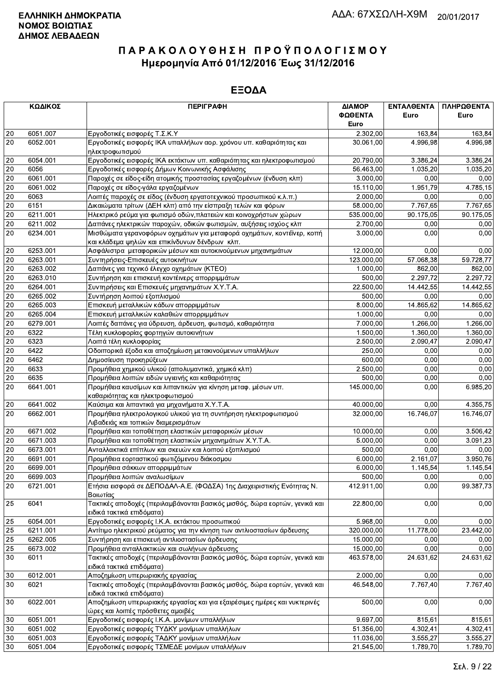|          | ΚΩΔΙΚΟΣ              | <b>ПЕРІГРАФН</b>                                                                                        | ΔΙΑΜΟΡ                | ΕΝΤΑΛΘΕΝΤΑ         | ΠΛΗΡΩΘΕΝΤΑ         |
|----------|----------------------|---------------------------------------------------------------------------------------------------------|-----------------------|--------------------|--------------------|
|          |                      |                                                                                                         | ΦΩΘΕΝΤΑ               | Euro               | Euro               |
|          |                      |                                                                                                         | Euro                  |                    |                    |
| 20       | 6051.007             | Εργοδοτικές εισφορές Τ.Σ.Κ.Υ                                                                            | 2.302,00              | 163.84             | 163,84             |
| 20       | 6052.001             | Εργοδοτικές εισφορές ΙΚΑ υπαλλήλων αορ. χρόνου υπ. καθαριότητας και<br>ηλεκτροφωτισμού                  | 30.061,00             | 4.996,98           | 4.996,98           |
| 20       | 6054.001             | Εργοδοτικές εισφορές ΙΚΑ εκτάκτων υπ. καθαριότητας και ηλεκτροφωτισμού                                  | 20.790,00             | 3.386,24           | 3.386,24           |
| 20       | 6056                 | Εργοδοτικές εισφορές Δήμων Κοινωνικής Ασφάλισης                                                         | 56.463,00             | 1.035.20           | 1.035,20           |
| 20       | 6061.001             | Παροχές σε είδος-είδη ατομικής προστασίας εργαζομένων (ένδυση κλπ)                                      | 3.000,00              | 0,00               | 0,00               |
| 20       | 6061.002             | Παροχές σε είδος-γάλα εργαζομένων                                                                       | 15.110,00             | 1.951,79           | 4.785,15           |
| 20       | 6063                 | Λοιπές παροχές σε είδος (ένδυση εργατοτεχνικού προσωπικού κ.λ.π.)                                       | 2.000,00              | 0,00               | 0,00               |
| 20       | 6151                 | Δικαιώματα τρίτων (ΔΕΗ κλπ) από την είσπραξη τελών και φόρων                                            | 58.000,00             | 7.767,65           | 7.767,65           |
| 20       | 6211.001             | Ηλεκτρικό ρεύμα για φωτισμό οδών, πλατειών και κοινοχρήστων χώρων                                       | 535.000,00            | 90.175,05          | 90.175,05          |
| $20\,$   | 6211.002             | Δαπάνες ηλεκτρικών παροχών, οδικών φωτισμών, αυξήσεις ισχύος κλπ                                        | 2.700,00              | 0,00               | 0,00               |
| 20       | 6234.001             | Μισθώματα γερανοφόρων οχημάτων για μεταφορά οχημάτων, κοντέϊνερ, κοπή                                   | 3.000,00              | 0,00               | 0,00               |
|          |                      | και κλάδεμα ψηλών και επικίνδυνων δένδρων κλπ.                                                          |                       |                    |                    |
| $20\,$   | 6253.001             | Ασφάλιστρα μεταφορικών μέσων και αυτοκινούμενων μηχανημάτων                                             | 12.000,00             | 0,00               | 0,00               |
| 20       | 6263.001             | Συντηρήσεις-Επισκευές αυτοκινήτων                                                                       | 123.000,00            | 57.068,38          | 59.728,77          |
| 20       | 6263.002             | Δαπάνες για τεχνικό έλεγχο οχημάτων (ΚΤΕΟ)                                                              | 1.000.00              | 862,00             | 862.00             |
| 20       | 6263.010             | Συντήρηση και επισκευή κοντέινερς απορριμμάτων                                                          | 500,00                | 2.297,72           | 2.297,72           |
| 20       | 6264.001             | Συντηρήσεις και Επισκευές μηχανημάτων Χ.Υ.Τ.Α.                                                          | 22.500,00             | 14.442,55          | 14.442,55          |
| 20       | 6265.002             | Συντήρηση λοιπού εξοπλισμού                                                                             | 500,00                | 0,00               | 0,00               |
| 20       | 6265.003             | Επισκευή μεταλλικών κάδων απορριμμάτων                                                                  | 8.000,00              | 14.865,62          | 14.865,62          |
| 20       | 6265.004             | Επισκευή μεταλλικών καλαθιών απορριμμάτων                                                               | 1.000,00              | 0,00               | 0,00               |
| 20       | 6279.001             | Λοιπές δαπάνες για ύδρευση, άρδευση, φωτισμό, καθαριότητα                                               | 7.000,00              | 1.266,00           | 1.266,00           |
| 20       | 6322                 | Τέλη κυκλοφορίας φορτηγών αυτοκινήτων                                                                   | 1.500,00              | 1.360,00           | 1.360,00           |
| 20       | 6323                 | Λοιπά τέλη κυκλοφορίας                                                                                  | 2.500,00              | 2.090,47           | 2.090,47           |
| 20       | 6422                 | Οδοιπορικά έξοδα και αποζημίωση μετακινούμενων υπαλλήλων                                                | 250,00                | 0,00               | 0,00               |
| 20       | 6462                 | Δημοσίευση προκηρύξεων                                                                                  | 600,00                | 0,00               | 0,00               |
| 20       | 6633                 | Προμήθεια χημικού υλικού (απολυμαντικά, χημικά κλπ)                                                     | 2.500,00              | 0,00               | 0,00               |
| 20       | 6635                 | Προμήθεια λοιπών ειδών υγιεινής και καθαριότητας                                                        | 500,00                | 0,00               | 0,00               |
| 20       | 6641.001             | Προμήθεια καυσίμων και λιπαντικών για κίνηση μεταφ. μέσων υπ.                                           | 145.000,00            | 0,00               | 6.985,20           |
|          |                      | καθαριότητας και ηλεκτροφωτισμού                                                                        |                       |                    |                    |
| 20       | 6641.002             | Καύσιμα και λιπαντικά για μηχανήματα Χ.Υ.Τ.Α.                                                           | 40.000,00             | 0,00               | 4.355,75           |
| 20       | 6662.001             | Προμήθεια ηλεκτρολογικού υλικού για τη συντήρηση ηλεκτροφωτισμού<br>Λιβαδειάς και τοπικών διαμερισμάτων | 32.000,00             | 16.746,07          | 16.746,07          |
| 20       | 6671.002             | Προμήθεια και τοποθέτηση ελαστικών μεταφορικών μέσων                                                    | 10.000,00             | 0,00               | 3.506,42           |
| 20       | 6671.003             | Προμήθεια και τοποθέτηση ελαστικών μηχανημάτων Χ.Υ.Τ.Α.                                                 | 5.000,00              | 0,00               | 3.091,23           |
| 20       | 6673.001             | Ανταλλακτικά επίπλων και σκευών και λοιπού εξοπλισμού                                                   | 500,00                | 0,00               | 0,00               |
| 20       | 6691.001             | Προμήθεια εορταστικού φωτιζόμενου διάκοσμου                                                             | 6.000,00              | 2.161,07           | 3.950,76           |
| 20       | 6699.001             | Προμήθεια σάκκων απορριμμάτων                                                                           | 6.000,00              | 1.145,54           | 1.145,54           |
| $20\,$   | 6699.003             | Προμήθεια λοιπών αναλωσίμων                                                                             | 500,00                | 0,00               | 0,00               |
| 20       | 6721.001             | Ετήσια εισφορά σε ΔΕΠΟΔΑΛ-Α.Ε. (ΦΟΔΣΑ) 1ης Διαχειριστικής Ενότητας Ν.<br>Βοιωτίας                       | 412.911,00            | 0,00               | 99.387,73          |
| 25       | 6041                 | Τακτικές αποδοχές (περιλαμβάνονται βασικός μισθός, δώρα εορτών, γενικά και<br>ειδικά τακτικά επιδόματα) | 22.800,00             | 0,00               | 0,00               |
| 25       | 6054.001             | Εργοδοτικές εισφορές Ι.Κ.Α. εκτάκτου προσωπικού                                                         | 5.968,00              | 0,00               | 0,00               |
| 25       | 6211.001             | Αντίτιμο ηλεκτρικού ρεύματος για την κίνηση των αντλιοστασίων άρδευσης                                  | 320.000,00            | 11.778,00          | 23.442,00          |
| 25       | 6262.005             | Συντήρηση και επισκευή αντλιοστασίων άρδευσης                                                           | 15.000,00             | 0,00               | 0,00               |
| 25       | 6673.002             | Προμήθεια ανταλλακτικών και σωλήνων άρδευσης                                                            | 15.000,00             | 0,00               | 0,00               |
| 30       | 6011                 | Τακτικές αποδοχές (περιλαμβάνονται βασικός μισθός, δώρα εορτών, γενικά και<br>ειδικά τακτικά επιδόματα) | 463.578,00            | 24.631,62          | 24.631,62          |
| 30       | 6012.001             | Αποζημίωση υπερωριακής εργασίας                                                                         | 2.000,00              | 0,00               | 0,00               |
| 30       | 6021                 | Τακτικές αποδοχές (περιλαμβάνονται βασικός μισθός, δώρα εορτών, γενικά και                              | 46.548,00             | 7.767,40           | 7.767,40           |
|          |                      | ειδικά τακτικά επιδόματα)                                                                               |                       |                    |                    |
| 30       | 6022.001             | Αποζημίωση υπερωριακής εργασίας και για εξαιρέσιμες ημέρες και νυκτερινές                               | 500,00                | 0,00               | 0,00               |
|          |                      | ώρες και λοιπές πρόσθετες αμοιβές                                                                       |                       |                    |                    |
| 30       | 6051.001             | Εργοδοτικές εισφορές Ι.Κ.Α. μονίμων υπαλλήλων                                                           | 9.697,00<br>51.356,00 | 815,61<br>4.302,41 | 815,61<br>4.302,41 |
| 30       | 6051.002             | Εργοδοτικές εισφορές ΤΥΔΚΥ μονίμων υπαλλήλων                                                            |                       | 3.555,27           | 3.555,27           |
| 30<br>30 | 6051.003<br>6051.004 | Εργοδοτικές εισφορές ΤΑΔΚΥ μονίμων υπαλλήλων<br>Εργοδοτικές εισφορές ΤΣΜΕΔΕ μονίμων υπαλλήλων           | 11.036,00             |                    |                    |
|          |                      |                                                                                                         | 21.545,00             | 1.789,70           | 1.789,70           |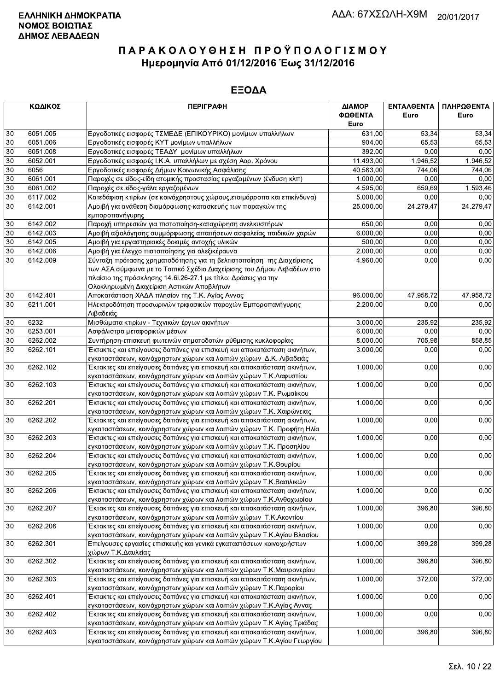|        | ΚΩΔΙΚΟΣ  | <b>ПЕРІГРАФН</b>                                                         | ΔΙΑΜΟΡ<br>ΦΩΘΕΝΤΑ<br>Euro | <b>ENTAA@ENTA</b><br>Euro | ΠΛΗΡΩΘΕΝΤΑ<br>Euro |
|--------|----------|--------------------------------------------------------------------------|---------------------------|---------------------------|--------------------|
| 30     | 6051.005 | Εργοδοτικές εισφορές ΤΣΜΕΔΕ (ΕΠΙΚΟΥΡΙΚΟ) μονίμων υπαλλήλων               | 631,00                    | 53,34                     | 53,34              |
| 30     | 6051.006 | Εργοδοτικές εισφορές ΚΥΤ μονίμων υπαλλήλων                               | 904,00                    | 65,53                     | 65,53              |
| 30     | 6051.008 | Εργοδοτικές εισφορές ΤΕΑΔΥ μονίμων υπαλλήλων                             | 392,00                    | 0.00                      | 0,00               |
| 30     | 6052.001 | Εργοδοτικές εισφορές Ι.Κ.Α. υπαλλήλων με σχέση Αορ. Χρόνου               | 11.493,00                 | 1.946.52                  | 1.946,52           |
| 30     | 6056     | Εργοδοτικές εισφορές Δήμων Κοινωνικής Ασφάλισης                          | 40.583,00                 | 744,06                    | 744,06             |
| 30     | 6061.001 | Παροχές σε είδος-είδη ατομικής προστασίας εργαζομένων (ένδυση κλπ)       | 1.000,00                  | 0,00                      | 0,00               |
| 30     | 6061.002 | Παροχές σε είδος-γάλα εργαζομένων                                        | 4.595,00                  | 659,69                    | 1.593,46           |
| 30     | 6117.002 | Κατεδάφιση κτιρίων (σε κοινόχρηστους χώρους, ετοιμόρροπα και επικίνδυνα) | 5.000,00                  | 0,00                      | 0,00               |
| 30     | 6142.001 | Αμοιβή για ανάθεση διαμόρφωσης-κατασκευής των παραγκών της               | 25.000,00                 | 24.279,47                 | 24.279,47          |
|        |          | εμποροπανήγυρης                                                          |                           |                           |                    |
| 30     | 6142.002 | Παροχή υπηρεσιών για πιστοποίηση-καταχώρηση ανελκυστήρων                 | 650,00                    | 0.00                      | 0,00               |
| 30     | 6142.003 | Αμοιβή αξιολόγησης συμμόρφωσης απαιτήσεων ασφαλείας παιδικών χαρών       | 6.000,00                  | 0,00                      | 0,00               |
| 30     | 6142.005 | Αμοιβή για εργαστηριακές δοκιμές αντοχής υλικών                          | 500,00                    | 0,00                      | 0,00               |
| 30     | 6142.006 | Αμοιβή για έλεγχο πιστοποίησης για αλεξικέραυνα                          | 2.000,00                  | 0,00                      | 0,00               |
| 30     | 6142.009 | Σύνταξη πρότασης χρηματοδότησης για τη βελτιστοποίηση της Διαχείρισης    | 4.960,00                  | 0,00                      | 0,00               |
|        |          | των ΑΣΑ σύμφωνα με το Τοπικό Σχέδιο Διαχείρισης του Δήμου Λεβαδέων στο   |                           |                           |                    |
|        |          | πλαίσιο της πρόσκλησης 14.6i.26-27.1 με τίτλο: Δράσεις για την           |                           |                           |                    |
|        |          |                                                                          |                           |                           |                    |
|        |          | Ολοκληρωμένη Διαχείριση Αστικών Αποβλήτων                                |                           |                           |                    |
| 30     | 6142.401 | Αποκατάσταση ΧΑΔΑ πλησίον της Τ.Κ. Αγίας Αννας                           | 96.000,00                 | 47.958,72                 | 47.958,72          |
| 30     | 6211.001 | Ηλεκτροδότηση προσωρινών τριφασικών παροχών Εμποροπανήγυρης<br>Λιβαδειάς | 2.200,00                  | 0,00                      | 0,00               |
| $30\,$ | 6232     | Μισθώματα κτιρίων - Τεχνικών έργων ακινήτων                              | 3.000,00                  | 235,92                    | 235,92             |
| 30     | 6253.001 | Ασφάλιστρα μεταφορικών μέσων                                             | 6.000,00                  | 0.00                      | 0,00               |
| 30     | 6262.002 | Συντήρηση-επισκευή φωτεινών σηματοδοτών ρύθμισης κυκλοφορίας             | 8.000,00                  | 705,98                    | 858,85             |
| $30\,$ | 6262.101 |                                                                          |                           |                           |                    |
|        |          | Έκτακτες και επείγουσες δαπάνες για επισκευή και αποκατάσταση ακινήτων,  | 3.000,00                  | 0,00                      | 0,00               |
|        |          | εγκαταστάσεων, κοινόχρηστων χώρων και λοιπών χώρων Δ.Κ. Λιβαδειάς        |                           |                           |                    |
| 30     | 6262.102 | Έκτακτες και επείγουσες δαπάνες για επισκευή και αποκατάσταση ακινήτων,  | 1.000,00                  | 0,00                      | 0,00               |
|        |          | εγκαταστάσεων, κοινόχρηστων χώρων και λοιπών χώρων Τ.Κ.Λαφυστίου         |                           |                           |                    |
| $30\,$ | 6262.103 | Έκτακτες και επείγουσες δαπάνες για επισκευή και αποκατάσταση ακινήτων,  | 1.000,00                  | 0,00                      | 0,00               |
|        |          | εγκαταστάσεων, κοινόχρηστων χώρων και λοιπών χώρων Τ.Κ. Ρωμαίικου        |                           |                           |                    |
| 30     | 6262.201 | Έκτακτες και επείγουσες δαπάνες για επισκευή και αποκατάσταση ακινήτων,  | 1.000,00                  | 0,00                      | 0,00               |
|        |          | εγκαταστάσεων, κοινόχρηστων χώρων και λοιπών χώρων Τ.Κ. Χαιρώνειας       |                           |                           |                    |
| $30\,$ | 6262.202 | Έκτακτες και επείγουσες δαπάνες για επισκευή και αποκατάσταση ακινήτων,  | 1.000,00                  | 0,00                      | 0,00               |
|        |          | εγκαταστάσεων, κοινόχρηστων χώρων και λοιπών χώρων Τ.Κ. Προφήτη Ηλία     |                           |                           |                    |
| 30     | 6262.203 | Έκτακτες και επείγουσες δαπάνες για επισκευή και αποκατάσταση ακινήτων,  | 1.000,00                  | 0,00                      | 0,00               |
|        |          | εγκαταστάσεων, κοινόχρηστων χώρων και λοιπών χώρων Τ.Κ. Προσηλίου        |                           |                           |                    |
| 30     | 6262.204 | Έκτακτες και επείγουσες δαπάνες για επισκευή και αποκατάσταση ακινήτων,  | 1.000,00                  | 0,00                      | 0,00               |
|        |          | εγκαταστάσεων, κοινόχρηστων χώρων και λοιπών χώρων Τ.Κ.Θουρίου           |                           |                           |                    |
| 30     | 6262.205 | Έκτακτες και επείγουσες δαπάνες για επισκευή και αποκατάσταση ακινήτων,  | 1.000,00                  | 0,00                      | 0,00               |
|        |          | εγκαταστάσεων, κοινόχρηστων χώρων και λοιπών χώρων Τ.Κ.Βασιλικών         |                           |                           |                    |
| 30     | 6262.206 | Έκτακτες και επείγουσες δαπάνες για επισκευή και αποκατάσταση ακινήτων,  | 1.000,00                  | 0,00                      | 0,00               |
|        |          | εγκαταστάσεων, κοινόχρηστων χώρων και λοιπών χώρων Τ.Κ.Ανθοχωρίου        |                           |                           |                    |
| 30     | 6262.207 | Έκτακτες και επείγουσες δαπάνες για επισκευή και αποκατάσταση ακινήτων,  | 1.000,00                  | 396,80                    | 396,80             |
|        |          | εγκαταστάσεων, κοινόχρηστων χώρων και λοιπών χώρων Τ.Κ. Ακοντίου         |                           |                           |                    |
| 30     | 6262.208 | Έκτακτες και επείγουσες δαπάνες για επισκευή και αποκατάσταση ακινήτων,  | 1.000,00                  | 0,00                      | 0,00               |
|        |          | εγκαταστάσεων, κοινόχρηστων χώρων και λοιπών χώρων Τ.Κ.Αγίου Βλασίου     |                           |                           |                    |
| 30     | 6262.301 | Επείγουσες εργασίες επισκευής και γενικά εγκαταστάσεων κοινοχρήστων      | 1.000,00                  | 399,28                    | 399,28             |
|        |          | χώρων Τ.Κ.Δαυλείας                                                       |                           |                           |                    |
| 30     | 6262.302 | Έκτακτες και επείγουσες δαπάνες για επισκευή και αποκατάσταση ακινήτων,  | 1.000,00                  | 396,80                    | 396,80             |
|        |          | εγκαταστάσεων, κοινόχρηστων χώρων και λοιπών χώρων Τ.Κ.Μαυρονερίου       |                           |                           |                    |
| 30     | 6262.303 | Έκτακτες και επείγουσες δαπάνες για επισκευή και αποκατάσταση ακινήτων,  | 1.000,00                  | 372,00                    | 372,00             |
|        |          | εγκαταστάσεων, κοινόχρηστων χώρων και λοιπών χώρων Τ.Κ.Παρορίου          |                           |                           |                    |
| 30     | 6262.401 | Έκτακτες και επείγουσες δαπάνες για επισκευή και αποκατάσταση ακινήτων,  | 1.000,00                  | 0,00                      | 0,00               |
|        |          | εγκαταστάσεων, κοινόχρηστων χώρων και λοιπών χώρων Τ.Κ.Αγίας Αννας       |                           |                           |                    |
| 30     | 6262.402 | Έκτακτες και επείγουσες δαπάνες για επισκευή και αποκατάσταση ακινήτων,  | 1.000,00                  | 0,00                      | 0,00               |
|        |          | εγκαταστάσεων, κοινόχρηστων χώρων και λοιπών χώρων Τ.Κ Αγίας Τριάδας     |                           |                           |                    |
| 30     | 6262.403 | Έκτακτες και επείγουσες δαπάνες για επισκευή και αποκατάσταση ακινήτων,  | 1.000,00                  | 396,80                    | 396,80             |
|        |          | εγκαταστάσεων, κοινόχρηστων χώρων και λοιπών χώρων Τ.Κ.Αγίου Γεωργίου    |                           |                           |                    |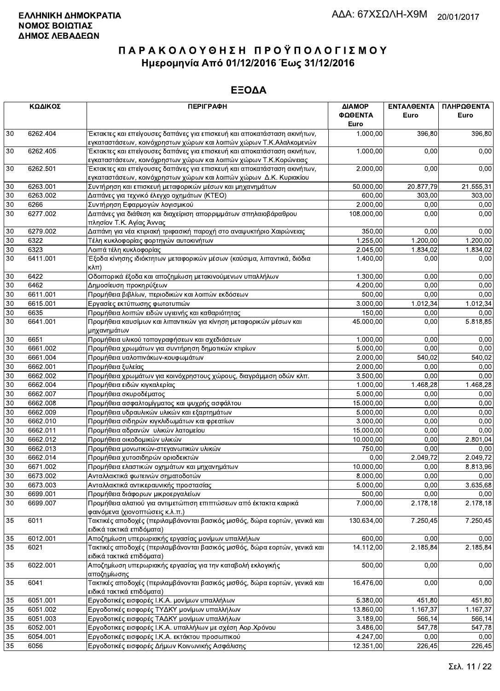|        | ΚΩΔΙΚΟΣ  | <b>ПЕРІГРАФН</b>                                                                                                                              | ΔΙΑΜΟΡ<br>ΦΩΘΕΝΤΑ<br>Euro | ΕΝΤΑΛΘΕΝΤΑ<br>Euro | ΠΛΗΡΩΘΕΝΤΑ<br>Euro |
|--------|----------|-----------------------------------------------------------------------------------------------------------------------------------------------|---------------------------|--------------------|--------------------|
| 30     | 6262.404 | Έκτακτες και επείγουσες δαπάνες για επισκευή και αποκατάσταση ακινήτων,<br>εγκαταστάσεων, κοινόχρηστων χώρων και λοιπών χώρων Τ.Κ.Αλαλκομενών | 1.000,00                  | 396,80             | 396,80             |
| 30     | 6262.405 | Έκτακτες και επείγουσες δαπάνες για επισκευή και αποκατάσταση ακινήτων,<br>εγκαταστάσεων, κοινόχρηστων χώρων και λοιπών χώρων Τ.Κ.Κορώνειας   | 1.000,00                  | 0,00               | 0,00               |
| 30     | 6262.501 | Έκτακτες και επείγουσες δαπάνες για επισκευή και αποκατάσταση ακινήτων,<br>εγκαταστάσεων, κοινόχρηστων χώρων και λοιπών χώρων Δ.Κ. Κυριακίου  | 2.000,00                  | 0,00               | 0,00               |
| 30     | 6263.001 | Συντήρηση και επισκευή μεταφορικών μέσων και μηχανημάτων                                                                                      | 50.000,00                 | 20.877,79          | 21.555,31          |
| 30     | 6263.002 | Δαπάνες για τεχνικό έλεγχο οχημάτων (ΚΤΕΟ)                                                                                                    | 600,00                    | 303,00             | 303,00             |
| 30     | 6266     | Συντήρηση Εφαρμογών λογισμικού                                                                                                                | 2.000,00                  | 0,00               | 0,00               |
| 30     | 6277.002 | Δαπάνες για διάθεση και διαχείριση απορριμμάτων σπηλαιοβάραθρου<br>πλησίον Τ.Κ. Αγίας Άννας                                                   | 108.000.00                | 0,00               | 0,00               |
| 30     | 6279.002 | Δαπάνη για νέα κτιριακή τριφασική παροχή στο αναψυκτήριο Χαιρώνειας                                                                           | 350,00                    | 0,00               | 0,00               |
| 30     | 6322     | Τέλη κυκλοφορίας φορτηγών αυτοκινήτων                                                                                                         | 1.255,00                  | 1.200,00           | 1.200,00           |
| 30     | 6323     | Λοιπά τέλη κυκλοφορίας                                                                                                                        | 2.045,00                  | 1.834,02           | 1.834,02           |
| 30     | 6411.001 | Έξοδα κίνησης ιδιόκτητων μεταφορικών μέσων (καύσιμα, λιπαντικά, διόδια<br>кλπ)                                                                | 1.400,00                  | 0,00               | 0,00               |
| 30     | 6422     | Οδοιπορικά έξοδα και αποζημίωση μετακινούμενων υπαλλήλων                                                                                      | 1.300,00                  | 0,00               | 0,00               |
| 30     | 6462     | Δημοσίευση προκηρύξεων                                                                                                                        | 4.200,00                  | 0,00               | 0,00               |
| 30     | 6611.001 | Προμήθεια βιβλίων, περιοδικών και λοιπών εκδόσεων                                                                                             | 500,00                    | 0.00               | 0,00               |
| 30     | 6615.001 | Εργασίες εκτύπωσης φωτοτυπιών                                                                                                                 | 3.000,00                  | 1.012,34           | 1.012,34           |
| 30     | 6635     | Προμήθεια λοιπών ειδών υγιεινής και καθαριότητας                                                                                              | 150,00                    | 0,00               | 0,00               |
| 30     | 6641.001 | Προμήθεια καυσίμων και λιπαντικών για κίνηση μεταφορικών μέσων και<br>μηχανημάτων                                                             | 45.000,00                 | 0,00               | 5.818,85           |
| 30     | 6651     | Προμήθεια υλικού τοπογραφήσεων και σχεδιάσεων                                                                                                 | 1.000,00                  | 0,00               | 0,00               |
| 30     | 6661.002 | Προμήθεια χρωμάτων για συντήρηση δημοτικών κτιρίων                                                                                            | 5.000,00                  | 0.00               | 0,00               |
| 30     | 6661.004 | Προμήθεια υαλοπινάκων-κουφωμάτων                                                                                                              | 2.000,00                  | 540,02             | 540,02             |
| 30     | 6662.001 | Προμήθεια ξυλείας                                                                                                                             | 2.000,00                  | 0,00               | 0,00               |
| 30     | 6662.002 | Προμήθεια χρωμάτων για κοινόχρηστους χώρους, διαγράμμιση οδών κλπ.                                                                            | 3.500,00                  | 0,00               | 0,00               |
| 30     | 6662.004 | Προμήθεια ειδών κιγκαλερίας                                                                                                                   | 1.000,00                  | 1.468,28           | 1.468,28           |
| 30     | 6662.007 | Προμήθεια σκυροδέματος                                                                                                                        | 5.000,00                  | 0,00               | 0,00               |
| 30     | 6662.008 | Προμήθεια ασφαλτομίγματος και ψυχρής ασφάλτου                                                                                                 | 15.000,00                 | 0,00               | 0,00               |
| 30     | 6662.009 | Προμήθεια υδραυλικών υλικών και εξαρτημάτων                                                                                                   | 5.000,00                  | 0,00               | 0,00               |
| 30     | 6662.010 | Προμήθεια σιδηρών κιγκλιδωμάτων και φρεατίων                                                                                                  | 3.000,00                  | 0,00               | 0,00               |
| 30     | 6662.011 | Προμήθεια αδρανών υλικών λατομείου                                                                                                            | 15.000,00                 | 0.00               | 0,00               |
| 30     | 6662.012 | Προμήθεια οικοδομικών υλικών                                                                                                                  | 10.000.00                 | 0,00               | 2.801,04           |
| 30     | 6662.013 | Προμήθεια μονωτικών-στεγανωτικών υλικών                                                                                                       | 750,00                    | 0,00               | 0,00               |
| 30     | 6662.014 | Προμήθεια χυτοσιδηρών οριοδεικτών                                                                                                             | 0,00                      | 2.049,72           | 2.049,72           |
| 30     | 6671.002 | Προμήθεια ελαστικών οχημάτων και μηχανημάτων                                                                                                  | 10.000,00                 | 0,00               | 8.813,96           |
| $30\,$ | 6673.002 | Ανταλλακτικά φωτεινών σηματοδοτών                                                                                                             | 8.000,00                  | 0.00               | 0,00               |
| 30     | 6673.003 | Ανταλλακτικά αντικεραυνικής προστασίας                                                                                                        | 5.000,00                  | 0,00               | 3.635,68           |
| 30     | 6699.001 | Προμήθεια διάφορων μικροεργαλείων                                                                                                             | 500,00                    | 0,00               | 0,00               |
| 30     | 6699.007 | Προμήθεια αλατιού για αντιμετώπιση επιπτώσεων από έκτακτα καιρικά<br>φαινόμενα (χιονοπτώσεις κ.λ.π.)                                          | 7.000,00                  | 2.178,18           | 2.178,18           |
| 35     | 6011     | Τακτικές αποδοχές (περιλαμβάνονται βασικός μισθός, δώρα εορτών, γενικά και<br>ειδικά τακτικά επιδόματα)                                       | 130.634,00                | 7.250,45           | 7.250,45           |
| 35     | 6012.001 | Αποζημίωση υπερωριακής εργασίας μονίμων υπαλλήλων                                                                                             | 600,00                    | 0,00               | 0,00               |
| 35     | 6021     | Τακτικές αποδοχές (περιλαμβάνονται βασικός μισθός, δώρα εορτών, γενικά και<br>ειδικά τακτικά επιδόματα)                                       | 14.112,00                 | 2.185,84           | 2.185,84           |
| 35     | 6022.001 | Αποζημίωση υπερωριακής εργασίας για την καταβολή εκλογικής<br>αποζημίωσης                                                                     | 500,00                    | 0,00               | 0,00               |
| 35     | 6041     | Τακτικές αποδοχές (περιλαμβάνονται βασικός μισθός, δώρα εορτών, γενικά και<br>ειδικά τακτικά επιδόματα)                                       | 16.476,00                 | 0,00               | 0,00               |
| 35     | 6051.001 | Εργοδοτικές εισφορές Ι.Κ.Α. μονίμων υπαλλήλων                                                                                                 | 5.380,00                  | 451,80             | 451,80             |
| 35     | 6051.002 | Εργοδοτικές εισφορές ΤΥΔΚΥ μονίμων υπαλλήλων                                                                                                  | 13.860,00                 | 1.167,37           | 1.167,37           |
| 35     | 6051.003 | Εργοδοτικές εισφορές ΤΑΔΚΥ μονίμων υπαλλήλων                                                                                                  | 3.189,00                  | 566,14             | 566,14             |
| 35     | 6052.001 | Εργοδοτικες εισφορές Ι.Κ.Α. υπαλλήλων με σχέση Αορ.Χρόνου                                                                                     | 3.486,00                  | 547,78             | 547,78             |
| 35     | 6054.001 | Εργοδοτικές εισφορές Ι.Κ.Α. εκτάκτου προσωπικού                                                                                               | 4.247,00                  | 0,00               | 0,00               |
| 35     | 6056     | Εργοδοτικές εισφορές Δήμων Κοινωνικής Ασφάλισης                                                                                               | 12.351,00                 | 226,45             | 226,45             |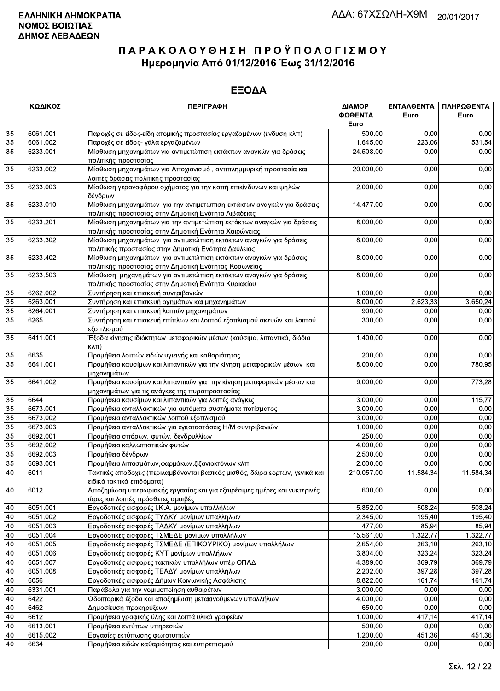|                 | ΚΩΔΙΚΟΣ<br><b>ПЕРІГРАФН</b> |                                                                                                                               | ΔΙΑΜΟΡ<br>ΦΩΘΕΝΤΑ  | ΕΝΤΑΛΘΕΝΤΑ<br>Euro | ΠΛΗΡΩΘΕΝΤΑ<br>Euro |  |
|-----------------|-----------------------------|-------------------------------------------------------------------------------------------------------------------------------|--------------------|--------------------|--------------------|--|
|                 |                             |                                                                                                                               | Euro               |                    |                    |  |
| 35              | 6061.001                    | Παροχές σε είδος-είδη ατομικής προστασίας εργαζομένων (ένδυση κλπ)                                                            | 500,00             | 0.00               | 0,00               |  |
| 35<br>35        | 6061.002                    | Παροχές σε είδος- γάλα εργαζομένων                                                                                            | 1.645,00           | 223,06             | 531,54             |  |
|                 | 6233.001                    | Μίσθωση μηχανημάτων για αντιμετώπιση εκτάκτων αναγκών για δράσεις<br>πολιτικής προστασίας                                     | 24.508,00          | 0,00               | 0,00               |  |
| 35              | 6233.002                    | Μίσθωση μηχανημάτων για Αποχιονισμό, αντιπλημμυρική προστασία και<br>λοιπές δράσεις πολιτικής προστασίας                      | 20.000,00          | 0,00               | 0,00               |  |
| 35              | 6233.003                    | Μίσθωση γερανοφόρου οχήματος για την κοπή επικίνδυνων και ψηλών<br>δένδρων                                                    | 2.000,00           | 0,00               | 0,00               |  |
| 35              | 6233.010                    | Μίσθωση μηχανημάτων για την αντιμετώπιση εκτάκτων αναγκών για δράσεις<br>πολιτικής προστασίας στην Δημοτική Ενότητα Λιβαδειάς | 14.477,00          | 0,00               | 0,00               |  |
| 35              | 6233.201                    | Μίσθωση μηχανημάτων για την αντιμετώπιση εκτάκτων αναγκών για δράσεις                                                         | 8.000,00           | 0,00               | 0,00               |  |
| 35              | 6233.302                    | πολιτικής προστασίας στην Δημοτική Ενότητα Χαιρώνειας<br>Μίσθωση μηχανημάτων για αντιμετώπιση εκτάκτων αναγκών για δράσεις    | 8.000,00           | 0,00               | 0,00               |  |
|                 |                             | πολιτιικής προστασίας στην Δημοτική Ενότητα Δαύλειας                                                                          |                    |                    |                    |  |
| 35              | 6233.402                    | Μίσθωση μηχανημάτων για αντιμετώπιση εκτάκτων αναγκών για δράσεις                                                             | 8.000,00           | 0,00               | 0,00               |  |
|                 |                             | πολιτικής προστασίας στην Δημοτική Ενότητας Κορωνείας                                                                         | 8.000.00           |                    |                    |  |
| 35              | 6233.503                    | Μίσθωση μηχανημάτων για αντιμετώπιση εκτάκτων αναγκών για δράσεις<br>πολιτικής προστασίας στην Δημοτική Ενότητα Κυριακίου     |                    | 0,00               | 0,00               |  |
| 35              | 6262.002                    | Συντήρηση και επισκευή συντριβανιών                                                                                           | 1.000,00           | 0,00               | 0,00               |  |
| 35              | 6263.001                    | Συντήρηση και επισκευή οχημάτων και μηχανημάτων                                                                               | 8.000,00           | 2.623,33           | 3.650,24           |  |
| 35              | 6264.001                    | Συντήρηση και επισκευή λοιπών μηχανημάτων                                                                                     | 900,00             | 0,00               | 0,00               |  |
| 35              | 6265                        | Συντήρηση και επισκευή επίπλων και λοιπού εξοπλισμού σκευών και λοιπού<br>εξοπλισμού                                          | 300,00             | 0,00               | 0,00               |  |
| 35              | 6411.001                    | Έξοδα κίνησης ιδιόκτητων μεταφορικών μέσων (καύσιμα, λιπαντικά, διόδια<br>$K\lambda\pi$ )                                     | 1.400,00           | 0,00               | 0,00               |  |
| 35              | 6635                        | Προμήθεια λοιπών ειδών υγιεινής και καθαριότητας                                                                              | 200,00             | 0,00               | 0,00               |  |
| 35              | 6641.001                    | Προμήθεια καυσίμων και λιπαντικών για την κίνηση μεταφορικών μέσων και<br>μηχανημάτων                                         | 8.000,00           | 0,00               | 780,95             |  |
| 35              | 6641.002                    | Προμήθεια καυσίμων και λιπαντικών για την κίνηση μεταφορικών μέσων και<br>μηχανημάτων για τις ανάγκες της πυροπροστασίας      | 9.000,00           | 0,00               | 773,28             |  |
| 35              | 6644                        | Προμήθεια καυσίμων και λιπαντικών για λοιπές ανάγκες                                                                          | 3.000,00           | 0,00               | 115,77             |  |
| 35              | 6673.001                    | Προμήθεια ανταλλακτικών για αυτόματα συστήματα ποτίσματος                                                                     | 3.000,00           | 0,00               | 0,00               |  |
| 35              | 6673.002                    | Προμήθεια ανταλλακτικών λοιπού εξοπλισμού                                                                                     | 3.000,00           | 0,00               | 0,00               |  |
| 35              | 6673.003                    | Προμήθεια ανταλλακτικών για εγκαταστάσεις Η/Μ συντριβανιών                                                                    | 1.000,00           | 0,00               | 0,00               |  |
| 35              | 6692.001                    | Προμήθεια σπόρων, φυτών, δενδρυλλίων                                                                                          | 250,00             | 0,00               | 0,00               |  |
| 35              | 6692.002                    | Προμήθεια καλλωπιστικών φυτών                                                                                                 | 4.000,00           | 0,00               | 0,00               |  |
| 35              | 6692.003                    | Προμήθεια δένδρων                                                                                                             | 2.500,00           | 0,00               | 0,00               |  |
| $\overline{35}$ | 6693.001                    | Προμήθεια λιπασμάτων, φαρμάκων, ζιζανιοκτόνων κλπ                                                                             | 2.000,00           | 0,00               | 0,00               |  |
| 40              | 6011                        | Τακτικές αποδοχές (περιλαμβάνονται βασικός μισθός, δώρα εορτών, γενικά και<br>ειδικά τακτικά επιδόματα)                       | 210.057,00         | 11.584,34          | 11.584,34          |  |
| 40              | 6012                        | Αποζημίωση υπερωριακής εργασίας και για εξαιρέσιμες ημέρες και νυκτερινές<br>ώρες και λοιπές πρόσθετες αμοιβές                | 600,00             | 0,00               | 0,00               |  |
| 40              | 6051.001                    | Εργοδοτικές εισφορές Ι.Κ.Α. μονίμων υπαλλήλων                                                                                 | 5.852,00           | 508,24             | 508,24             |  |
| 40              | 6051.002                    | Εργοδοτικές εισφορές ΤΥΔΚΥ μονίμων υπαλλήλων                                                                                  | 2.345,00           | 195,40             | 195,40             |  |
| 40              | 6051.003                    | Εργοδοτικές εισφορές ΤΑΔΚΥ μονίμων υπαλλήλων                                                                                  | 477,00             | 85,94              | 85,94              |  |
| 40              | 6051.004                    | Εργοδοτικές εισφορές ΤΣΜΕΔΕ μονίμων υπαλλήλων                                                                                 | 15.561,00          | 1.322,77           | 1.322,77           |  |
| 40              | 6051.005                    | Εργοδοτικές εισφορές ΤΣΜΕΔΕ (ΕΠΙΚΟΥΡΙΚΟ) μονίμων υπαλλήλων                                                                    | 2.654,00           | 263,10             | 263,10             |  |
| 40              | 6051.006                    | Εργοδοτικές εισφορές ΚΥΤ μονίμων υπαλλήλων                                                                                    | 3.804,00           | 323,24             | 323,24             |  |
| 40              | 6051.007                    | Εργοδοτικές εισφορες τακτικών υπαλλήλων υπέρ ΟΠΑΔ                                                                             | 4.389,00           | 369,79             | 369,79             |  |
| 40              | 6051.008                    | Εργοδοτικές εισφορές ΤΕΑΔΥ μονίμων υπαλλήλων                                                                                  | 2.202,00           | 397,28             | 397,28             |  |
| $40\,$          | 6056                        | Εργοδοτικές εισφορές Δήμων Κοινωνικής Ασφάλισης                                                                               | 8.822,00           | 161,74             | 161,74             |  |
| 40              | 6331.001                    | Παράβολα για την νομιμοποίηση αυθαιρέτων                                                                                      | 3.000,00           | 0,00               | 0,00               |  |
| 40              | 6422                        | Οδοιπορικά έξοδα και αποζημίωση μετακινούμενων υπαλλήλων                                                                      | 4.000,00           | 0,00               | 0,00               |  |
| 40              | 6462                        | Δημοσίευση προκηρύξεων                                                                                                        | 650,00             | 0,00               | 0,00               |  |
|                 | 6612                        | Προμήθεια γραφικής ύλης και λοιπά υλικά γραφείων                                                                              |                    |                    |                    |  |
| 40              | 6613.001                    |                                                                                                                               | 1.000,00<br>500,00 | 417,14<br>0,00     | 417,14             |  |
| 40<br>40        | 6615.002                    | Προμήθεια εντύπων υπηρεσιών<br>Εργασίες εκτύπωσης φωτοτυπιών                                                                  | 1.200,00           | 451,36             | 0,00               |  |
| 40              | 6634                        | Προμήθεια ειδών καθαριότητας και ευπρεπισμού                                                                                  | 200,00             | 0,00               | 451,36             |  |
|                 |                             |                                                                                                                               |                    |                    | 0,00               |  |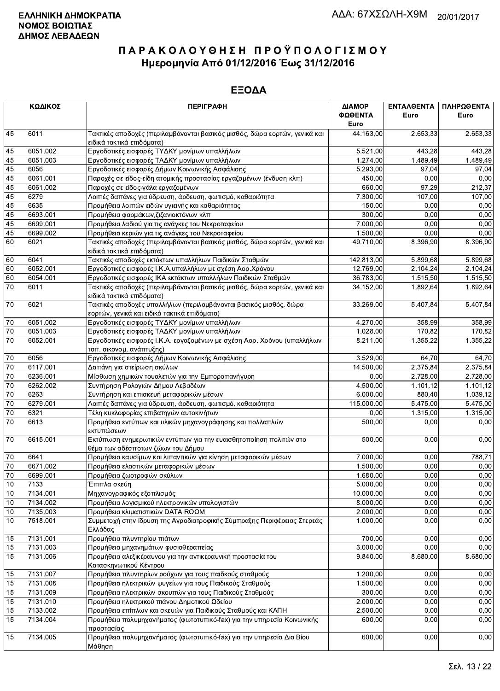| ΚΩΔΙΚΟΣ<br><b>ПЕРІГРАФН</b> |          |                                                                                                         | ΔΙΑΜΟΡ          | ΕΝΤΑΛΘΕΝΤΑ | ΠΛΗΡΩΘΕΝΤΑ            |
|-----------------------------|----------|---------------------------------------------------------------------------------------------------------|-----------------|------------|-----------------------|
|                             |          |                                                                                                         | ΦΩΘΕΝΤΑ<br>Euro | Euro       | Euro                  |
| 45                          | 6011     | Τακτικές αποδοχές (περιλαμβάνονται βασικός μισθός, δώρα εορτών, γενικά και<br>ειδικά τακτικά επιδόματα) | 44.163,00       | 2.653,33   | $\overline{2.653,33}$ |
| 45                          | 6051.002 | Εργοδοτικές εισφορές ΤΥΔΚΥ μονίμων υπαλλήλων                                                            | 5.521,00        | 443,28     | 443,28                |
| 45                          | 6051.003 | Εργοδοτικές εισφορές ΤΑΔΚΥ μονίμων υπαλλήλων                                                            | 1.274,00        | 1.489,49   | 1.489,49              |
| 45                          | 6056     | Εργοδοτικές εισφορές Δήμων Κοινωνικής Ασφάλισης                                                         | 5.293,00        | 97,04      | 97,04                 |
| 45                          | 6061.001 | Παροχές σε είδος-είδη ατομικής προστασίας εργαζομένων (ένδυση κλπ)                                      | 450,00          | 0,00       | 0,00                  |
| 45                          | 6061.002 | Παροχές σε είδος-γάλα εργαζομένων                                                                       | 660.00          | 97,29      | 212,37                |
| 45                          | 6279     | Λοιπές δαπάνες για ύδρευση, άρδευση, φωτισμό, καθαριότητα                                               | 7.300,00        | 107,00     | 107,00                |
| 45                          | 6635     | Προμήθεια λοιπών ειδών υγιεινής και καθαριότητας                                                        | 150,00          | 0,00       | 0,00                  |
| 45                          | 6693.001 | Προμήθεια φαρμάκων, ζιζανιοκτόνων κλπ                                                                   | 300,00          | 0,00       | 0,00                  |
| 45                          | 6699.001 | Προμήθεια λαδιού για τις ανάγκες του Νεκροταφείου                                                       | 7.000,00        | 0.00       | 0,00                  |
| 45                          | 6699.002 | Προμήθεια κεριών για τις ανάγκες του Νεκροταφείου                                                       | 1.500,00        | 0,00       | 0,00                  |
| 60                          | 6021     | Τακτικές αποδοχές (περιλαμβάνονται βασικός μισθός, δώρα εορτών, γενικά και                              | 49.710,00       | 8.396,90   | 8.396,90              |
|                             |          | ειδικά τακτικά επιδόματα)                                                                               |                 |            |                       |
| 60                          | 6041     | Τακτικές αποδοχές εκτάκτων υπαλλήλων Παιδικών Σταθμών                                                   | 142.813,00      | 5.899,68   | 5.899,68              |
| 60                          | 6052.001 | Εργοδοτικές εισφορές Ι.Κ.Α.υπαλλήλων με σχέση Αορ.Χρόνου                                                | 12.769,00       | 2.104,24   | 2.104,24              |
| 60                          | 6054.001 | Εργοδοτικές εισφορές ΙΚΑ εκτάκτων υπαλλήλων Παιδικών Σταθμών                                            | 36.783,00       | 1.515,50   | 1.515,50              |
| 70                          | 6011     | Τακτικές αποδοχές (περιλαμβάνονται βασικός μισθός, δώρα εορτών, γενικά και                              | 34.152,00       | 1.892,64   | 1.892,64              |
|                             |          | ειδικά τακτικά επιδόματα)                                                                               |                 |            |                       |
| $70\,$                      | 6021     | Τακτικές αποδοχές υπαλλήλων (περιλαμβάνονται βασικός μισθός, δώρα                                       | 33.269,00       | 5.407,84   | 5.407,84              |
|                             |          | εορτών, γενικά και ειδικά τακτικά επιδόματα)                                                            |                 |            |                       |
| $70\,$                      | 6051.002 | Εργοδοτικές εισφορές ΤΥΔΚΥ μονίμων υπαλλήλων                                                            | 4.270,00        | 358,99     | 358,99                |
| 70                          | 6051.003 | Εργοδοτικές εισφορές ΤΑΔΚΥ μονίμων υπαλλήλων                                                            | 1.028,00        | 170,82     | 170.82                |
| $\overline{70}$             | 6052.001 | Εργοδοτικές εισφορές Ι.Κ.Α. εργαζομένων με σχέση Αορ. Χρόνου (υπαλλήλων<br>τοπ. οικονομ. ανάπτυξης)     | 8.211,00        | 1.355,22   | 1.355,22              |
| 70                          | 6056     | Εργοδοτικές εισφορές Δήμων Κοινωνικής Ασφάλισης                                                         | 3.529,00        | 64,70      | 64,70                 |
| $\overline{70}$             | 6117.001 | Δαπάνη για στείρωση σκύλων                                                                              | 14.500,00       | 2.375,84   | 2.375,84              |
| 70                          | 6236.001 | Μίσθωση χημικών τουαλετών για την Εμποροπανήγυρη                                                        | 0,00            | 2.728,00   | 2.728,00              |
| 70                          | 6262.002 | Συντήρηση Ρολογιών Δήμου Λεβαδέων                                                                       | 4.500,00        | 1.101,12   | 1.101,12              |
| $70\,$                      | 6263     | Συντήρηση και επισκευή μεταφορικών μέσων                                                                | 6.000,00        | 880,40     | 1.039,12              |
| $\overline{70}$             | 6279.001 | Λοιπές δαπάνες για ύδρευση, άρδευση, φωτισμό, καθαριότητα                                               | 115.000,00      | 5.475,00   | 5.475,00              |
| $\overline{70}$             | 6321     | Τέλη κυκλοφορίας επιβατηγών αυτοκινήτων                                                                 | 0,00            | 1.315,00   | 1.315,00              |
| $\overline{70}$             | 6613     | Προμήθεια εντύπων και υλικών μηχανογράφησης και πολλαπλών                                               | 500,00          | 0,00       | 0,00                  |
|                             |          | εκτυπώσεων                                                                                              |                 |            |                       |
| 70                          | 6615.001 | Εκτύπωση ενημερωτικών εντύπων για την ευαισθητοποίηση πολιτών στο                                       | 500,00          | 0,00       | 0,00                  |
|                             |          | θέμα των αδέσποτων ζώων του Δήμου                                                                       |                 |            |                       |
| 70                          | 6641     | Προμήθεια καυσίμων και λιπαντικών για κίνηση μεταφορικών μέσων                                          | 7.000,00        | 0,00       | 788,71                |
| 70                          | 6671.002 | Προμήθεια ελαστικών μεταφορικών μέσων                                                                   | 1.500.00        | 0,00       | 0,00                  |
| $70\,$                      | 6699.001 | Προμήθεια ζωοτροφών σκύλων                                                                              | 1.680,00        | 0,00       | 0,00                  |
| $10$                        | 7133     | Έπιπλα σκεύη                                                                                            | 5.000,00        | 0,00       | 0,00                  |
| 10                          | 7134.001 | Μηχανογραφικός εξοπλισμός                                                                               | 10.000,00       | 0,00       | 0,00                  |
| 10                          | 7134.002 | Προμήθεια λογισμικού ηλεκτρονικών υπολογιστών                                                           | 8.000,00        | 0,00       | 0,00                  |
| 10                          | 7135.003 | Προμήθεια κλιματιστικών DATA ROOM                                                                       | 2.000,00        | 0,00       | 0,00                  |
| 10                          | 7518.001 | Συμμετοχή στην ίδρυση της Αγροδιατροφικής Σύμπραξης Περιφέρειας Στερεάς                                 | 1.000,00        | 0,00       | 0,00                  |
|                             |          | Ελλάδας                                                                                                 |                 |            |                       |
| 15                          | 7131.001 | Προμήθεια πλυντηρίου πιάτων                                                                             | 700,00          | 0,00       | 0,00                  |
| 15                          | 7131.003 | Προμήθεια μηχανημάτων φυσιοθεραπείας                                                                    | 3.000,00        | 0,00       | 0,00                  |
| 15                          | 7131.006 | Προμήθεια αλεξικέραυνου για την αντικεραυνική προστασία του                                             | 9.840,00        | 8.680,00   | 8.680,00              |
|                             |          | Κατασκηνωτικού Κέντρου                                                                                  |                 |            |                       |
| 15                          | 7131.007 | Προμήθεια πλυντηρίων ρούχων για τους παιδκούς σταθμούς                                                  | 1.200,00        | 0,00       | 0,00                  |
| 15                          | 7131.008 | Προμήθεια ηλεκτρικών ψυγείων για τους Παιδικούς Σταθμούς                                                | 1.500,00        | 0,00       | 0.00                  |
| 15                          | 7131.009 | Προμήθεια ηλεκτρικών σκουπών για τους Παιδικούς Σταθμούς                                                | 300,00          | 0,00       | 0,00                  |
| 15                          | 7131.010 | Προμήθεια ηλεκτρικού πιάνου Δημοτικού Ωδείου                                                            | 2.000,00        | 0,00       | 0,00                  |
| 15                          | 7133.002 | Προμήθεια επίπλων και σκευών για Παιδικούς Σταθμούς και ΚΑΠΗ                                            | 2.500,00        | 0,00       | 0,00                  |
| 15                          | 7134.004 | Προμήθεια πολυμηχανήματος (φωτοτυπικό-fax) για την υπηρεσία Κοινωνικής<br>προστασίας                    | 600,00          | 0,00       | 0,00                  |
| 15                          | 7134.005 | Προμήθεια πολυμηχανήματος (φωτοτυπικό-fax) για την υπηρεσία Δια Βίου<br>Μάθηση                          | 600,00          | 0,00       | 0,00                  |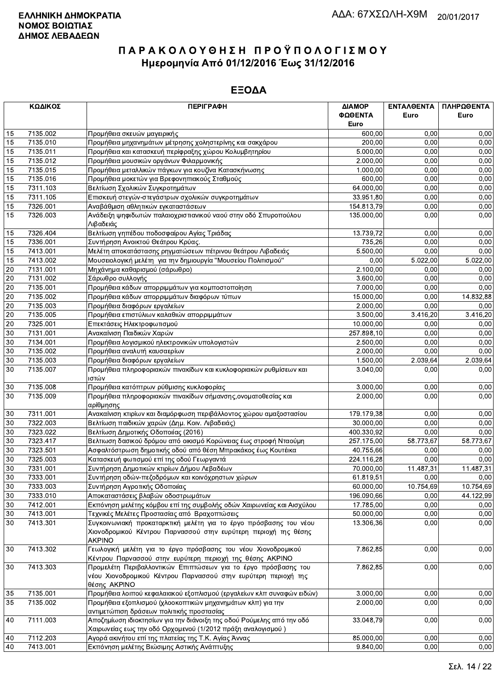| ΚΩΔΙΚΟΣ |          | <b>ПЕРІГРАФН</b>                                                                                                                                      | ΔΙΑΜΟΡ<br>ΦΩΘΕΝΤΑ | ΕΝΤΑΛΘΕΝΤΑ<br>Euro | ΠΛΗΡΩΘΕΝΤΑ<br>Euro |
|---------|----------|-------------------------------------------------------------------------------------------------------------------------------------------------------|-------------------|--------------------|--------------------|
|         |          |                                                                                                                                                       | Euro              |                    |                    |
| 15      | 7135.002 | Προμήθεια σκευών μαγειρικής                                                                                                                           | 600,00            | 0.00               | 0,00               |
| 15      | 7135.010 | Προμήθεια μηχανημάτων μέτρησης χοληστερίνης και σακχάρου                                                                                              | 200,00            | 0.00               | 0,00               |
| 15      | 7135.011 | Προμήθεια και κατασκευή περίφραξης χώρου Κολυμβητηρίου                                                                                                | 5.000,00          | 0,00               | 0,00               |
| 15      | 7135.012 | Προμήθεια μουσικών οργάνων Φιλαρμονικής                                                                                                               | 2.000,00          | 0,00               | 0,00               |
| 15      | 7135.015 | Προμήθεια μεταλλικών πάγκων για κουζίνα Κατασκήνωσης                                                                                                  | 1.000,00          | 0,00               | 0,00               |
| 15      | 7135.016 | Προμήθεια μοκετών για Βρεφονηπιακούς Σταθμούς                                                                                                         | 600,00            | 0,00               | 0,00               |
| 15      | 7311.103 | Βελτίωση Σχολικών Συγκροτημάτων                                                                                                                       | 64.000,00         | 0,00               | 0,00               |
| 15      | 7311.105 | Επισκευή στεγών-στεγάστρων σχολικών συγκροτημάτων                                                                                                     | 33.951,80         | 0,00               | 0,00               |
| 15      | 7326.001 | Αναβάθμιση αθλητικών εγκαταστάσεων                                                                                                                    | 154.813,79        | 0,00               | 0,00               |
| 15      | 7326.003 | Ανάδειξη ψηφιδωτών παλαιοχριστιανικού ναού στην οδό Σπυροπούλου<br>Λιβαδειάς                                                                          | 135.000,00        | 0,00               | 0,00               |
| 15      | 7326.404 | Βελτίωση γηπέδου ποδοσφαίρου Αγίας Τριάδας                                                                                                            | 13.739,72         | 0,00               | 0,00               |
| 15      | 7336.001 | Συντήρηση Ανοικτού Θεάτρου Κρύας.                                                                                                                     | 735,26            | 0,00               | 0,00               |
| 15      | 7413.001 | Μελέτη αποκατάστασης ρηγματώσεων πέτρινου θεάτρου Λιβαδειάς                                                                                           | 5.500,00          | 0,00               | 0,00               |
| 15      | 7413.002 | Μουσειολογική μελέτη για την δημιουργία "Μουσείου Πολιτισμού"                                                                                         | 0,00              | 5.022,00           | 5.022,00           |
| 20      | 7131.001 | Μηχάνημα καθαρισμού (σάρωθρο)                                                                                                                         | 2.100,00          | 0,00               | 0,00               |
| $20\,$  | 7131.002 | Σάρωθρο συλλογής                                                                                                                                      | 3.600,00          | 0,00               | 0,00               |
| 20      | 7135.001 | Προμήθεια κάδων απορριμμάτων για κομποστοποίηση                                                                                                       | 7.000,00          | 0,00               | 0,00               |
| 20      | 7135.002 | Προμήθεια κάδων απορριμμάτων διαφόρων τύπων                                                                                                           | 15.000,00         | 0,00               | 14.832,88          |
| 20      | 7135.003 | Προμήθεια διαφόρων εργαλείων                                                                                                                          | 2.000,00          | 0,00               | 0,00               |
| 20      | 7135.005 | Προμήθεια επιστύλιων καλαθιών απορριμμάτων                                                                                                            | 3.500,00          | 3.416,20           | 3.416,20           |
| $20\,$  | 7325.001 | Επεκτάσεις Ηλεκτροφωτισμού                                                                                                                            | 10.000,00         | 0,00               | 0,00               |
| $30\,$  | 7131.001 | Ανακαίνιση Παιδικών Χαρών                                                                                                                             | 257.898,10        | 0,00               | 0,00               |
| 30      | 7134.001 | Προμήθεια λογισμικού ηλεκτρονικών υπολογιστών                                                                                                         | 2.500,00          | 0.00               | 0,00               |
| 30      | 7135.002 | Προμήθεια αναλυτή καυσαερίων                                                                                                                          | 2.000,00          | 0,00               | 0,00               |
| 30      | 7135.003 | Προμήθεια διαφόρων εργαλείων                                                                                                                          | 1.500,00          | 2.039,64           | 2.039,64           |
| 30      | 7135.007 | Προμήθεια πληροφοριακών πινακίδων και κυκλοφοριακών ρυθμίσεων και<br>ιστών                                                                            | 3.040,00          | 0,00               | 0,00               |
| 30      | 7135.008 | Προμήθεια κατόπτρων ρύθμισης κυκλοφορίας                                                                                                              | 3.000,00          | 0,00               | 0,00               |
| 30      | 7135.009 | Προμήθεια πληροφοριακών πινακίδων σήμανσης, ονοματοθεσίας και<br>αρίθμησης                                                                            | 2.000,00          | 0,00               | 0,00               |
| $30\,$  | 7311.001 | Ανακαίνιση κτιρίων και διαμόρφωση περιβάλλοντος χώρου αμαξοστασίου                                                                                    | 179.179,38        | 0,00               | 0,00               |
| 30      | 7322.003 | Βελτίωση παιδικών χαρών (Δημ. Κοιν. Λιβαδειάς)                                                                                                        | 30.000,00         | 0,00               | 0,00               |
| 30      | 7323.022 | Βελτίωση Δημοτικής Οδοποιίας (2016)                                                                                                                   | 400.330,92        | 0,00               | 0,00               |
| 30      | 7323.417 | Βελτιωση δασικού δρόμου από οικισμό Κορώνειας έως στροφή Νταούμη                                                                                      | 257.175,00        | 58.773,67          | 58.773,67          |
| 30      | 7323.501 | Ασφαλτόστρωση δημοτικής οδού από θέση Μπρακάκος έως Κουτέικα                                                                                          | 40.755,66         | 0,00               | 0,00               |
| 30      | 7325.003 | Κατασκευή φωτισμού επί της οδού Γεωργαντά                                                                                                             | 224.116,28        | 0,00               | 0,00               |
| 30      | 7331.001 | Συντήρηση Δημοτικών κτιρίων Δήμου Λεβαδέων                                                                                                            | 70.000,00         | 11.487,31          | 11.487,31          |
| $30\,$  | 7333.001 | Συντήρηση οδών-πεζοδρόμων και κοινόχρηστων χώρων                                                                                                      | 61.819,51         | 0,00               | 0,00               |
| 30      | 7333.003 | Συντήρηση Αγροτικής Οδοποιίας                                                                                                                         | 60.000,00         | 10.754,69          | 10.754,69          |
| 30      | 7333.010 | Αποκαταστάσεις βλαβών οδοστρωμάτων                                                                                                                    | 196.090,66        | 0,00               | 44.122,99          |
| 30      | 7412.001 | Εκπόνηση μελέτης κόμβου επί της συμβολής οδών Χαιρωνείας και Αισχύλου                                                                                 | 17.785,00         | 0,00               | 0,00               |
| $30\,$  | 7413.001 | Τεχνικές Μελέτες Προστασίας από Βραχοπτώσεις                                                                                                          | 50.000,00         | 0,00               | 0,00               |
| 30      | 7413.301 | Συγκοινωνιακή προκαταρκτική μελέτη για το έργο πρόσβασης του νέου<br>Χιονοδρομικού Κέντρου Παρνασσού στην ευρύτερη περιοχή της θέσης<br><b>AKPINO</b> | 13.306,36         | 0,00               | 0,00               |
| 30      | 7413.302 | Γεωλογική μελέτη για το έργο πρόσβασης του νέου Χιονοδρομικού<br>Κέντρου Παρνασσού στην ευρύτερη περιοχή της θέσης ΑΚΡΙΝΟ                             | 7.862,85          | 0,00               | 0,00               |
| 30      | 7413.303 | Προμελέτη Περιβαλλοντικών Επιπτώσεων για το έργο πρόσβασης του<br>νέου Χιονοδρομικού Κέντρου Παρνασσού στην ευρύτερη περιοχή της<br>θέσης AKPINO      | 7.862,85          | 0,00               | 0,00               |
| 35      | 7135.001 | Προμήθεια λοιπού κεφαλαιακού εξοπλισμού (εργαλείων κλπ συναφών ειδών)                                                                                 | 3.000,00          | 0,00               | 0,00               |
| 35      | 7135.002 | Προμήθεια εξοπλισμού (χλοοκοπτικών μηχανημάτων κλπ) για την                                                                                           | 2.000,00          | 0,00               | 0,00               |
|         |          | αντιμετώπιση δράσεων πολιτικής προστασίας                                                                                                             |                   |                    |                    |
| 40      | 7111.003 | Αποζημίωση ιδιοκτησίων για την διάνοιξη της οδού Ρούμελης από την οδό<br>Χαιρωνείας εως την οδό Ορχομενού (1/2012 πράξη αναλογισμού )                 | 33.048,79         | 0,00               | 0,00               |
| 40      | 7112.203 | Αγορά ακινήτου επί της πλατείας της Τ.Κ. Αγίας Άννας                                                                                                  | 85.000,00         | 0,00               | 0,00               |
| 40      | 7413.001 | Εκπόνηση μελέτης Βιώσιμης Αστικής Ανάπτυξης                                                                                                           | 9.840,00          | 0,00               | 0,00               |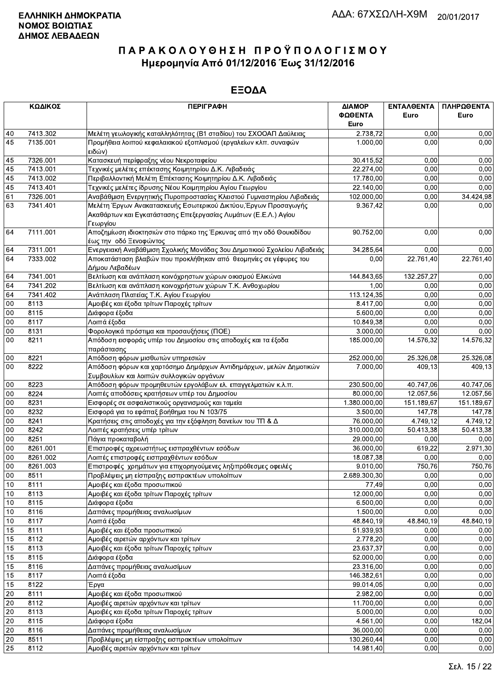| ΦΩΘΕΝΤΑ<br>Euro<br>Euro<br>Euro<br>7413.302<br>Μελέτη γεωλογικής καταλληλότητας (Β1 σταδίου) του ΣΧΟΟΑΠ Δαύλειας<br>40<br>2.738,72<br>0,00<br>0,00<br>45<br>7135.001<br>Προμήθεια λοιπού κεφαλαιακού εξοπλισμού (εργαλείων κλπ. συναφών<br>0,00<br>0,00<br>1.000,00<br>ειδών)<br>7326.001<br>Κατασκευή περίφραξης νέου Νεκροταφείου<br>30.415,52<br>0,00<br>0,00<br>45<br>45<br>7413.001<br>Τεχνικές μελέτες επέκτασης Κοιμητηρίου Δ.Κ. Λιβαδειάς<br>22.274,00<br>0,00<br>0,00<br>45<br>7413.002<br>Περιβαλλοντική Μελέτη Επέκτασης Κοιμητηρίου Δ.Κ. Λιβαδειάς<br>17.780,00<br>0,00<br>0,00<br>45<br>0,00<br>7413.401<br>Τεχνικές μελέτες ίδρυσης Νέου Κοιμητηρίου Αγίου Γεωργίου<br>22.140,00<br>0,00<br>61<br>7326.001<br>0,00<br>Αναβάθμιση Ενεργητικής Πυροπροστασίας Κλειστού Γυμναστηρίου Λιβαδειάς<br>102.000,00<br>34.424,98<br>7341.401<br>Μελέτη Έργων Ανακατασκευής Εσωτερικού Δικτύου, Έργων Προσαγωγής<br>9.367,42<br>0,00<br>63<br>0,00<br>Ακαθάρτων και Εγκατάστασης Επεξεργασίας Λυμάτων (Ε.Ε.Λ.) Αγίου<br>Γεωργίου<br>Αποζημίωση ιδιοκτησιών στο πάρκο της Έρκυνας από την οδό Θουκιδίδου<br>64<br>7111.001<br>0,00<br>90.752,00<br>0,00<br>έως την οδό Ξενοφώντος<br>Ενεργειακή Αναβάθμιση Σχολικής Μονάδας 3ου Δημοτικιού Σχολείου Λιβαδειάς<br>7311.001<br>34.285,64<br>0,00<br>0,00<br>64<br>64<br>7333.002<br>Αποκατάσταση βλαβών που προκλήθηκαν από θεομηνίες σε γέφυρες του<br>22.761,40<br>22.761,40<br>0,00<br>Δήμου Λεβαδέων<br>7341.001<br>Βελτίωση και ανάπλαση κοινόχρηστων χώρων οικισμού Ελικώνα<br>144.843,65<br>132.257,27<br>0,00<br>64<br>64<br>7341.202<br>Βελτίωση και ανάπλαση κοινοχρήστων χώρων Τ.Κ. Ανθοχωρίου<br>1,00<br>0,00<br>0,00<br>64<br>7341.402<br>Ανάπλαση Πλατείας Τ.Κ. Αγίου Γεωργίου<br>0,00<br>0,00<br>113.124,35<br>$00\,$<br>8113<br>Αμοιβές και έξοδα τρίτων Παροχές τρίτων<br>8.417,00<br>0,00<br>0,00<br>00<br>8115<br>5.600,00<br>0,00<br>Διάφορα έξοδα<br>0,00<br>00<br>8117<br>10.849,38<br>0,00<br>Λοιπά έξοδα<br>0,00<br>$00\,$<br>Φορολογικά πρόστιμα και προσαυξήσεις (ΠΟΕ)<br>3.000,00<br>0,00<br>0.00<br>8131<br>$00\,$<br>8211<br>Απόδοση εισφοράς υπέρ του Δημοσίου στις αποδοχές και τα έξοδα<br>185.000,00<br>14.576,32<br>14.576,32<br>παράστασης<br>Απόδοση φόρων μισθωτών υπηρεσιών<br>$00\,$<br>8221<br>252.000,00<br>25.326,08<br>25.326,08<br>8222<br>00<br>Απόδοση φόρων και χαρτόσημο Δημάρχων Αντιδημάρχων, μελών Δημοτικών<br>7.000,00<br>409.13<br>409,13<br>Συμβουλίων και λοιπών συλλογικών οργάνων<br>8223<br>230.500,00<br>40.747,06<br>40.747,06<br>00<br>Απόδοση φόρων προμηθευτών εργολάβων ελ. επαγγελματιών κ.λ.π.<br>00<br>12.057,56<br>8224<br>Λοιπές αποδόσεις κρατήσεων υπέρ του Δημοσίου<br>80.000,00<br>12.057,56<br>1.380.000,00<br>151.189,67<br>$00\,$<br>8231<br>Εισφορές σε ασφαλιστικούς οργανισμούς και ταμεία<br>151.189,67<br>00<br>8232<br>Εισφορά για το εφάπαξ βοήθημα του Ν 103/75<br>3.500,00<br>147,78<br>147,78<br>00<br>8241<br>76.000,00<br>4.749,12<br>Κρατήσεις στις αποδοχές για την εξόφληση δανείων του ΤΠ & Δ<br>4.749,12<br>$00\,$<br>8242<br>310.000,00<br>50.413,38<br>50.413,38<br>Λοιπές κρατήσεις υπέρ τρίτων<br>$00\,$<br>8251<br>Πάγια προκαταβολή<br>29.000,00<br>0,00<br>0,00<br>00<br>8261.001<br>Επιστροφές αχρεωστήτως εισπραχθέντων εσόδων<br>36.000,00<br>619,22<br>2.971,30<br>18.087,38<br>0,00<br>00<br>8261.002<br>Λοιπές επιστροφές εισπραχθέντων εσόδων<br>0,00<br>00<br>9.010,00<br>750,76<br>8261.003<br>Επιστροφές χρημάτων για επιχορηγούμενες ληξιπρόθεσμες οφειλές<br>750,76<br>00<br>2.689.300,30<br>0.00<br>8511<br>Προβλέψεις μη είσπραξης εισπρακτέων υπολοίπων<br>0,00<br>Αμοιβές και έξοδα προσωπικού<br>$10$<br>8111<br>0,00<br>0,00<br>77,49<br>12.000,00<br>0,00<br>10<br>8113<br>Αμοιβές και έξοδα τρίτων Παροχές τρίτων<br>0,00<br>6.500,00<br>0,00<br>10<br>8115<br>Διάφορα έξοδα<br>0,00<br>10<br>8116<br>Δαπάνες προμήθειας αναλωσίμων<br>1.500,00<br>0,00<br>0,00<br>10<br>Λοιπά έξοδα<br>8117<br>48.840,19<br>48.840,19<br>48.840,19<br>15<br>Αμοιβές και έξοδα προσωπικού<br>51.939,93<br>0,00<br>8111<br>0,00<br>15<br>8112<br>Αμοιβές αιρετών αρχόντων και τρίτων<br>2.778,20<br>0,00<br>0,00<br>0,00<br>15<br>8113<br>Αμοιβές και έξοδα τρίτων Παροχές τρίτων<br>23.637,37<br>0,00<br>15<br>8115<br>Διάφορα έξοδα<br>52.000,00<br>0,00<br>0,00<br>15<br>Δαπάνες προμήθειας αναλωσίμων<br>8116<br>23.316,00<br>0,00<br>0,00<br>15<br>0,00<br>8117<br>Λοιπά έξοδα<br>146.382,61<br>0,00<br>0,00<br>15<br>8122<br>Έργα<br>99.014,05<br>0,00<br>2.982,00<br>0,00<br>20<br>8111<br>Αμοιβές και έξοδα προσωπικού<br>0,00<br>20<br>8112<br>Αμοιβές αιρετών αρχόντων και τρίτων<br>11.700,00<br>0,00<br>0,00<br>$20\,$<br>5.000,00<br>0,00<br>0,00<br>8113<br>Αμοιβές και έξοδα τρίτων Παροχές τρίτων<br>$\overline{20}$<br>0,00<br>8115<br>Διάφορα έξοδα<br>4.561,00<br>182,04<br>Δαπάνες προμήθειας αναλωσίμων<br>20<br>8116<br>0,00<br>36.000,00<br>0,00<br>20<br>Προβλέψεις μη είσπραξης εισπρακτέων υπολοίπων<br>130.260,44<br>0,00<br>8511<br>0,00<br>$\overline{25}$<br>8112<br>Αμοιβές αιρετών αρχόντων και τρίτων<br>14.981,40<br>0,00<br>0,00 | ΚΩΔΙΚΟΣ | <b>ПЕРІГРАФН</b> | ΔΙΑΜΟΡ | ΕΝΤΑΛΘΕΝΤΑ | ΠΛΗΡΩΘΕΝΤΑ |
|-----------------------------------------------------------------------------------------------------------------------------------------------------------------------------------------------------------------------------------------------------------------------------------------------------------------------------------------------------------------------------------------------------------------------------------------------------------------------------------------------------------------------------------------------------------------------------------------------------------------------------------------------------------------------------------------------------------------------------------------------------------------------------------------------------------------------------------------------------------------------------------------------------------------------------------------------------------------------------------------------------------------------------------------------------------------------------------------------------------------------------------------------------------------------------------------------------------------------------------------------------------------------------------------------------------------------------------------------------------------------------------------------------------------------------------------------------------------------------------------------------------------------------------------------------------------------------------------------------------------------------------------------------------------------------------------------------------------------------------------------------------------------------------------------------------------------------------------------------------------------------------------------------------------------------------------------------------------------------------------------------------------------------------------------------------------------------------------------------------------------------------------------------------------------------------------------------------------------------------------------------------------------------------------------------------------------------------------------------------------------------------------------------------------------------------------------------------------------------------------------------------------------------------------------------------------------------------------------------------------------------------------------------------------------------------------------------------------------------------------------------------------------------------------------------------------------------------------------------------------------------------------------------------------------------------------------------------------------------------------------------------------------------------------------------------------------------------------------------------------------------------------------------------------------------------------------------------------------------------------------------------------------------------------------------------------------------------------------------------------------------------------------------------------------------------------------------------------------------------------------------------------------------------------------------------------------------------------------------------------------------------------------------------------------------------------------------------------------------------------------------------------------------------------------------------------------------------------------------------------------------------------------------------------------------------------------------------------------------------------------------------------------------------------------------------------------------------------------------------------------------------------------------------------------------------------------------------------------------------------------------------------------------------------------------------------------------------------------------------------------------------------------------------------------------------------------------------------------------------------------------------------------------------------------------------------------------------------------------------------------------------------------------------------------------------------------------------------------------------------------------------------------------------------------------------------------------------------------------------------------------------------------------------------------------------------------------------------------------------------------------------------------------------------------------------------------------------------------------------------------------|---------|------------------|--------|------------|------------|
|                                                                                                                                                                                                                                                                                                                                                                                                                                                                                                                                                                                                                                                                                                                                                                                                                                                                                                                                                                                                                                                                                                                                                                                                                                                                                                                                                                                                                                                                                                                                                                                                                                                                                                                                                                                                                                                                                                                                                                                                                                                                                                                                                                                                                                                                                                                                                                                                                                                                                                                                                                                                                                                                                                                                                                                                                                                                                                                                                                                                                                                                                                                                                                                                                                                                                                                                                                                                                                                                                                                                                                                                                                                                                                                                                                                                                                                                                                                                                                                                                                                                                                                                                                                                                                                                                                                                                                                                                                                                                                                                                                                                                                                                                                                                                                                                                                                                                                                                                                                                                                                                                                                             |         |                  |        |            |            |
|                                                                                                                                                                                                                                                                                                                                                                                                                                                                                                                                                                                                                                                                                                                                                                                                                                                                                                                                                                                                                                                                                                                                                                                                                                                                                                                                                                                                                                                                                                                                                                                                                                                                                                                                                                                                                                                                                                                                                                                                                                                                                                                                                                                                                                                                                                                                                                                                                                                                                                                                                                                                                                                                                                                                                                                                                                                                                                                                                                                                                                                                                                                                                                                                                                                                                                                                                                                                                                                                                                                                                                                                                                                                                                                                                                                                                                                                                                                                                                                                                                                                                                                                                                                                                                                                                                                                                                                                                                                                                                                                                                                                                                                                                                                                                                                                                                                                                                                                                                                                                                                                                                                             |         |                  |        |            |            |
|                                                                                                                                                                                                                                                                                                                                                                                                                                                                                                                                                                                                                                                                                                                                                                                                                                                                                                                                                                                                                                                                                                                                                                                                                                                                                                                                                                                                                                                                                                                                                                                                                                                                                                                                                                                                                                                                                                                                                                                                                                                                                                                                                                                                                                                                                                                                                                                                                                                                                                                                                                                                                                                                                                                                                                                                                                                                                                                                                                                                                                                                                                                                                                                                                                                                                                                                                                                                                                                                                                                                                                                                                                                                                                                                                                                                                                                                                                                                                                                                                                                                                                                                                                                                                                                                                                                                                                                                                                                                                                                                                                                                                                                                                                                                                                                                                                                                                                                                                                                                                                                                                                                             |         |                  |        |            |            |
|                                                                                                                                                                                                                                                                                                                                                                                                                                                                                                                                                                                                                                                                                                                                                                                                                                                                                                                                                                                                                                                                                                                                                                                                                                                                                                                                                                                                                                                                                                                                                                                                                                                                                                                                                                                                                                                                                                                                                                                                                                                                                                                                                                                                                                                                                                                                                                                                                                                                                                                                                                                                                                                                                                                                                                                                                                                                                                                                                                                                                                                                                                                                                                                                                                                                                                                                                                                                                                                                                                                                                                                                                                                                                                                                                                                                                                                                                                                                                                                                                                                                                                                                                                                                                                                                                                                                                                                                                                                                                                                                                                                                                                                                                                                                                                                                                                                                                                                                                                                                                                                                                                                             |         |                  |        |            |            |
|                                                                                                                                                                                                                                                                                                                                                                                                                                                                                                                                                                                                                                                                                                                                                                                                                                                                                                                                                                                                                                                                                                                                                                                                                                                                                                                                                                                                                                                                                                                                                                                                                                                                                                                                                                                                                                                                                                                                                                                                                                                                                                                                                                                                                                                                                                                                                                                                                                                                                                                                                                                                                                                                                                                                                                                                                                                                                                                                                                                                                                                                                                                                                                                                                                                                                                                                                                                                                                                                                                                                                                                                                                                                                                                                                                                                                                                                                                                                                                                                                                                                                                                                                                                                                                                                                                                                                                                                                                                                                                                                                                                                                                                                                                                                                                                                                                                                                                                                                                                                                                                                                                                             |         |                  |        |            |            |
|                                                                                                                                                                                                                                                                                                                                                                                                                                                                                                                                                                                                                                                                                                                                                                                                                                                                                                                                                                                                                                                                                                                                                                                                                                                                                                                                                                                                                                                                                                                                                                                                                                                                                                                                                                                                                                                                                                                                                                                                                                                                                                                                                                                                                                                                                                                                                                                                                                                                                                                                                                                                                                                                                                                                                                                                                                                                                                                                                                                                                                                                                                                                                                                                                                                                                                                                                                                                                                                                                                                                                                                                                                                                                                                                                                                                                                                                                                                                                                                                                                                                                                                                                                                                                                                                                                                                                                                                                                                                                                                                                                                                                                                                                                                                                                                                                                                                                                                                                                                                                                                                                                                             |         |                  |        |            |            |
|                                                                                                                                                                                                                                                                                                                                                                                                                                                                                                                                                                                                                                                                                                                                                                                                                                                                                                                                                                                                                                                                                                                                                                                                                                                                                                                                                                                                                                                                                                                                                                                                                                                                                                                                                                                                                                                                                                                                                                                                                                                                                                                                                                                                                                                                                                                                                                                                                                                                                                                                                                                                                                                                                                                                                                                                                                                                                                                                                                                                                                                                                                                                                                                                                                                                                                                                                                                                                                                                                                                                                                                                                                                                                                                                                                                                                                                                                                                                                                                                                                                                                                                                                                                                                                                                                                                                                                                                                                                                                                                                                                                                                                                                                                                                                                                                                                                                                                                                                                                                                                                                                                                             |         |                  |        |            |            |
|                                                                                                                                                                                                                                                                                                                                                                                                                                                                                                                                                                                                                                                                                                                                                                                                                                                                                                                                                                                                                                                                                                                                                                                                                                                                                                                                                                                                                                                                                                                                                                                                                                                                                                                                                                                                                                                                                                                                                                                                                                                                                                                                                                                                                                                                                                                                                                                                                                                                                                                                                                                                                                                                                                                                                                                                                                                                                                                                                                                                                                                                                                                                                                                                                                                                                                                                                                                                                                                                                                                                                                                                                                                                                                                                                                                                                                                                                                                                                                                                                                                                                                                                                                                                                                                                                                                                                                                                                                                                                                                                                                                                                                                                                                                                                                                                                                                                                                                                                                                                                                                                                                                             |         |                  |        |            |            |
|                                                                                                                                                                                                                                                                                                                                                                                                                                                                                                                                                                                                                                                                                                                                                                                                                                                                                                                                                                                                                                                                                                                                                                                                                                                                                                                                                                                                                                                                                                                                                                                                                                                                                                                                                                                                                                                                                                                                                                                                                                                                                                                                                                                                                                                                                                                                                                                                                                                                                                                                                                                                                                                                                                                                                                                                                                                                                                                                                                                                                                                                                                                                                                                                                                                                                                                                                                                                                                                                                                                                                                                                                                                                                                                                                                                                                                                                                                                                                                                                                                                                                                                                                                                                                                                                                                                                                                                                                                                                                                                                                                                                                                                                                                                                                                                                                                                                                                                                                                                                                                                                                                                             |         |                  |        |            |            |
|                                                                                                                                                                                                                                                                                                                                                                                                                                                                                                                                                                                                                                                                                                                                                                                                                                                                                                                                                                                                                                                                                                                                                                                                                                                                                                                                                                                                                                                                                                                                                                                                                                                                                                                                                                                                                                                                                                                                                                                                                                                                                                                                                                                                                                                                                                                                                                                                                                                                                                                                                                                                                                                                                                                                                                                                                                                                                                                                                                                                                                                                                                                                                                                                                                                                                                                                                                                                                                                                                                                                                                                                                                                                                                                                                                                                                                                                                                                                                                                                                                                                                                                                                                                                                                                                                                                                                                                                                                                                                                                                                                                                                                                                                                                                                                                                                                                                                                                                                                                                                                                                                                                             |         |                  |        |            |            |
|                                                                                                                                                                                                                                                                                                                                                                                                                                                                                                                                                                                                                                                                                                                                                                                                                                                                                                                                                                                                                                                                                                                                                                                                                                                                                                                                                                                                                                                                                                                                                                                                                                                                                                                                                                                                                                                                                                                                                                                                                                                                                                                                                                                                                                                                                                                                                                                                                                                                                                                                                                                                                                                                                                                                                                                                                                                                                                                                                                                                                                                                                                                                                                                                                                                                                                                                                                                                                                                                                                                                                                                                                                                                                                                                                                                                                                                                                                                                                                                                                                                                                                                                                                                                                                                                                                                                                                                                                                                                                                                                                                                                                                                                                                                                                                                                                                                                                                                                                                                                                                                                                                                             |         |                  |        |            |            |
|                                                                                                                                                                                                                                                                                                                                                                                                                                                                                                                                                                                                                                                                                                                                                                                                                                                                                                                                                                                                                                                                                                                                                                                                                                                                                                                                                                                                                                                                                                                                                                                                                                                                                                                                                                                                                                                                                                                                                                                                                                                                                                                                                                                                                                                                                                                                                                                                                                                                                                                                                                                                                                                                                                                                                                                                                                                                                                                                                                                                                                                                                                                                                                                                                                                                                                                                                                                                                                                                                                                                                                                                                                                                                                                                                                                                                                                                                                                                                                                                                                                                                                                                                                                                                                                                                                                                                                                                                                                                                                                                                                                                                                                                                                                                                                                                                                                                                                                                                                                                                                                                                                                             |         |                  |        |            |            |
|                                                                                                                                                                                                                                                                                                                                                                                                                                                                                                                                                                                                                                                                                                                                                                                                                                                                                                                                                                                                                                                                                                                                                                                                                                                                                                                                                                                                                                                                                                                                                                                                                                                                                                                                                                                                                                                                                                                                                                                                                                                                                                                                                                                                                                                                                                                                                                                                                                                                                                                                                                                                                                                                                                                                                                                                                                                                                                                                                                                                                                                                                                                                                                                                                                                                                                                                                                                                                                                                                                                                                                                                                                                                                                                                                                                                                                                                                                                                                                                                                                                                                                                                                                                                                                                                                                                                                                                                                                                                                                                                                                                                                                                                                                                                                                                                                                                                                                                                                                                                                                                                                                                             |         |                  |        |            |            |
|                                                                                                                                                                                                                                                                                                                                                                                                                                                                                                                                                                                                                                                                                                                                                                                                                                                                                                                                                                                                                                                                                                                                                                                                                                                                                                                                                                                                                                                                                                                                                                                                                                                                                                                                                                                                                                                                                                                                                                                                                                                                                                                                                                                                                                                                                                                                                                                                                                                                                                                                                                                                                                                                                                                                                                                                                                                                                                                                                                                                                                                                                                                                                                                                                                                                                                                                                                                                                                                                                                                                                                                                                                                                                                                                                                                                                                                                                                                                                                                                                                                                                                                                                                                                                                                                                                                                                                                                                                                                                                                                                                                                                                                                                                                                                                                                                                                                                                                                                                                                                                                                                                                             |         |                  |        |            |            |
|                                                                                                                                                                                                                                                                                                                                                                                                                                                                                                                                                                                                                                                                                                                                                                                                                                                                                                                                                                                                                                                                                                                                                                                                                                                                                                                                                                                                                                                                                                                                                                                                                                                                                                                                                                                                                                                                                                                                                                                                                                                                                                                                                                                                                                                                                                                                                                                                                                                                                                                                                                                                                                                                                                                                                                                                                                                                                                                                                                                                                                                                                                                                                                                                                                                                                                                                                                                                                                                                                                                                                                                                                                                                                                                                                                                                                                                                                                                                                                                                                                                                                                                                                                                                                                                                                                                                                                                                                                                                                                                                                                                                                                                                                                                                                                                                                                                                                                                                                                                                                                                                                                                             |         |                  |        |            |            |
|                                                                                                                                                                                                                                                                                                                                                                                                                                                                                                                                                                                                                                                                                                                                                                                                                                                                                                                                                                                                                                                                                                                                                                                                                                                                                                                                                                                                                                                                                                                                                                                                                                                                                                                                                                                                                                                                                                                                                                                                                                                                                                                                                                                                                                                                                                                                                                                                                                                                                                                                                                                                                                                                                                                                                                                                                                                                                                                                                                                                                                                                                                                                                                                                                                                                                                                                                                                                                                                                                                                                                                                                                                                                                                                                                                                                                                                                                                                                                                                                                                                                                                                                                                                                                                                                                                                                                                                                                                                                                                                                                                                                                                                                                                                                                                                                                                                                                                                                                                                                                                                                                                                             |         |                  |        |            |            |
|                                                                                                                                                                                                                                                                                                                                                                                                                                                                                                                                                                                                                                                                                                                                                                                                                                                                                                                                                                                                                                                                                                                                                                                                                                                                                                                                                                                                                                                                                                                                                                                                                                                                                                                                                                                                                                                                                                                                                                                                                                                                                                                                                                                                                                                                                                                                                                                                                                                                                                                                                                                                                                                                                                                                                                                                                                                                                                                                                                                                                                                                                                                                                                                                                                                                                                                                                                                                                                                                                                                                                                                                                                                                                                                                                                                                                                                                                                                                                                                                                                                                                                                                                                                                                                                                                                                                                                                                                                                                                                                                                                                                                                                                                                                                                                                                                                                                                                                                                                                                                                                                                                                             |         |                  |        |            |            |
|                                                                                                                                                                                                                                                                                                                                                                                                                                                                                                                                                                                                                                                                                                                                                                                                                                                                                                                                                                                                                                                                                                                                                                                                                                                                                                                                                                                                                                                                                                                                                                                                                                                                                                                                                                                                                                                                                                                                                                                                                                                                                                                                                                                                                                                                                                                                                                                                                                                                                                                                                                                                                                                                                                                                                                                                                                                                                                                                                                                                                                                                                                                                                                                                                                                                                                                                                                                                                                                                                                                                                                                                                                                                                                                                                                                                                                                                                                                                                                                                                                                                                                                                                                                                                                                                                                                                                                                                                                                                                                                                                                                                                                                                                                                                                                                                                                                                                                                                                                                                                                                                                                                             |         |                  |        |            |            |
|                                                                                                                                                                                                                                                                                                                                                                                                                                                                                                                                                                                                                                                                                                                                                                                                                                                                                                                                                                                                                                                                                                                                                                                                                                                                                                                                                                                                                                                                                                                                                                                                                                                                                                                                                                                                                                                                                                                                                                                                                                                                                                                                                                                                                                                                                                                                                                                                                                                                                                                                                                                                                                                                                                                                                                                                                                                                                                                                                                                                                                                                                                                                                                                                                                                                                                                                                                                                                                                                                                                                                                                                                                                                                                                                                                                                                                                                                                                                                                                                                                                                                                                                                                                                                                                                                                                                                                                                                                                                                                                                                                                                                                                                                                                                                                                                                                                                                                                                                                                                                                                                                                                             |         |                  |        |            |            |
|                                                                                                                                                                                                                                                                                                                                                                                                                                                                                                                                                                                                                                                                                                                                                                                                                                                                                                                                                                                                                                                                                                                                                                                                                                                                                                                                                                                                                                                                                                                                                                                                                                                                                                                                                                                                                                                                                                                                                                                                                                                                                                                                                                                                                                                                                                                                                                                                                                                                                                                                                                                                                                                                                                                                                                                                                                                                                                                                                                                                                                                                                                                                                                                                                                                                                                                                                                                                                                                                                                                                                                                                                                                                                                                                                                                                                                                                                                                                                                                                                                                                                                                                                                                                                                                                                                                                                                                                                                                                                                                                                                                                                                                                                                                                                                                                                                                                                                                                                                                                                                                                                                                             |         |                  |        |            |            |
|                                                                                                                                                                                                                                                                                                                                                                                                                                                                                                                                                                                                                                                                                                                                                                                                                                                                                                                                                                                                                                                                                                                                                                                                                                                                                                                                                                                                                                                                                                                                                                                                                                                                                                                                                                                                                                                                                                                                                                                                                                                                                                                                                                                                                                                                                                                                                                                                                                                                                                                                                                                                                                                                                                                                                                                                                                                                                                                                                                                                                                                                                                                                                                                                                                                                                                                                                                                                                                                                                                                                                                                                                                                                                                                                                                                                                                                                                                                                                                                                                                                                                                                                                                                                                                                                                                                                                                                                                                                                                                                                                                                                                                                                                                                                                                                                                                                                                                                                                                                                                                                                                                                             |         |                  |        |            |            |
|                                                                                                                                                                                                                                                                                                                                                                                                                                                                                                                                                                                                                                                                                                                                                                                                                                                                                                                                                                                                                                                                                                                                                                                                                                                                                                                                                                                                                                                                                                                                                                                                                                                                                                                                                                                                                                                                                                                                                                                                                                                                                                                                                                                                                                                                                                                                                                                                                                                                                                                                                                                                                                                                                                                                                                                                                                                                                                                                                                                                                                                                                                                                                                                                                                                                                                                                                                                                                                                                                                                                                                                                                                                                                                                                                                                                                                                                                                                                                                                                                                                                                                                                                                                                                                                                                                                                                                                                                                                                                                                                                                                                                                                                                                                                                                                                                                                                                                                                                                                                                                                                                                                             |         |                  |        |            |            |
|                                                                                                                                                                                                                                                                                                                                                                                                                                                                                                                                                                                                                                                                                                                                                                                                                                                                                                                                                                                                                                                                                                                                                                                                                                                                                                                                                                                                                                                                                                                                                                                                                                                                                                                                                                                                                                                                                                                                                                                                                                                                                                                                                                                                                                                                                                                                                                                                                                                                                                                                                                                                                                                                                                                                                                                                                                                                                                                                                                                                                                                                                                                                                                                                                                                                                                                                                                                                                                                                                                                                                                                                                                                                                                                                                                                                                                                                                                                                                                                                                                                                                                                                                                                                                                                                                                                                                                                                                                                                                                                                                                                                                                                                                                                                                                                                                                                                                                                                                                                                                                                                                                                             |         |                  |        |            |            |
|                                                                                                                                                                                                                                                                                                                                                                                                                                                                                                                                                                                                                                                                                                                                                                                                                                                                                                                                                                                                                                                                                                                                                                                                                                                                                                                                                                                                                                                                                                                                                                                                                                                                                                                                                                                                                                                                                                                                                                                                                                                                                                                                                                                                                                                                                                                                                                                                                                                                                                                                                                                                                                                                                                                                                                                                                                                                                                                                                                                                                                                                                                                                                                                                                                                                                                                                                                                                                                                                                                                                                                                                                                                                                                                                                                                                                                                                                                                                                                                                                                                                                                                                                                                                                                                                                                                                                                                                                                                                                                                                                                                                                                                                                                                                                                                                                                                                                                                                                                                                                                                                                                                             |         |                  |        |            |            |
|                                                                                                                                                                                                                                                                                                                                                                                                                                                                                                                                                                                                                                                                                                                                                                                                                                                                                                                                                                                                                                                                                                                                                                                                                                                                                                                                                                                                                                                                                                                                                                                                                                                                                                                                                                                                                                                                                                                                                                                                                                                                                                                                                                                                                                                                                                                                                                                                                                                                                                                                                                                                                                                                                                                                                                                                                                                                                                                                                                                                                                                                                                                                                                                                                                                                                                                                                                                                                                                                                                                                                                                                                                                                                                                                                                                                                                                                                                                                                                                                                                                                                                                                                                                                                                                                                                                                                                                                                                                                                                                                                                                                                                                                                                                                                                                                                                                                                                                                                                                                                                                                                                                             |         |                  |        |            |            |
|                                                                                                                                                                                                                                                                                                                                                                                                                                                                                                                                                                                                                                                                                                                                                                                                                                                                                                                                                                                                                                                                                                                                                                                                                                                                                                                                                                                                                                                                                                                                                                                                                                                                                                                                                                                                                                                                                                                                                                                                                                                                                                                                                                                                                                                                                                                                                                                                                                                                                                                                                                                                                                                                                                                                                                                                                                                                                                                                                                                                                                                                                                                                                                                                                                                                                                                                                                                                                                                                                                                                                                                                                                                                                                                                                                                                                                                                                                                                                                                                                                                                                                                                                                                                                                                                                                                                                                                                                                                                                                                                                                                                                                                                                                                                                                                                                                                                                                                                                                                                                                                                                                                             |         |                  |        |            |            |
|                                                                                                                                                                                                                                                                                                                                                                                                                                                                                                                                                                                                                                                                                                                                                                                                                                                                                                                                                                                                                                                                                                                                                                                                                                                                                                                                                                                                                                                                                                                                                                                                                                                                                                                                                                                                                                                                                                                                                                                                                                                                                                                                                                                                                                                                                                                                                                                                                                                                                                                                                                                                                                                                                                                                                                                                                                                                                                                                                                                                                                                                                                                                                                                                                                                                                                                                                                                                                                                                                                                                                                                                                                                                                                                                                                                                                                                                                                                                                                                                                                                                                                                                                                                                                                                                                                                                                                                                                                                                                                                                                                                                                                                                                                                                                                                                                                                                                                                                                                                                                                                                                                                             |         |                  |        |            |            |
|                                                                                                                                                                                                                                                                                                                                                                                                                                                                                                                                                                                                                                                                                                                                                                                                                                                                                                                                                                                                                                                                                                                                                                                                                                                                                                                                                                                                                                                                                                                                                                                                                                                                                                                                                                                                                                                                                                                                                                                                                                                                                                                                                                                                                                                                                                                                                                                                                                                                                                                                                                                                                                                                                                                                                                                                                                                                                                                                                                                                                                                                                                                                                                                                                                                                                                                                                                                                                                                                                                                                                                                                                                                                                                                                                                                                                                                                                                                                                                                                                                                                                                                                                                                                                                                                                                                                                                                                                                                                                                                                                                                                                                                                                                                                                                                                                                                                                                                                                                                                                                                                                                                             |         |                  |        |            |            |
|                                                                                                                                                                                                                                                                                                                                                                                                                                                                                                                                                                                                                                                                                                                                                                                                                                                                                                                                                                                                                                                                                                                                                                                                                                                                                                                                                                                                                                                                                                                                                                                                                                                                                                                                                                                                                                                                                                                                                                                                                                                                                                                                                                                                                                                                                                                                                                                                                                                                                                                                                                                                                                                                                                                                                                                                                                                                                                                                                                                                                                                                                                                                                                                                                                                                                                                                                                                                                                                                                                                                                                                                                                                                                                                                                                                                                                                                                                                                                                                                                                                                                                                                                                                                                                                                                                                                                                                                                                                                                                                                                                                                                                                                                                                                                                                                                                                                                                                                                                                                                                                                                                                             |         |                  |        |            |            |
|                                                                                                                                                                                                                                                                                                                                                                                                                                                                                                                                                                                                                                                                                                                                                                                                                                                                                                                                                                                                                                                                                                                                                                                                                                                                                                                                                                                                                                                                                                                                                                                                                                                                                                                                                                                                                                                                                                                                                                                                                                                                                                                                                                                                                                                                                                                                                                                                                                                                                                                                                                                                                                                                                                                                                                                                                                                                                                                                                                                                                                                                                                                                                                                                                                                                                                                                                                                                                                                                                                                                                                                                                                                                                                                                                                                                                                                                                                                                                                                                                                                                                                                                                                                                                                                                                                                                                                                                                                                                                                                                                                                                                                                                                                                                                                                                                                                                                                                                                                                                                                                                                                                             |         |                  |        |            |            |
|                                                                                                                                                                                                                                                                                                                                                                                                                                                                                                                                                                                                                                                                                                                                                                                                                                                                                                                                                                                                                                                                                                                                                                                                                                                                                                                                                                                                                                                                                                                                                                                                                                                                                                                                                                                                                                                                                                                                                                                                                                                                                                                                                                                                                                                                                                                                                                                                                                                                                                                                                                                                                                                                                                                                                                                                                                                                                                                                                                                                                                                                                                                                                                                                                                                                                                                                                                                                                                                                                                                                                                                                                                                                                                                                                                                                                                                                                                                                                                                                                                                                                                                                                                                                                                                                                                                                                                                                                                                                                                                                                                                                                                                                                                                                                                                                                                                                                                                                                                                                                                                                                                                             |         |                  |        |            |            |
|                                                                                                                                                                                                                                                                                                                                                                                                                                                                                                                                                                                                                                                                                                                                                                                                                                                                                                                                                                                                                                                                                                                                                                                                                                                                                                                                                                                                                                                                                                                                                                                                                                                                                                                                                                                                                                                                                                                                                                                                                                                                                                                                                                                                                                                                                                                                                                                                                                                                                                                                                                                                                                                                                                                                                                                                                                                                                                                                                                                                                                                                                                                                                                                                                                                                                                                                                                                                                                                                                                                                                                                                                                                                                                                                                                                                                                                                                                                                                                                                                                                                                                                                                                                                                                                                                                                                                                                                                                                                                                                                                                                                                                                                                                                                                                                                                                                                                                                                                                                                                                                                                                                             |         |                  |        |            |            |
|                                                                                                                                                                                                                                                                                                                                                                                                                                                                                                                                                                                                                                                                                                                                                                                                                                                                                                                                                                                                                                                                                                                                                                                                                                                                                                                                                                                                                                                                                                                                                                                                                                                                                                                                                                                                                                                                                                                                                                                                                                                                                                                                                                                                                                                                                                                                                                                                                                                                                                                                                                                                                                                                                                                                                                                                                                                                                                                                                                                                                                                                                                                                                                                                                                                                                                                                                                                                                                                                                                                                                                                                                                                                                                                                                                                                                                                                                                                                                                                                                                                                                                                                                                                                                                                                                                                                                                                                                                                                                                                                                                                                                                                                                                                                                                                                                                                                                                                                                                                                                                                                                                                             |         |                  |        |            |            |
|                                                                                                                                                                                                                                                                                                                                                                                                                                                                                                                                                                                                                                                                                                                                                                                                                                                                                                                                                                                                                                                                                                                                                                                                                                                                                                                                                                                                                                                                                                                                                                                                                                                                                                                                                                                                                                                                                                                                                                                                                                                                                                                                                                                                                                                                                                                                                                                                                                                                                                                                                                                                                                                                                                                                                                                                                                                                                                                                                                                                                                                                                                                                                                                                                                                                                                                                                                                                                                                                                                                                                                                                                                                                                                                                                                                                                                                                                                                                                                                                                                                                                                                                                                                                                                                                                                                                                                                                                                                                                                                                                                                                                                                                                                                                                                                                                                                                                                                                                                                                                                                                                                                             |         |                  |        |            |            |
|                                                                                                                                                                                                                                                                                                                                                                                                                                                                                                                                                                                                                                                                                                                                                                                                                                                                                                                                                                                                                                                                                                                                                                                                                                                                                                                                                                                                                                                                                                                                                                                                                                                                                                                                                                                                                                                                                                                                                                                                                                                                                                                                                                                                                                                                                                                                                                                                                                                                                                                                                                                                                                                                                                                                                                                                                                                                                                                                                                                                                                                                                                                                                                                                                                                                                                                                                                                                                                                                                                                                                                                                                                                                                                                                                                                                                                                                                                                                                                                                                                                                                                                                                                                                                                                                                                                                                                                                                                                                                                                                                                                                                                                                                                                                                                                                                                                                                                                                                                                                                                                                                                                             |         |                  |        |            |            |
|                                                                                                                                                                                                                                                                                                                                                                                                                                                                                                                                                                                                                                                                                                                                                                                                                                                                                                                                                                                                                                                                                                                                                                                                                                                                                                                                                                                                                                                                                                                                                                                                                                                                                                                                                                                                                                                                                                                                                                                                                                                                                                                                                                                                                                                                                                                                                                                                                                                                                                                                                                                                                                                                                                                                                                                                                                                                                                                                                                                                                                                                                                                                                                                                                                                                                                                                                                                                                                                                                                                                                                                                                                                                                                                                                                                                                                                                                                                                                                                                                                                                                                                                                                                                                                                                                                                                                                                                                                                                                                                                                                                                                                                                                                                                                                                                                                                                                                                                                                                                                                                                                                                             |         |                  |        |            |            |
|                                                                                                                                                                                                                                                                                                                                                                                                                                                                                                                                                                                                                                                                                                                                                                                                                                                                                                                                                                                                                                                                                                                                                                                                                                                                                                                                                                                                                                                                                                                                                                                                                                                                                                                                                                                                                                                                                                                                                                                                                                                                                                                                                                                                                                                                                                                                                                                                                                                                                                                                                                                                                                                                                                                                                                                                                                                                                                                                                                                                                                                                                                                                                                                                                                                                                                                                                                                                                                                                                                                                                                                                                                                                                                                                                                                                                                                                                                                                                                                                                                                                                                                                                                                                                                                                                                                                                                                                                                                                                                                                                                                                                                                                                                                                                                                                                                                                                                                                                                                                                                                                                                                             |         |                  |        |            |            |
|                                                                                                                                                                                                                                                                                                                                                                                                                                                                                                                                                                                                                                                                                                                                                                                                                                                                                                                                                                                                                                                                                                                                                                                                                                                                                                                                                                                                                                                                                                                                                                                                                                                                                                                                                                                                                                                                                                                                                                                                                                                                                                                                                                                                                                                                                                                                                                                                                                                                                                                                                                                                                                                                                                                                                                                                                                                                                                                                                                                                                                                                                                                                                                                                                                                                                                                                                                                                                                                                                                                                                                                                                                                                                                                                                                                                                                                                                                                                                                                                                                                                                                                                                                                                                                                                                                                                                                                                                                                                                                                                                                                                                                                                                                                                                                                                                                                                                                                                                                                                                                                                                                                             |         |                  |        |            |            |
|                                                                                                                                                                                                                                                                                                                                                                                                                                                                                                                                                                                                                                                                                                                                                                                                                                                                                                                                                                                                                                                                                                                                                                                                                                                                                                                                                                                                                                                                                                                                                                                                                                                                                                                                                                                                                                                                                                                                                                                                                                                                                                                                                                                                                                                                                                                                                                                                                                                                                                                                                                                                                                                                                                                                                                                                                                                                                                                                                                                                                                                                                                                                                                                                                                                                                                                                                                                                                                                                                                                                                                                                                                                                                                                                                                                                                                                                                                                                                                                                                                                                                                                                                                                                                                                                                                                                                                                                                                                                                                                                                                                                                                                                                                                                                                                                                                                                                                                                                                                                                                                                                                                             |         |                  |        |            |            |
|                                                                                                                                                                                                                                                                                                                                                                                                                                                                                                                                                                                                                                                                                                                                                                                                                                                                                                                                                                                                                                                                                                                                                                                                                                                                                                                                                                                                                                                                                                                                                                                                                                                                                                                                                                                                                                                                                                                                                                                                                                                                                                                                                                                                                                                                                                                                                                                                                                                                                                                                                                                                                                                                                                                                                                                                                                                                                                                                                                                                                                                                                                                                                                                                                                                                                                                                                                                                                                                                                                                                                                                                                                                                                                                                                                                                                                                                                                                                                                                                                                                                                                                                                                                                                                                                                                                                                                                                                                                                                                                                                                                                                                                                                                                                                                                                                                                                                                                                                                                                                                                                                                                             |         |                  |        |            |            |
|                                                                                                                                                                                                                                                                                                                                                                                                                                                                                                                                                                                                                                                                                                                                                                                                                                                                                                                                                                                                                                                                                                                                                                                                                                                                                                                                                                                                                                                                                                                                                                                                                                                                                                                                                                                                                                                                                                                                                                                                                                                                                                                                                                                                                                                                                                                                                                                                                                                                                                                                                                                                                                                                                                                                                                                                                                                                                                                                                                                                                                                                                                                                                                                                                                                                                                                                                                                                                                                                                                                                                                                                                                                                                                                                                                                                                                                                                                                                                                                                                                                                                                                                                                                                                                                                                                                                                                                                                                                                                                                                                                                                                                                                                                                                                                                                                                                                                                                                                                                                                                                                                                                             |         |                  |        |            |            |
|                                                                                                                                                                                                                                                                                                                                                                                                                                                                                                                                                                                                                                                                                                                                                                                                                                                                                                                                                                                                                                                                                                                                                                                                                                                                                                                                                                                                                                                                                                                                                                                                                                                                                                                                                                                                                                                                                                                                                                                                                                                                                                                                                                                                                                                                                                                                                                                                                                                                                                                                                                                                                                                                                                                                                                                                                                                                                                                                                                                                                                                                                                                                                                                                                                                                                                                                                                                                                                                                                                                                                                                                                                                                                                                                                                                                                                                                                                                                                                                                                                                                                                                                                                                                                                                                                                                                                                                                                                                                                                                                                                                                                                                                                                                                                                                                                                                                                                                                                                                                                                                                                                                             |         |                  |        |            |            |
|                                                                                                                                                                                                                                                                                                                                                                                                                                                                                                                                                                                                                                                                                                                                                                                                                                                                                                                                                                                                                                                                                                                                                                                                                                                                                                                                                                                                                                                                                                                                                                                                                                                                                                                                                                                                                                                                                                                                                                                                                                                                                                                                                                                                                                                                                                                                                                                                                                                                                                                                                                                                                                                                                                                                                                                                                                                                                                                                                                                                                                                                                                                                                                                                                                                                                                                                                                                                                                                                                                                                                                                                                                                                                                                                                                                                                                                                                                                                                                                                                                                                                                                                                                                                                                                                                                                                                                                                                                                                                                                                                                                                                                                                                                                                                                                                                                                                                                                                                                                                                                                                                                                             |         |                  |        |            |            |
|                                                                                                                                                                                                                                                                                                                                                                                                                                                                                                                                                                                                                                                                                                                                                                                                                                                                                                                                                                                                                                                                                                                                                                                                                                                                                                                                                                                                                                                                                                                                                                                                                                                                                                                                                                                                                                                                                                                                                                                                                                                                                                                                                                                                                                                                                                                                                                                                                                                                                                                                                                                                                                                                                                                                                                                                                                                                                                                                                                                                                                                                                                                                                                                                                                                                                                                                                                                                                                                                                                                                                                                                                                                                                                                                                                                                                                                                                                                                                                                                                                                                                                                                                                                                                                                                                                                                                                                                                                                                                                                                                                                                                                                                                                                                                                                                                                                                                                                                                                                                                                                                                                                             |         |                  |        |            |            |
|                                                                                                                                                                                                                                                                                                                                                                                                                                                                                                                                                                                                                                                                                                                                                                                                                                                                                                                                                                                                                                                                                                                                                                                                                                                                                                                                                                                                                                                                                                                                                                                                                                                                                                                                                                                                                                                                                                                                                                                                                                                                                                                                                                                                                                                                                                                                                                                                                                                                                                                                                                                                                                                                                                                                                                                                                                                                                                                                                                                                                                                                                                                                                                                                                                                                                                                                                                                                                                                                                                                                                                                                                                                                                                                                                                                                                                                                                                                                                                                                                                                                                                                                                                                                                                                                                                                                                                                                                                                                                                                                                                                                                                                                                                                                                                                                                                                                                                                                                                                                                                                                                                                             |         |                  |        |            |            |
|                                                                                                                                                                                                                                                                                                                                                                                                                                                                                                                                                                                                                                                                                                                                                                                                                                                                                                                                                                                                                                                                                                                                                                                                                                                                                                                                                                                                                                                                                                                                                                                                                                                                                                                                                                                                                                                                                                                                                                                                                                                                                                                                                                                                                                                                                                                                                                                                                                                                                                                                                                                                                                                                                                                                                                                                                                                                                                                                                                                                                                                                                                                                                                                                                                                                                                                                                                                                                                                                                                                                                                                                                                                                                                                                                                                                                                                                                                                                                                                                                                                                                                                                                                                                                                                                                                                                                                                                                                                                                                                                                                                                                                                                                                                                                                                                                                                                                                                                                                                                                                                                                                                             |         |                  |        |            |            |
|                                                                                                                                                                                                                                                                                                                                                                                                                                                                                                                                                                                                                                                                                                                                                                                                                                                                                                                                                                                                                                                                                                                                                                                                                                                                                                                                                                                                                                                                                                                                                                                                                                                                                                                                                                                                                                                                                                                                                                                                                                                                                                                                                                                                                                                                                                                                                                                                                                                                                                                                                                                                                                                                                                                                                                                                                                                                                                                                                                                                                                                                                                                                                                                                                                                                                                                                                                                                                                                                                                                                                                                                                                                                                                                                                                                                                                                                                                                                                                                                                                                                                                                                                                                                                                                                                                                                                                                                                                                                                                                                                                                                                                                                                                                                                                                                                                                                                                                                                                                                                                                                                                                             |         |                  |        |            |            |
|                                                                                                                                                                                                                                                                                                                                                                                                                                                                                                                                                                                                                                                                                                                                                                                                                                                                                                                                                                                                                                                                                                                                                                                                                                                                                                                                                                                                                                                                                                                                                                                                                                                                                                                                                                                                                                                                                                                                                                                                                                                                                                                                                                                                                                                                                                                                                                                                                                                                                                                                                                                                                                                                                                                                                                                                                                                                                                                                                                                                                                                                                                                                                                                                                                                                                                                                                                                                                                                                                                                                                                                                                                                                                                                                                                                                                                                                                                                                                                                                                                                                                                                                                                                                                                                                                                                                                                                                                                                                                                                                                                                                                                                                                                                                                                                                                                                                                                                                                                                                                                                                                                                             |         |                  |        |            |            |
|                                                                                                                                                                                                                                                                                                                                                                                                                                                                                                                                                                                                                                                                                                                                                                                                                                                                                                                                                                                                                                                                                                                                                                                                                                                                                                                                                                                                                                                                                                                                                                                                                                                                                                                                                                                                                                                                                                                                                                                                                                                                                                                                                                                                                                                                                                                                                                                                                                                                                                                                                                                                                                                                                                                                                                                                                                                                                                                                                                                                                                                                                                                                                                                                                                                                                                                                                                                                                                                                                                                                                                                                                                                                                                                                                                                                                                                                                                                                                                                                                                                                                                                                                                                                                                                                                                                                                                                                                                                                                                                                                                                                                                                                                                                                                                                                                                                                                                                                                                                                                                                                                                                             |         |                  |        |            |            |
|                                                                                                                                                                                                                                                                                                                                                                                                                                                                                                                                                                                                                                                                                                                                                                                                                                                                                                                                                                                                                                                                                                                                                                                                                                                                                                                                                                                                                                                                                                                                                                                                                                                                                                                                                                                                                                                                                                                                                                                                                                                                                                                                                                                                                                                                                                                                                                                                                                                                                                                                                                                                                                                                                                                                                                                                                                                                                                                                                                                                                                                                                                                                                                                                                                                                                                                                                                                                                                                                                                                                                                                                                                                                                                                                                                                                                                                                                                                                                                                                                                                                                                                                                                                                                                                                                                                                                                                                                                                                                                                                                                                                                                                                                                                                                                                                                                                                                                                                                                                                                                                                                                                             |         |                  |        |            |            |
|                                                                                                                                                                                                                                                                                                                                                                                                                                                                                                                                                                                                                                                                                                                                                                                                                                                                                                                                                                                                                                                                                                                                                                                                                                                                                                                                                                                                                                                                                                                                                                                                                                                                                                                                                                                                                                                                                                                                                                                                                                                                                                                                                                                                                                                                                                                                                                                                                                                                                                                                                                                                                                                                                                                                                                                                                                                                                                                                                                                                                                                                                                                                                                                                                                                                                                                                                                                                                                                                                                                                                                                                                                                                                                                                                                                                                                                                                                                                                                                                                                                                                                                                                                                                                                                                                                                                                                                                                                                                                                                                                                                                                                                                                                                                                                                                                                                                                                                                                                                                                                                                                                                             |         |                  |        |            |            |
|                                                                                                                                                                                                                                                                                                                                                                                                                                                                                                                                                                                                                                                                                                                                                                                                                                                                                                                                                                                                                                                                                                                                                                                                                                                                                                                                                                                                                                                                                                                                                                                                                                                                                                                                                                                                                                                                                                                                                                                                                                                                                                                                                                                                                                                                                                                                                                                                                                                                                                                                                                                                                                                                                                                                                                                                                                                                                                                                                                                                                                                                                                                                                                                                                                                                                                                                                                                                                                                                                                                                                                                                                                                                                                                                                                                                                                                                                                                                                                                                                                                                                                                                                                                                                                                                                                                                                                                                                                                                                                                                                                                                                                                                                                                                                                                                                                                                                                                                                                                                                                                                                                                             |         |                  |        |            |            |
|                                                                                                                                                                                                                                                                                                                                                                                                                                                                                                                                                                                                                                                                                                                                                                                                                                                                                                                                                                                                                                                                                                                                                                                                                                                                                                                                                                                                                                                                                                                                                                                                                                                                                                                                                                                                                                                                                                                                                                                                                                                                                                                                                                                                                                                                                                                                                                                                                                                                                                                                                                                                                                                                                                                                                                                                                                                                                                                                                                                                                                                                                                                                                                                                                                                                                                                                                                                                                                                                                                                                                                                                                                                                                                                                                                                                                                                                                                                                                                                                                                                                                                                                                                                                                                                                                                                                                                                                                                                                                                                                                                                                                                                                                                                                                                                                                                                                                                                                                                                                                                                                                                                             |         |                  |        |            |            |
|                                                                                                                                                                                                                                                                                                                                                                                                                                                                                                                                                                                                                                                                                                                                                                                                                                                                                                                                                                                                                                                                                                                                                                                                                                                                                                                                                                                                                                                                                                                                                                                                                                                                                                                                                                                                                                                                                                                                                                                                                                                                                                                                                                                                                                                                                                                                                                                                                                                                                                                                                                                                                                                                                                                                                                                                                                                                                                                                                                                                                                                                                                                                                                                                                                                                                                                                                                                                                                                                                                                                                                                                                                                                                                                                                                                                                                                                                                                                                                                                                                                                                                                                                                                                                                                                                                                                                                                                                                                                                                                                                                                                                                                                                                                                                                                                                                                                                                                                                                                                                                                                                                                             |         |                  |        |            |            |
|                                                                                                                                                                                                                                                                                                                                                                                                                                                                                                                                                                                                                                                                                                                                                                                                                                                                                                                                                                                                                                                                                                                                                                                                                                                                                                                                                                                                                                                                                                                                                                                                                                                                                                                                                                                                                                                                                                                                                                                                                                                                                                                                                                                                                                                                                                                                                                                                                                                                                                                                                                                                                                                                                                                                                                                                                                                                                                                                                                                                                                                                                                                                                                                                                                                                                                                                                                                                                                                                                                                                                                                                                                                                                                                                                                                                                                                                                                                                                                                                                                                                                                                                                                                                                                                                                                                                                                                                                                                                                                                                                                                                                                                                                                                                                                                                                                                                                                                                                                                                                                                                                                                             |         |                  |        |            |            |
|                                                                                                                                                                                                                                                                                                                                                                                                                                                                                                                                                                                                                                                                                                                                                                                                                                                                                                                                                                                                                                                                                                                                                                                                                                                                                                                                                                                                                                                                                                                                                                                                                                                                                                                                                                                                                                                                                                                                                                                                                                                                                                                                                                                                                                                                                                                                                                                                                                                                                                                                                                                                                                                                                                                                                                                                                                                                                                                                                                                                                                                                                                                                                                                                                                                                                                                                                                                                                                                                                                                                                                                                                                                                                                                                                                                                                                                                                                                                                                                                                                                                                                                                                                                                                                                                                                                                                                                                                                                                                                                                                                                                                                                                                                                                                                                                                                                                                                                                                                                                                                                                                                                             |         |                  |        |            |            |
|                                                                                                                                                                                                                                                                                                                                                                                                                                                                                                                                                                                                                                                                                                                                                                                                                                                                                                                                                                                                                                                                                                                                                                                                                                                                                                                                                                                                                                                                                                                                                                                                                                                                                                                                                                                                                                                                                                                                                                                                                                                                                                                                                                                                                                                                                                                                                                                                                                                                                                                                                                                                                                                                                                                                                                                                                                                                                                                                                                                                                                                                                                                                                                                                                                                                                                                                                                                                                                                                                                                                                                                                                                                                                                                                                                                                                                                                                                                                                                                                                                                                                                                                                                                                                                                                                                                                                                                                                                                                                                                                                                                                                                                                                                                                                                                                                                                                                                                                                                                                                                                                                                                             |         |                  |        |            |            |
|                                                                                                                                                                                                                                                                                                                                                                                                                                                                                                                                                                                                                                                                                                                                                                                                                                                                                                                                                                                                                                                                                                                                                                                                                                                                                                                                                                                                                                                                                                                                                                                                                                                                                                                                                                                                                                                                                                                                                                                                                                                                                                                                                                                                                                                                                                                                                                                                                                                                                                                                                                                                                                                                                                                                                                                                                                                                                                                                                                                                                                                                                                                                                                                                                                                                                                                                                                                                                                                                                                                                                                                                                                                                                                                                                                                                                                                                                                                                                                                                                                                                                                                                                                                                                                                                                                                                                                                                                                                                                                                                                                                                                                                                                                                                                                                                                                                                                                                                                                                                                                                                                                                             |         |                  |        |            |            |
|                                                                                                                                                                                                                                                                                                                                                                                                                                                                                                                                                                                                                                                                                                                                                                                                                                                                                                                                                                                                                                                                                                                                                                                                                                                                                                                                                                                                                                                                                                                                                                                                                                                                                                                                                                                                                                                                                                                                                                                                                                                                                                                                                                                                                                                                                                                                                                                                                                                                                                                                                                                                                                                                                                                                                                                                                                                                                                                                                                                                                                                                                                                                                                                                                                                                                                                                                                                                                                                                                                                                                                                                                                                                                                                                                                                                                                                                                                                                                                                                                                                                                                                                                                                                                                                                                                                                                                                                                                                                                                                                                                                                                                                                                                                                                                                                                                                                                                                                                                                                                                                                                                                             |         |                  |        |            |            |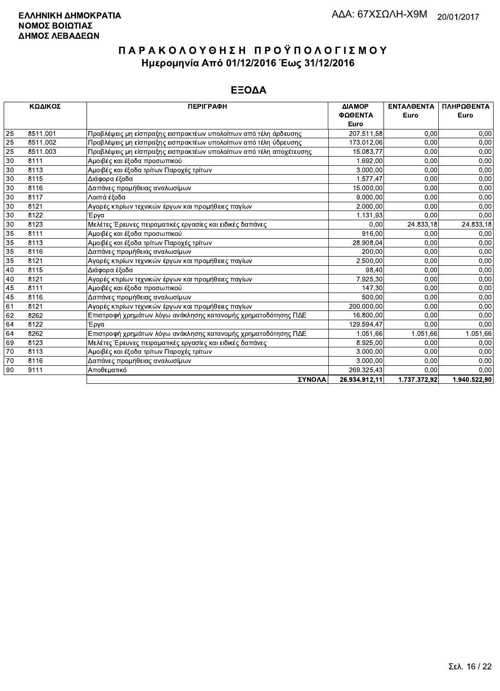|    | ΚΩΔΙΚΟΣ  | <b>ПЕРІГРАФН</b>                                                   | ΔΙΑΜΟΡ        | <b>ENTAAGENTA</b> | ΠΛΗΡΩΘΕΝΤΑ   |
|----|----------|--------------------------------------------------------------------|---------------|-------------------|--------------|
|    |          |                                                                    | ΦΩΘΕΝΤΑ       | Euro              | Euro         |
|    |          |                                                                    | Euro          |                   |              |
| 25 | 8511.001 | Προβλέψεις μη είσπραξης εισπρακτέων υπολοίπων από τέλη άρδευσης    | 207.511,58    | 0.00              | 0,00         |
| 25 | 8511.002 | Προβλέψεις μη είσπραξης εισπρακτέων υπολοίπων από τέλη ύδρευσης    | 173.012,06    | 0.00              | 0,00         |
| 25 | 8511.003 | Προβλέψεις μη είσπραξης εισπρακτέων υπολοίπων από τέλη αποχέτευσης | 15.083,77     | 0,00              | 0,00         |
| 30 | 8111     | Αμοιβές και έξοδα προσωπικού                                       | 1.692,00      | 0,00              | 0,00         |
| 30 | 8113     | Αμοιβές και έξοδα τρίτων Παροχές τρίτων                            | 3.000.00      | 0,00              | 0,00         |
| 30 | 8115     | Διάφορα έξοδα                                                      | 1.577,47      | 0,00              | 0,00         |
| 30 | 8116     | Δαπάνες προμήθειας αναλωσίμων                                      | 15.000,00     | 0.00              | 0,00         |
| 30 | 8117     | Λοιπά έξοδα                                                        | 9.000,00      | 0,00              | 0,00         |
| 30 | 8121     | Αγορές κτιρίων τεχνικών έργων και προμήθειες παγίων                | 2.000,00      | 0.00              | 0,00         |
| 30 | 8122     | Έργα                                                               | 1.131,93      | 0.00              | 0,00         |
| 30 | 8123     | Μελέτες Έρευνες πειραματικές εργασίες και ειδικές δαπάνες          | 0.00          | 24.833,18         | 24.833,18    |
| 35 | 8111     | Αμοιβές και έξοδα προσωπικού                                       | 916.00        | 0,00              | 0,00         |
| 35 | 8113     | Αμοιβές και έξοδα τρίτων Παροχές τρίτων                            | 28.908,04     | 0,00              | 0,00         |
| 35 | 8116     | Δαπάνες προμήθειας αναλωσίμων                                      | 200,00        | 0,00              | 0,00         |
| 35 | 8121     | Αγορές κτιρίων τεχνικών έργων και προμήθειες παγίων                | 2.500,00      | 0.00              | 0.00         |
| 40 | 8115     | Διάφορα έξοδα                                                      | 98.40         | 0.00              | 0,00         |
| 40 | 8121     | Αγορές κτιρίων τεχνικών έργων και προμήθειες παγίων                | 7.925,30      | 0,00              | 0,00         |
| 45 | 8111     | Αμοιβές και έξοδα προσωπικού                                       | 147,30        | 0,00              | 0,00         |
| 45 | 8116     | Δαπάνες προμήθειας αναλωσίμων                                      | 500,00        | 0,00              | 0,00         |
| 61 | 8121     | Αγορές κτιρίων τεχνικών έργων και προμήθειες παγίων                | 200.000,00    | 0,00              | 0,00         |
| 62 | 8262     | Επιστροφή χρημάτων λόγω ανάκλησης κατανομής χρηματοδότησης ΠΔΕ     | 16.800,00     | 0.00              | 0.00         |
| 64 | 8122     | Έργα                                                               | 129.594.47    | 0.00              | 0,00         |
| 64 | 8262     | Επιστροφή χρημάτων λόγω ανάκλησης κατανομής χρηματοδότησης ΠΔΕ     | 1.051.66      | 1.051.66          | 1.051,66     |
| 69 | 8123     | Μελέτες Έρευνες πειραματικές εργασίες και ειδικές δαπάνες          | 8.925,00      | 0.00              | 0,00         |
| 70 | 8113     | Αμοιβές και έξοδα τρίτων Παροχές τρίτων                            | 3.000,00      | 0,00              | 0,00         |
| 70 | 8116     | Δαπάνες προμήθειας αναλωσίμων                                      | 3.000,00      | 0,00              | 0,00         |
| 90 | 9111     | Αποθεματικό                                                        | 269.325,43    | 0.00              | 0.00         |
|    |          | <b>SVNOAA</b>                                                      | 26.934.912.11 | 1 737 372 92      | 1 Q40 522 Q0 |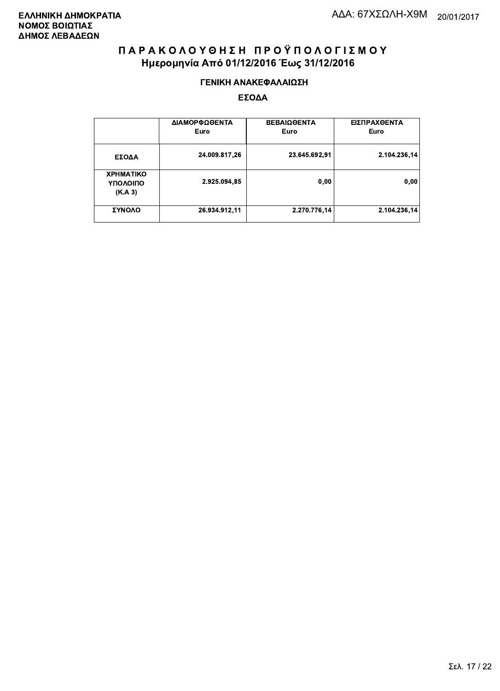#### ΓΕΝΙΚΗ ΑΝΑΚΕΦΑΛΑΙΩΣΗ

|                                         | ΔΙΑΜΟΡΦΩΘΕΝΤΑ<br>Euro | <b>ΒΕΒΑΙΩΘΕΝΤΑ</b><br>Euro | ΕΙΣΠΡΑΧΘΕΝΤΑ<br>Euro |
|-----------------------------------------|-----------------------|----------------------------|----------------------|
| ΕΣΟΔΑ                                   | 24.009.817,26         | 23.645.692,91              | 2.104.236,14         |
| <b>XPHMATIKO</b><br>ΥΠΟΛΟΙΠΟ<br>(K.A.3) | 2.925.094,85          | 0,00                       | 0,00                 |
| ΣΥΝΟΛΟ                                  | 26.934.912,11         | 2.270.776,14               | 2.104.236,14         |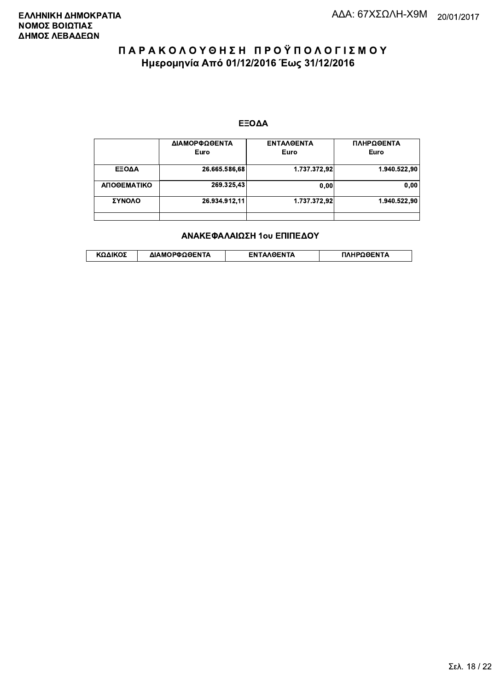#### ΕΞΟΔΑ

|             | ΔΙΑΜΟΡΦΩΘΕΝΤΑ<br>Euro | <b>ENTAAGENTA</b><br>Euro | ΠΛΗΡΩΘΕΝΤΑ<br>Euro |
|-------------|-----------------------|---------------------------|--------------------|
| ΕΞΟΔΑ       | 26.665.586,68         | 1.737.372,92              | 1.940.522,90       |
| ΑΠΟΘΕΜΑΤΙΚΟ | 269.325,43            | 0,00                      | 0.00               |
| ΣΥΝΟΛΟ      | 26.934.912.11         | 1.737.372.92              | 1.940.522.90       |
|             |                       |                           |                    |

#### ΑΝΑΚΕΦΑΛΑΙΩΣΗ 1ου ΕΠΙΠΕΔΟΥ

|  | ΚΩΔΙΚΟΣ | ΔΙΑΜΟΡΦΩΘΕΝΤΑ | <b>AOENTA</b><br>FΝ | ≀OΘFNTA |
|--|---------|---------------|---------------------|---------|
|--|---------|---------------|---------------------|---------|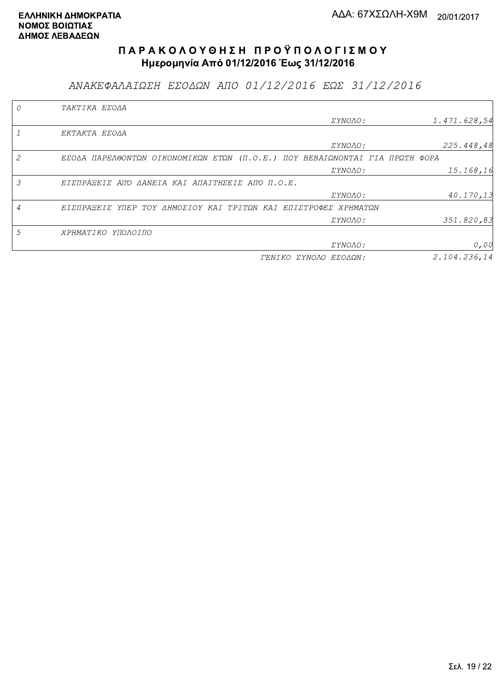ΑΝΑΚΕΦΑΛΑΙΩΣΗ ΕΣΟΔΩΝ ΑΠΟ 01/12/2016 ΕΩΣ 31/12/2016

|   | TAKTIKA EZOAA                                                               |                       |              |
|---|-----------------------------------------------------------------------------|-----------------------|--------------|
|   |                                                                             | <i>EYNOAO:</i>        | 1.471.628,54 |
|   | EKTAKTA EZOAA                                                               |                       |              |
|   |                                                                             | ΣΥΝΟΛΟ:               | 225.448,48   |
| 2 | EZOAA ΠΑΡΕΛΘΟΝΤΩΝ ΟΙΚΟΝΟΜΙΚΩΝ ΕΤΩΝ (Π.Ο.Ε.) ΠΟΥ ΒΕΒΑΙΩΝΟΝΤΑΙ ΓΙΑ ΠΡΩΤΗ ΦΟΡΑ |                       |              |
|   |                                                                             | <i>EYNOAO:</i>        | 15.168,16    |
| 3 | ΕΙΣΠΡΑΞΕΙΣ ΑΠΌ ΔΑΝΕΙΑ ΚΑΙ ΑΠΑΙΤΗΣΕΙΣ ΑΠΌ Π.Ο.Ε.                             |                       |              |
|   |                                                                             | <i>EYNOAO:</i>        | 40.170,13    |
|   | ΕΙΣΠΡΑΞΕΙΣ ΥΠΕΡ ΤΟΥ ΔΗΜΟΣΙΟΥ ΚΑΙ ΤΡΙΤΩΝ ΚΑΙ ΕΠΙΣΤΡΟΦΕΣ ΧΡΗΜΑΤΩΝ             |                       |              |
|   |                                                                             | ΣΥΝΟΛΟ:               | 351.820,83   |
| 5 | ΧΡΗΜΑΤΙΚΟ ΥΠΟΛΟΙΠΟ                                                          |                       |              |
|   |                                                                             | ΣΥΝΟΛΟ:               | 0,00         |
|   |                                                                             | ΓΕΝΙΚΟ ΣΥΝΟΛΟ ΕΣΟΔΩΝ: | 2.104.236.14 |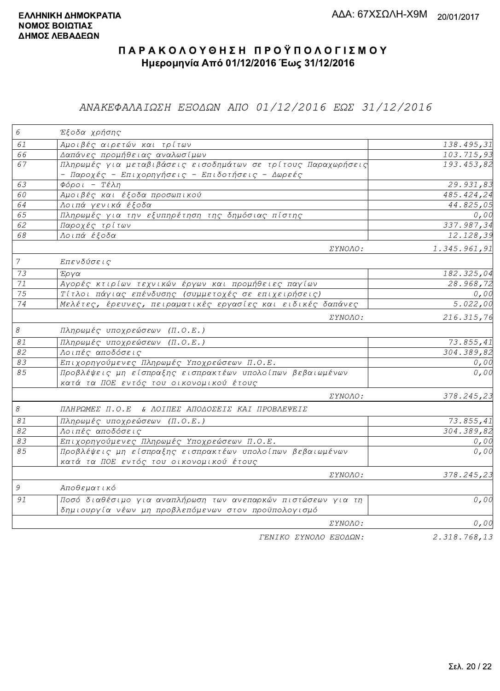### ΑΝΑΚΕΦΑΛΑΙΩΣΗ ΕΞΟΔΩΝ ΑΠΟ 01/12/2016 ΕΩΣ 31/12/2016

| $\epsilon$     | Έξοδα χρήσης                                                                                                        |                         |
|----------------|---------------------------------------------------------------------------------------------------------------------|-------------------------|
| 61             | Αμοιβές αιρετών και τρίτων                                                                                          | 138.495,31              |
| 66             | Δαπάνες προμήθειας αναλωσίμων                                                                                       | 103.715,93              |
| 67             | Πληρωμές για μεταβιβάσεις εισοδημάτων σε τρίτους Παραχωρήσεις<br>- Παροχές - Επιχορηγήσεις - Επιδοτήσεις - Δωρεές   | 193.453,82              |
| 63             | $\Phi$ όροι - Τέλη                                                                                                  | 29.931,83               |
| 60             | Αμοιβές και έξοδα προσωπικού                                                                                        | 485.424,24              |
| 64             | Λοιπά γενικά έξοδα                                                                                                  | 44.825,05               |
| 65             | Πληρωμές για την εξυπηρέτηση της δημόσιας πίστης                                                                    | 0,00                    |
| 62             | Παροχές τρίτων                                                                                                      | 337.987,34              |
| 68             | Λοιπά έξοδα                                                                                                         | 12.128,39               |
|                | <i>EYNOAO:</i>                                                                                                      | 1.345.961,91            |
| $\overline{7}$ | Επενδύσεις                                                                                                          |                         |
| 73             | $E\rho\gamma\alpha$                                                                                                 | 182.325,04              |
| 71             | Αγορές κτιρίων τεχνικών έργων και προμήθειες παγίων                                                                 | 28.968,72               |
| 75             | Τίτλοι πάγιας επένδυσης (συμμετοχές σε επιχειρήσεις)                                                                | 0,00                    |
| 74             | Μελέτες, έρευνες, πειραματικές εργασίες και ειδικές δαπάνες                                                         | 5.022,00                |
|                | <i>EYNOAO:</i>                                                                                                      | 216.315,76              |
| $\mathcal S$   | Πληρωμές υποχρεώσεων (Π.Ο.Ε.)                                                                                       |                         |
| 81             | Πληρωμές υποχρεώσεων (Π.Ο.Ε.)                                                                                       | $\overline{73.855, 41}$ |
| 82             | Λοιπές αποδόσεις                                                                                                    | 304.389, 82             |
| 83             | Επιχορηγούμενες Πληρωμές Υποχρεώσεων Π.Ο.Ε.                                                                         | 0,00                    |
| 85             | Προβλέψεις μη είσπραξης εισπρακτέων υπολοίπων βεβαιωμένων<br>κατά τα ΠΟΕ εντός του οικονομικού έτους                | 0,00                    |
|                | ΣΥΝΟΛΟ:                                                                                                             | 378.245,23              |
| $\mathcal S$   | ΠΛΗΡΩΜΕΣ Π.Ο.Ε & ΛΟΙΠΕΣ ΑΠΟΔΟΣΕΙΣ ΚΑΙ ΠΡΟΒΛΕΨΕΙΣ                                                                    |                         |
| $\mathcal{S}1$ | Πληρωμές υποχρεώσεων (Π.Ο.Ε.)                                                                                       | 73.855,41               |
| 82             | Λοιπές αποδόσεις                                                                                                    | 304.389,82              |
| 83             | Επιχορηγούμενες Πληρωμές Υποχρεώσεων Π.Ο.Ε.                                                                         | 0,00                    |
| 85             | Προβλέψεις μη είσπραξης εισπρακτέων υπολοίπων βεβαιωμένων<br>κατά τα ΠΟΕ εντός του οικονομικού έτους                | 0,00                    |
|                | <i>EYNOAO:</i>                                                                                                      | 378.245,23              |
| $\mathcal G$   | Αποθεματικό                                                                                                         |                         |
| 91             | Ποσό διαθέσιμο για αναπλήρωση των ανεπαρκών πιστώσεων για τη<br>δημιουργία νέων μη προβλεπόμενων στον προϋπολογισμό | 0,00                    |
|                | ΣΥΝΟΛΟ:                                                                                                             | 0,00                    |
|                | ΓΕΝΙΚΟ ΣΥΝΟΛΟ ΕΞΟΔΩΝ:                                                                                               | 2.318.768,13            |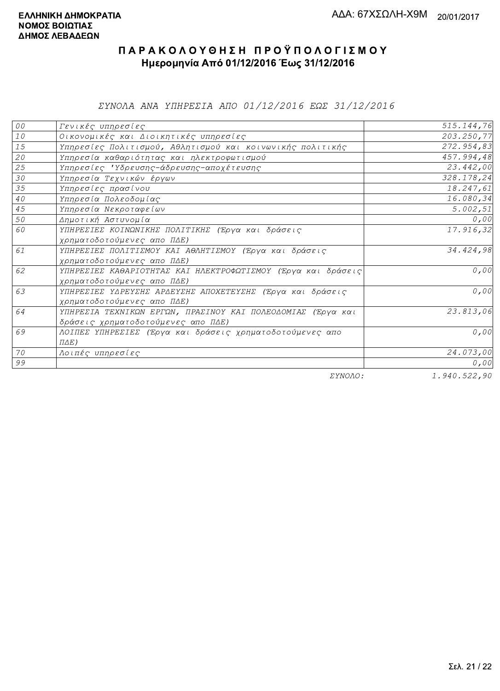*EYNOAA ANA YHHPEZIA AHO 01/12/2016 EQE 31/12/2016* 

| 00              | Γενικές υπηρεσίες                                             | 515.144,76 |
|-----------------|---------------------------------------------------------------|------------|
| $10$            | Οικονομικές και Διοικητικές υπηρεσίες                         | 203.250,77 |
| 15              | Υπηρεσίες Πολιτισμού, Αθλητισμού και κοινωνικής πολιτικής     | 272.954,83 |
| 20              | Υπηρεσία καθαριότητας και ηλεκτροφωτισμού                     | 457.994,48 |
| 25              | Υπηρεσίες 'Υδρευσης-άδρευσης-αποχέτευσης                      | 23.442,00  |
| 30              | Υπηρεσία Τεχνικών έργων                                       | 328.178,24 |
| 35              | Υπηρεσίες πρασίνου                                            | 18.247,61  |
| 40 <sub>o</sub> | Υπηρεσία Πολεοδομίας                                          | 16.080,34  |
| 45              | Υπηρεσία Νεκροταφείων                                         | 5.002, 51  |
| 50              | Δημοτική Αστυνομία                                            | 0,00       |
| 60              | ΥΠΗΡΕΣΙΕΣ ΚΟΙΝΩΝΙΚΗΣ ΠΟΛΙΤΙΚΗΣ (Έργα και δράσεις              | 17.916,32  |
|                 | χρηματοδοτούμενες απο ΠΔΕ)                                    |            |
| 61              | ΥΠΗΡΕΣΙΕΣ ΠΟΛΙΤΙΣΜΟΥ ΚΑΙ ΑΘΛΗΤΙΣΜΟΥ (Έργα και δράσεις         | 34.424,98  |
|                 | χρηματοδοτούμενες απο ΠΔΕ)                                    |            |
| 62              | ΥΠΗΡΕΣΙΕΣ ΚΑΘΑΡΙΟΤΗΤΑΣ ΚΑΙ ΗΛΕΚΤΡΟΦΩΤΙΣΜΟΥ (Έργα και δράσεις) | 0,00       |
|                 | χρηματοδοτούμενες απο ΠΔΕ)                                    |            |
| 63              | ΥΠΗΡΕΣΙΕΣ ΥΔΡΕΥΣΗΣ ΑΡΔΕΥΣΗΣ ΑΠΟΧΕΤΕΥΣΗΣ (Έργα και δράσεις     | 0,00       |
|                 | χρηματοδοτούμενες απο ΠΔΕ)                                    |            |
| 64              | ΥΠΗΡΕΣΙΑ ΤΕΧΝΙΚΩΝ ΕΡΓΩΝ, ΠΡΑΣΙΝΟΥ ΚΑΙ ΠΟΛΕΟΔΟΜΙΑΣ (Έργα και   | 23.813,06  |
|                 | δράσεις χρηματοδοτούμενες απο ΠΔΕ)                            |            |
| 69              | ΛΟΙΠΕΣ ΥΠΗΡΕΣΙΕΣ (Έργα και δράσεις χρηματοδοτούμενες απο      | 0,00       |
|                 | $\Pi \Delta E$ )                                              |            |
| 70              | Λοιπές υπηρεσίες                                              | 24.073,00  |
| 99              |                                                               | 0,00       |
|                 | $\Box$                                                        | 1.010.0000 |

ΣΥΝΟΛΟ:

 $1.940.522,90$